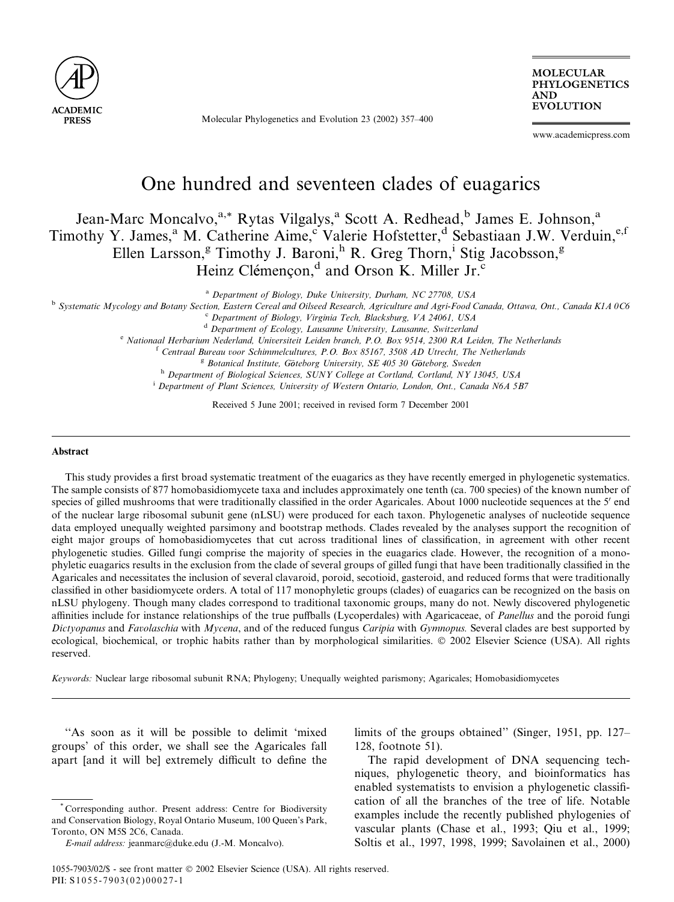

Molecular Phylogenetics and Evolution 23 (2002) 357–400

MOLECULAR PHYLOGENETICS AND EVOLUTION

www.academicpress.com

# One hundred and seventeen clades of euagarics

## Jean-Marc Moncalvo,<sup>a,\*</sup> Rytas Vilgalys,<sup>a</sup> Scott A. Redhead,<sup>b</sup> James E. Johnson,<sup>a</sup> Timothy Y. James,<sup>a</sup> M. Catherine Aime,<sup>c</sup> Valerie Hofstetter,<sup>d</sup> Sebastiaan J.W. Verduin,<sup>e,f</sup> Ellen Larsson,<sup>g</sup> Timothy J. Baroni,<sup>h</sup> R. Greg Thorn,<sup>i</sup> Stig Jacobsson,<sup>g</sup> Heinz Clémençon,<sup>d</sup> and Orson K. Miller Jr.<sup>c</sup>

<sup>a</sup> Department of Biology, Duke University, Durham, NC 27708, USA

<sup>b</sup> Systematic Mycology and Botany Section, Eastern Cereal and Oilseed Research, Agriculture and Agri-Food Canada, Ottawa, Ont., Canada K1A 0C6

c Department of Biology, Virginia Tech, Blacksburg, VA 24061, USA

<sup>d</sup> Department of Ecology, Lausanne University, Lausanne, Switzerland

<sup>e</sup> Nationaal Herbarium Nederland, Universiteit Leiden branch, P.O. Box 9514, 2300 RA Leiden, The Netherlands

<sup>f</sup> Centraal Bureau voor Schimmelcultures, P.O. Box 85167, 3508 AD Utrecht, The Netherlands

<sup>g</sup> Botanical Institute, Göteborg University, SE 405 30 Göteborg, Sweden h Department of Biological Sciences, SUNY College at Cortland, Cortland, NY 13045, USA

<sup>i</sup> Department of Plant Sciences, University of Western Ontario, London, Ont., Canada N6A 5B7

Received 5 June 2001; received in revised form 7 December 2001

#### Abstract

This study provides a first broad systematic treatment of the euagarics as they have recently emerged in phylogenetic systematics. The sample consists of 877 homobasidiomycete taxa and includes approximately one tenth (ca. 700 species) of the known number of species of gilled mushrooms that were traditionally classified in the order Agaricales. About 1000 nucleotide sequences at the 5' end of the nuclear large ribosomal subunit gene (nLSU) were produced for each taxon. Phylogenetic analyses of nucleotide sequence data employed unequally weighted parsimony and bootstrap methods. Clades revealed by the analyses support the recognition of eight major groups of homobasidiomycetes that cut across traditional lines of classification, in agreement with other recent phylogenetic studies. Gilled fungi comprise the majority of species in the euagarics clade. However, the recognition of a monophyletic euagarics results in the exclusion from the clade of several groups of gilled fungi that have been traditionally classified in the Agaricales and necessitates the inclusion of several clavaroid, poroid, secotioid, gasteroid, and reduced forms that were traditionally classified in other basidiomycete orders. A total of 117 monophyletic groups (clades) of euagarics can be recognized on the basis on nLSU phylogeny. Though many clades correspond to traditional taxonomic groups, many do not. Newly discovered phylogenetic affinities include for instance relationships of the true puffballs (Lycoperdales) with Agaricaceae, of *Panellus* and the poroid fungi Dictyopanus and Favolaschia with Mycena, and of the reduced fungus Caripia with Gymnopus. Several clades are best supported by ecological, biochemical, or trophic habits rather than by morphological similarities.  $© 2002$  Elsevier Science (USA). All rights reserved.

Keywords: Nuclear large ribosomal subunit RNA; Phylogeny; Unequally weighted parismony; Agaricales; Homobasidiomycetes

"As soon as it will be possible to delimit 'mixed groups' of this order, we shall see the Agaricales fall apart [and it will be] extremely difficult to define the limits of the groups obtained'' (Singer, 1951, pp. 127– 128, footnote 51).

The rapid development of DNA sequencing techniques, phylogenetic theory, and bioinformatics has enabled systematists to envision a phylogenetic classification of all the branches of the tree of life. Notable examples include the recently published phylogenies of vascular plants (Chase et al., 1993; Qiu et al., 1999; Soltis et al., 1997, 1998, 1999; Savolainen et al., 2000)

<sup>\*</sup> Corresponding author. Present address: Centre for Biodiversity and Conservation Biology, Royal Ontario Museum, 100 Queen's Park, Toronto, ON M5S 2C6, Canada.

E-mail address: jeanmarc@duke.edu (J.-M. Moncalvo).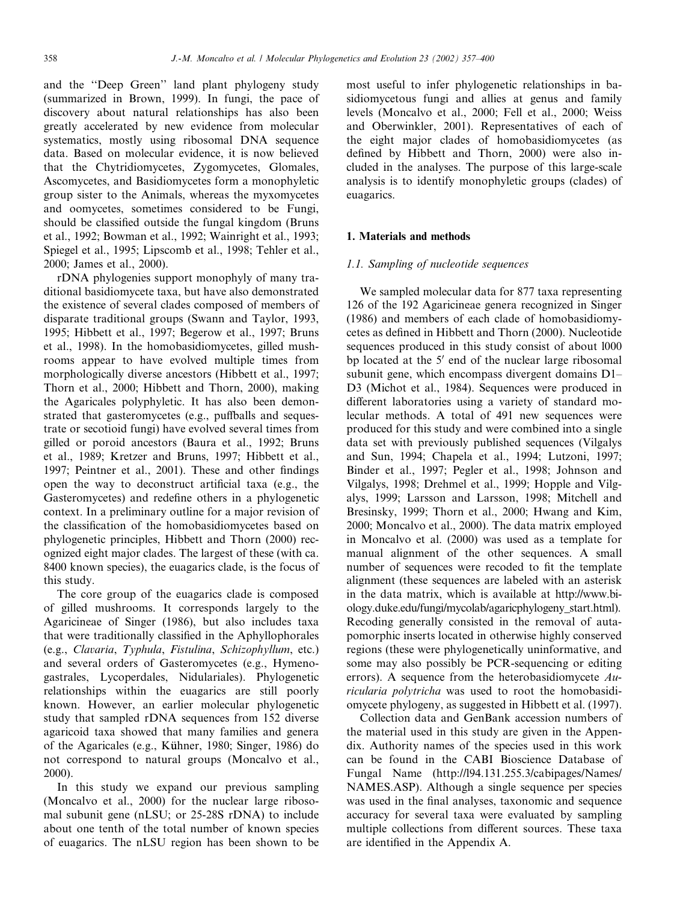and the ''Deep Green'' land plant phylogeny study (summarized in Brown, 1999). In fungi, the pace of discovery about natural relationships has also been greatly accelerated by new evidence from molecular systematics, mostly using ribosomal DNA sequence data. Based on molecular evidence, it is now believed that the Chytridiomycetes, Zygomycetes, Glomales, Ascomycetes, and Basidiomycetes form a monophyletic group sister to the Animals, whereas the myxomycetes and oomycetes, sometimes considered to be Fungi, should be classified outside the fungal kingdom (Bruns et al., 1992; Bowman et al., 1992; Wainright et al., 1993; Spiegel et al., 1995; Lipscomb et al., 1998; Tehler et al., 2000; James et al., 2000).

rDNA phylogenies support monophyly of many traditional basidiomycete taxa, but have also demonstrated the existence of several clades composed of members of disparate traditional groups (Swann and Taylor, 1993, 1995; Hibbett et al., 1997; Begerow et al., 1997; Bruns et al., 1998). In the homobasidiomycetes, gilled mushrooms appear to have evolved multiple times from morphologically diverse ancestors (Hibbett et al., 1997; Thorn et al., 2000; Hibbett and Thorn, 2000), making the Agaricales polyphyletic. It has also been demonstrated that gasteromycetes (e.g., puffballs and sequestrate or secotioid fungi) have evolved several times from gilled or poroid ancestors (Baura et al., 1992; Bruns et al., 1989; Kretzer and Bruns, 1997; Hibbett et al., 1997; Peintner et al., 2001). These and other findings open the way to deconstruct artificial taxa (e.g., the Gasteromycetes) and redefine others in a phylogenetic context. In a preliminary outline for a major revision of the classification of the homobasidiomycetes based on phylogenetic principles, Hibbett and Thorn (2000) recognized eight major clades. The largest of these (with ca. 8400 known species), the euagarics clade, is the focus of this study.

The core group of the euagarics clade is composed of gilled mushrooms. It corresponds largely to the Agaricineae of Singer (1986), but also includes taxa that were traditionally classified in the Aphyllophorales (e.g., Clavaria, Typhula, Fistulina, Schizophyllum, etc.) and several orders of Gasteromycetes (e.g., Hymenogastrales, Lycoperdales, Nidulariales). Phylogenetic relationships within the euagarics are still poorly known. However, an earlier molecular phylogenetic study that sampled rDNA sequences from 152 diverse agaricoid taxa showed that many families and genera of the Agaricales (e.g., Kühner, 1980; Singer, 1986) do not correspond to natural groups (Moncalvo et al., 2000).

In this study we expand our previous sampling (Moncalvo et al., 2000) for the nuclear large ribosomal subunit gene (nLSU; or 25-28S rDNA) to include about one tenth of the total number of known species of euagarics. The nLSU region has been shown to be most useful to infer phylogenetic relationships in basidiomycetous fungi and allies at genus and family levels (Moncalvo et al., 2000; Fell et al., 2000; Weiss and Oberwinkler, 2001). Representatives of each of the eight major clades of homobasidiomycetes (as defined by Hibbett and Thorn, 2000) were also included in the analyses. The purpose of this large-scale analysis is to identify monophyletic groups (clades) of euagarics.

#### 1. Materials and methods

#### 1.1. Sampling of nucleotide sequences

We sampled molecular data for 877 taxa representing 126 of the 192 Agaricineae genera recognized in Singer (1986) and members of each clade of homobasidiomycetes as defined in Hibbett and Thorn (2000). Nucleotide sequences produced in this study consist of about l000 bp located at the  $5'$  end of the nuclear large ribosomal subunit gene, which encompass divergent domains D1– D3 (Michot et al., 1984). Sequences were produced in different laboratories using a variety of standard molecular methods. A total of 491 new sequences were produced for this study and were combined into a single data set with previously published sequences (Vilgalys and Sun, 1994; Chapela et al., 1994; Lutzoni, 1997; Binder et al., 1997; Pegler et al., 1998; Johnson and Vilgalys, 1998; Drehmel et al., 1999; Hopple and Vilgalys, 1999; Larsson and Larsson, 1998; Mitchell and Bresinsky, 1999; Thorn et al., 2000; Hwang and Kim, 2000; Moncalvo et al., 2000). The data matrix employed in Moncalvo et al. (2000) was used as a template for manual alignment of the other sequences. A small number of sequences were recoded to fit the template alignment (these sequences are labeled with an asterisk in the data matrix, which is available at http://www.biology.duke.edu/fungi/mycolab/agaricphylogeny\_start.html). Recoding generally consisted in the removal of autapomorphic inserts located in otherwise highly conserved regions (these were phylogenetically uninformative, and some may also possibly be PCR-sequencing or editing errors). A sequence from the heterobasidiomycete  $Au$ ricularia polytricha was used to root the homobasidiomycete phylogeny, as suggested in Hibbett et al. (1997).

Collection data and GenBank accession numbers of the material used in this study are given in the Appendix. Authority names of the species used in this work can be found in the CABI Bioscience Database of Fungal Name (http://l94.131.255.3/cabipages/Names/ NAMES.ASP). Although a single sequence per species was used in the final analyses, taxonomic and sequence accuracy for several taxa were evaluated by sampling multiple collections from different sources. These taxa are identified in the Appendix A.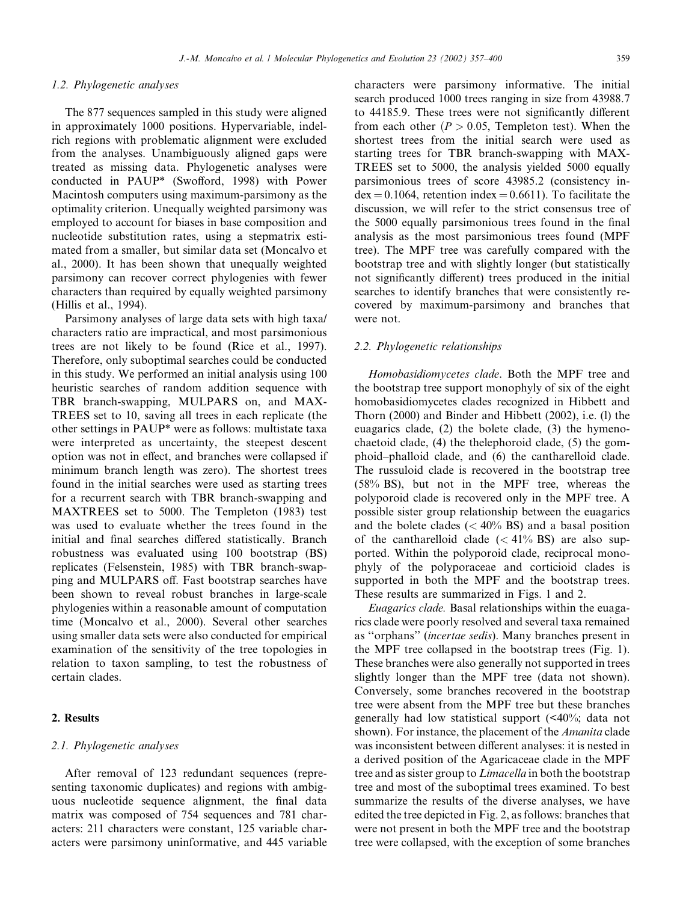#### 1.2. Phylogenetic analyses

The 877 sequences sampled in this study were aligned in approximately 1000 positions. Hypervariable, indelrich regions with problematic alignment were excluded from the analyses. Unambiguously aligned gaps were treated as missing data. Phylogenetic analyses were conducted in PAUP\* (Swofford, 1998) with Power Macintosh computers using maximum-parsimony as the optimality criterion. Unequally weighted parsimony was employed to account for biases in base composition and nucleotide substitution rates, using a stepmatrix estimated from a smaller, but similar data set (Moncalvo et al., 2000). It has been shown that unequally weighted parsimony can recover correct phylogenies with fewer characters than required by equally weighted parsimony (Hillis et al., 1994).

Parsimony analyses of large data sets with high taxa/ characters ratio are impractical, and most parsimonious trees are not likely to be found (Rice et al., 1997). Therefore, only suboptimal searches could be conducted in this study. We performed an initial analysis using 100 heuristic searches of random addition sequence with TBR branch-swapping, MULPARS on, and MAX-TREES set to 10, saving all trees in each replicate (the other settings in PAUP\* were as follows: multistate taxa were interpreted as uncertainty, the steepest descent option was not in effect, and branches were collapsed if minimum branch length was zero). The shortest trees found in the initial searches were used as starting trees for a recurrent search with TBR branch-swapping and MAXTREES set to 5000. The Templeton (1983) test was used to evaluate whether the trees found in the initial and final searches differed statistically. Branch robustness was evaluated using 100 bootstrap (BS) replicates (Felsenstein, 1985) with TBR branch-swapping and MULPARS off. Fast bootstrap searches have been shown to reveal robust branches in large-scale phylogenies within a reasonable amount of computation time (Moncalvo et al., 2000). Several other searches using smaller data sets were also conducted for empirical examination of the sensitivity of the tree topologies in relation to taxon sampling, to test the robustness of certain clades.

#### 2. Results

#### 2.1. Phylogenetic analyses

After removal of 123 redundant sequences (representing taxonomic duplicates) and regions with ambiguous nucleotide sequence alignment, the final data matrix was composed of 754 sequences and 781 characters: 211 characters were constant, 125 variable characters were parsimony uninformative, and 445 variable characters were parsimony informative. The initial search produced 1000 trees ranging in size from 43988.7 to 44185.9. These trees were not significantly different from each other  $(P > 0.05$ , Templeton test). When the shortest trees from the initial search were used as starting trees for TBR branch-swapping with MAX-TREES set to 5000, the analysis yielded 5000 equally parsimonious trees of score 43985.2 (consistency in $dex = 0.1064$ , retention index = 0.6611). To facilitate the discussion, we will refer to the strict consensus tree of the 5000 equally parsimonious trees found in the final analysis as the most parsimonious trees found (MPF tree). The MPF tree was carefully compared with the bootstrap tree and with slightly longer (but statistically not significantly different) trees produced in the initial searches to identify branches that were consistently recovered by maximum-parsimony and branches that were not.

#### 2.2. Phylogenetic relationships

Homobasidiomycetes clade. Both the MPF tree and the bootstrap tree support monophyly of six of the eight homobasidiomycetes clades recognized in Hibbett and Thorn (2000) and Binder and Hibbett (2002), i.e. (l) the euagarics clade, (2) the bolete clade, (3) the hymenochaetoid clade, (4) the thelephoroid clade, (5) the gomphoid–phalloid clade, and (6) the cantharelloid clade. The russuloid clade is recovered in the bootstrap tree (58% BS), but not in the MPF tree, whereas the polyporoid clade is recovered only in the MPF tree. A possible sister group relationship between the euagarics and the bolete clades  $(< 40\%$  BS) and a basal position of the cantharelloid clade  $(< 41\%$  BS) are also supported. Within the polyporoid clade, reciprocal monophyly of the polyporaceae and corticioid clades is supported in both the MPF and the bootstrap trees. These results are summarized in Figs. 1 and 2.

Euagarics clade. Basal relationships within the euagarics clade were poorly resolved and several taxa remained as "orphans" (incertae sedis). Many branches present in the MPF tree collapsed in the bootstrap trees (Fig. 1). These branches were also generally not supported in trees slightly longer than the MPF tree (data not shown). Conversely, some branches recovered in the bootstrap tree were absent from the MPF tree but these branches generally had low statistical support (<40%; data not shown). For instance, the placement of the *Amanita* clade was inconsistent between different analyses: it is nested in a derived position of the Agaricaceae clade in the MPF tree and as sister group to *Limacella* in both the bootstrap tree and most of the suboptimal trees examined. To best summarize the results of the diverse analyses, we have edited the tree depicted in Fig. 2, as follows: branches that were not present in both the MPF tree and the bootstrap tree were collapsed, with the exception of some branches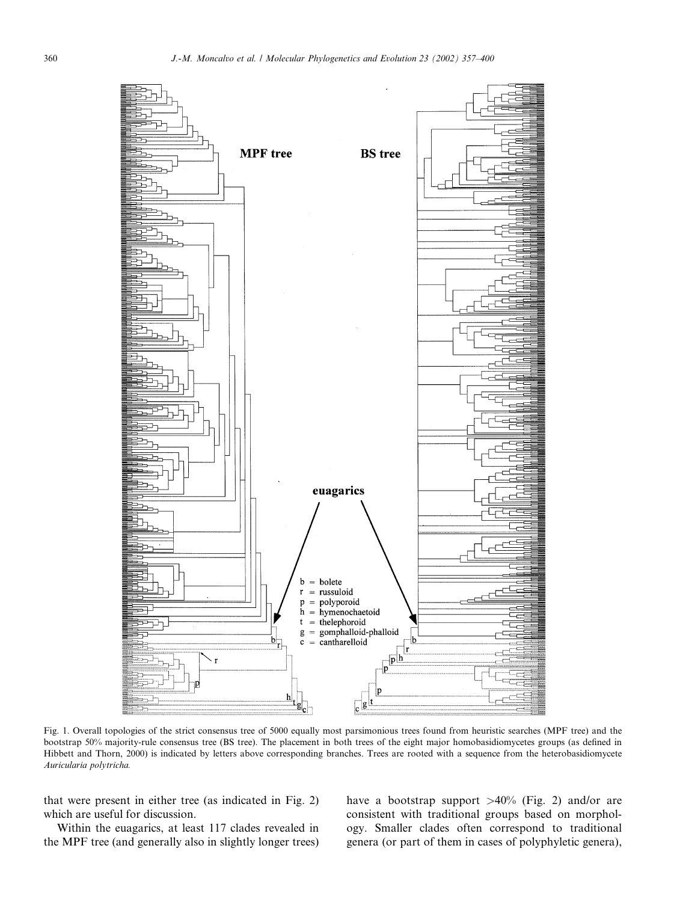

Fig. 1. Overall topologies of the strict consensus tree of 5000 equally most parsimonious trees found from heuristic searches (MPF tree) and the bootstrap 50% majority-rule consensus tree (BS tree). The placement in both trees of the eight major homobasidiomycetes groups (as defined in Hibbett and Thorn, 2000) is indicated by letters above corresponding branches. Trees are rooted with a sequence from the heterobasidiomycete Auricularia polytricha.

that were present in either tree (as indicated in Fig. 2) which are useful for discussion.

Within the euagarics, at least 117 clades revealed in the MPF tree (and generally also in slightly longer trees) have a bootstrap support >40% (Fig. 2) and/or are consistent with traditional groups based on morphology. Smaller clades often correspond to traditional genera (or part of them in cases of polyphyletic genera),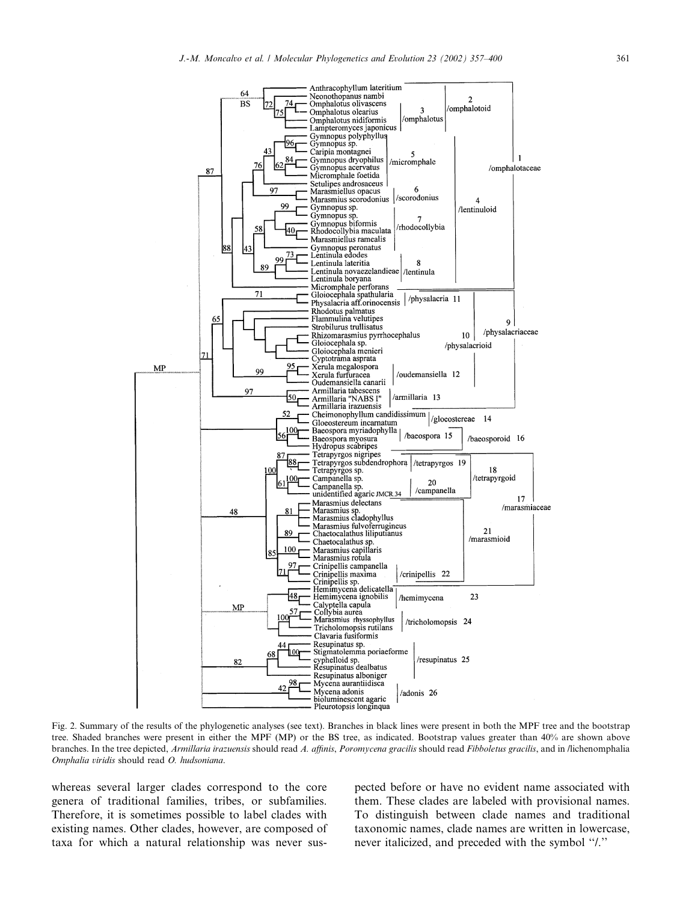

Fig. 2. Summary of the results of the phylogenetic analyses (see text). Branches in black lines were present in both the MPF tree and the bootstrap tree. Shaded branches were present in either the MPF (MP) or the BS tree, as indicated. Bootstrap values greater than 40% are shown above branches. In the tree depicted, Armillaria irazuensis should read A. affinis, Poromycena gracilis should read Fibboletus gracilis, and in /lichenomphalia Omphalia viridis should read O. hudsoniana.

whereas several larger clades correspond to the core genera of traditional families, tribes, or subfamilies. Therefore, it is sometimes possible to label clades with existing names. Other clades, however, are composed of taxa for which a natural relationship was never sus-

pected before or have no evident name associated with them. These clades are labeled with provisional names. To distinguish between clade names and traditional taxonomic names, clade names are written in lowercase, never italicized, and preceded with the symbol ''/.''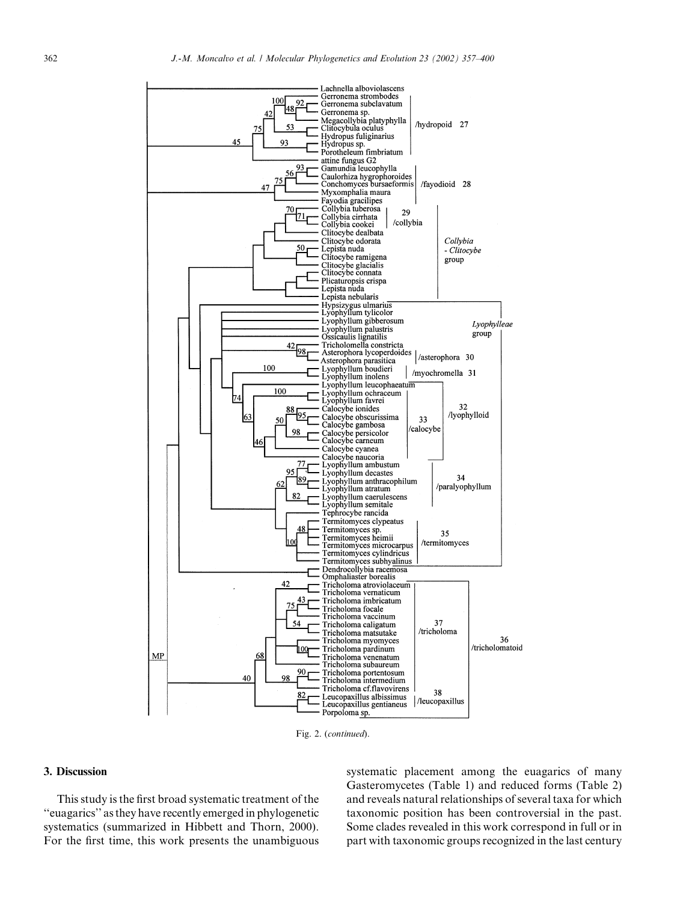

Fig. 2. (continued).

#### 3. Discussion

This study is the first broad systematic treatment of the ''euagarics'' as they have recently emerged in phylogenetic systematics (summarized in Hibbett and Thorn, 2000). For the first time, this work presents the unambiguous

systematic placement among the euagarics of many Gasteromycetes (Table 1) and reduced forms (Table 2) and reveals natural relationships of several taxa for which taxonomic position has been controversial in the past. Some clades revealed in this work correspond in full or in part with taxonomic groups recognized in the last century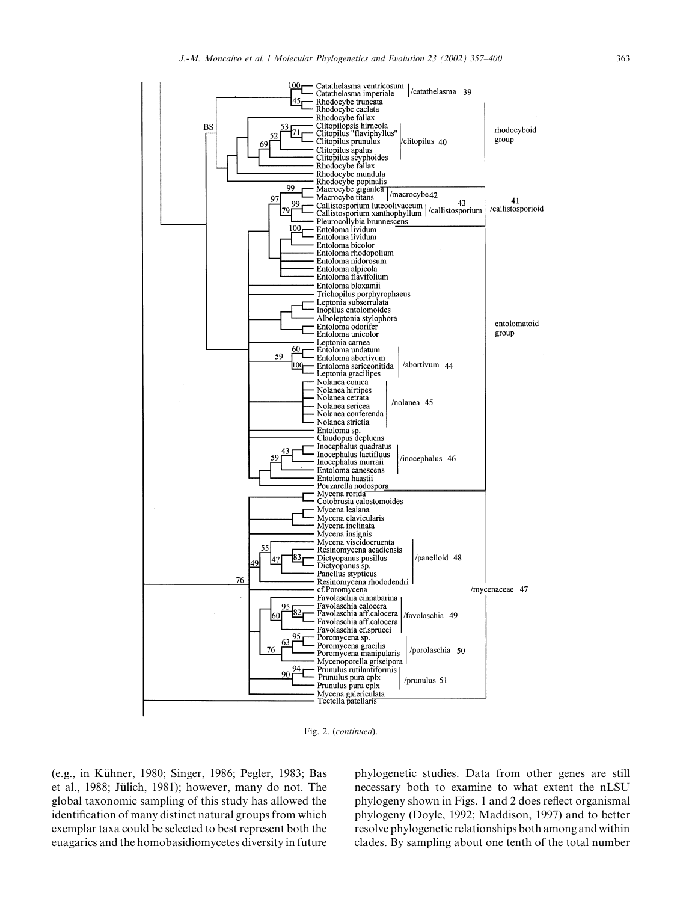

Fig. 2. (continued).

(e.g., in Kühner, 1980; Singer, 1986; Pegler, 1983; Bas et al., 1988; Jülich, 1981); however, many do not. The global taxonomic sampling of this study has allowed the identification of many distinct natural groups from which exemplar taxa could be selected to best represent both the euagarics and the homobasidiomycetes diversity in future phylogenetic studies. Data from other genes are still necessary both to examine to what extent the nLSU phylogeny shown in Figs. 1 and 2 does reflect organismal phylogeny (Doyle, 1992; Maddison, 1997) and to better resolve phylogenetic relationships both among and within clades. By sampling about one tenth of the total number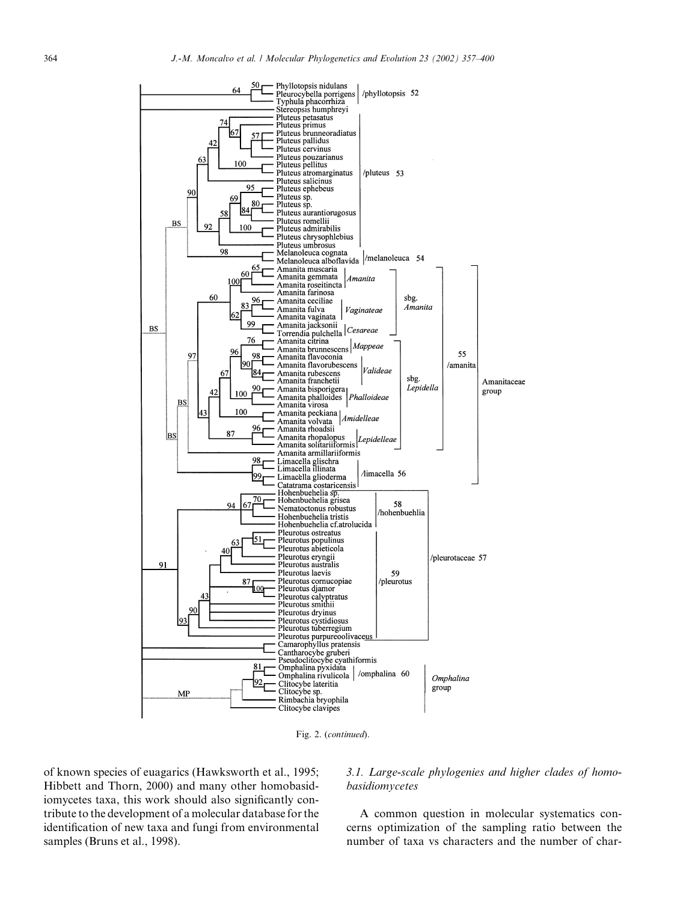

Fig. 2. (continued).

of known species of euagarics (Hawksworth et al., 1995; Hibbett and Thorn, 2000) and many other homobasidiomycetes taxa, this work should also significantly contribute to the development of a molecular database for the identification of new taxa and fungi from environmental samples (Bruns et al., 1998).

#### 3.1. Large-scale phylogenies and higher clades of homobasidiomycetes

A common question in molecular systematics concerns optimization of the sampling ratio between the number of taxa vs characters and the number of char-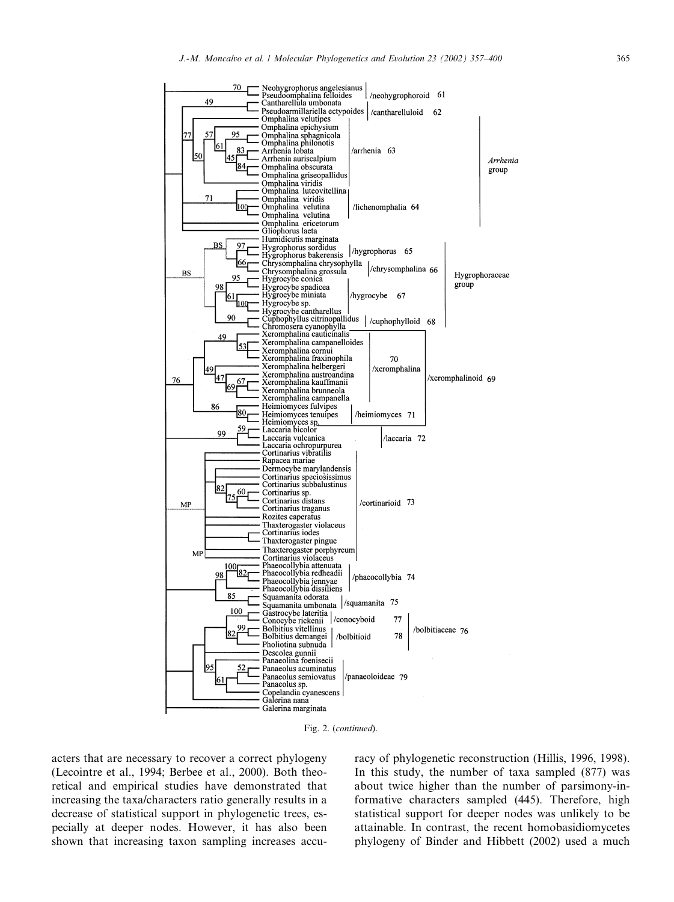

Fig. 2. (continued).

acters that are necessary to recover a correct phylogeny (Lecointre et al., 1994; Berbee et al., 2000). Both theoretical and empirical studies have demonstrated that increasing the taxa/characters ratio generally results in a decrease of statistical support in phylogenetic trees, especially at deeper nodes. However, it has also been shown that increasing taxon sampling increases accuracy of phylogenetic reconstruction (Hillis, 1996, 1998). In this study, the number of taxa sampled (877) was about twice higher than the number of parsimony-informative characters sampled (445). Therefore, high statistical support for deeper nodes was unlikely to be attainable. In contrast, the recent homobasidiomycetes phylogeny of Binder and Hibbett (2002) used a much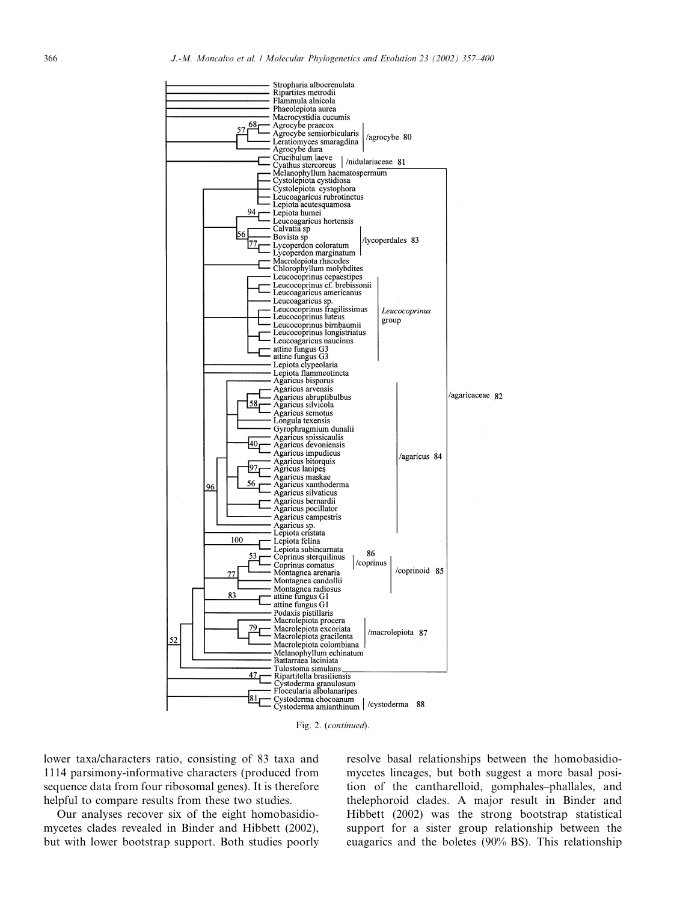

Fig. 2. (continued).

lower taxa/characters ratio, consisting of 83 taxa and 1114 parsimony-informative characters (produced from sequence data from four ribosomal genes). It is therefore helpful to compare results from these two studies.

Our analyses recover six of the eight homobasidiomycetes clades revealed in Binder and Hibbett (2002), but with lower bootstrap support. Both studies poorly resolve basal relationships between the homobasidiomycetes lineages, but both suggest a more basal position of the cantharelloid, gomphales–phallales, and thelephoroid clades. A major result in Binder and Hibbett (2002) was the strong bootstrap statistical support for a sister group relationship between the euagarics and the boletes (90% BS). This relationship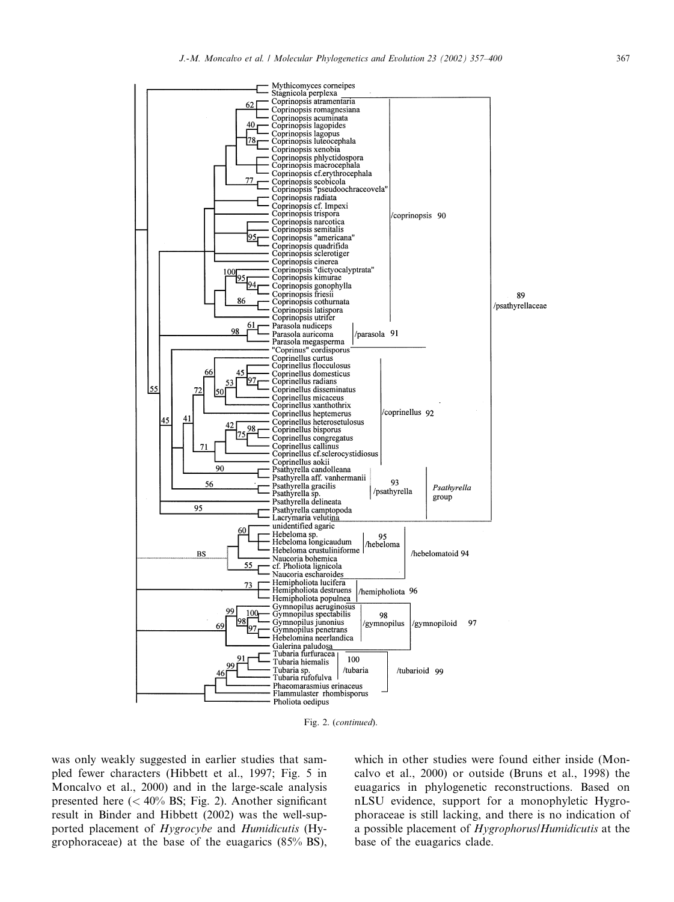

Fig. 2. (continued).

was only weakly suggested in earlier studies that sampled fewer characters (Hibbett et al., 1997; Fig. 5 in Moncalvo et al., 2000) and in the large-scale analysis presented here  $(< 40\%$  BS; Fig. 2). Another significant result in Binder and Hibbett (2002) was the well-supported placement of Hygrocybe and Humidicutis (Hygrophoraceae) at the base of the euagarics (85% BS),

which in other studies were found either inside (Moncalvo et al., 2000) or outside (Bruns et al., 1998) the euagarics in phylogenetic reconstructions. Based on nLSU evidence, support for a monophyletic Hygrophoraceae is still lacking, and there is no indication of a possible placement of Hygrophorus/Humidicutis at the base of the euagarics clade.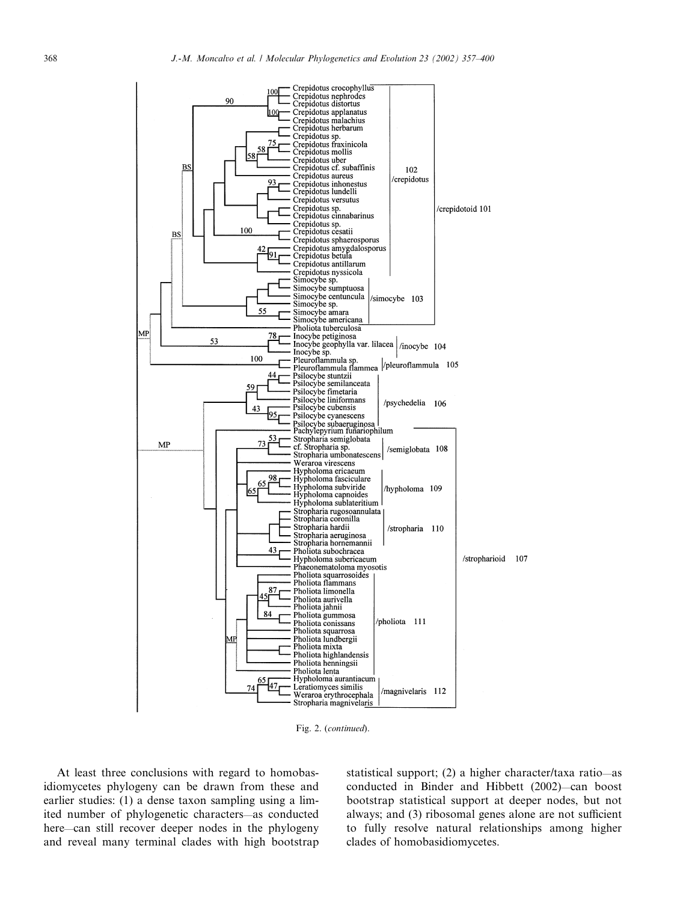

Fig. 2. (continued).

At least three conclusions with regard to homobasidiomycetes phylogeny can be drawn from these and earlier studies: (1) a dense taxon sampling using a limited number of phylogenetic characters—as conducted here—can still recover deeper nodes in the phylogeny and reveal many terminal clades with high bootstrap statistical support; (2) a higher character/taxa ratio—as conducted in Binder and Hibbett (2002)—can boost bootstrap statistical support at deeper nodes, but not always; and (3) ribosomal genes alone are not sufficient to fully resolve natural relationships among higher clades of homobasidiomycetes.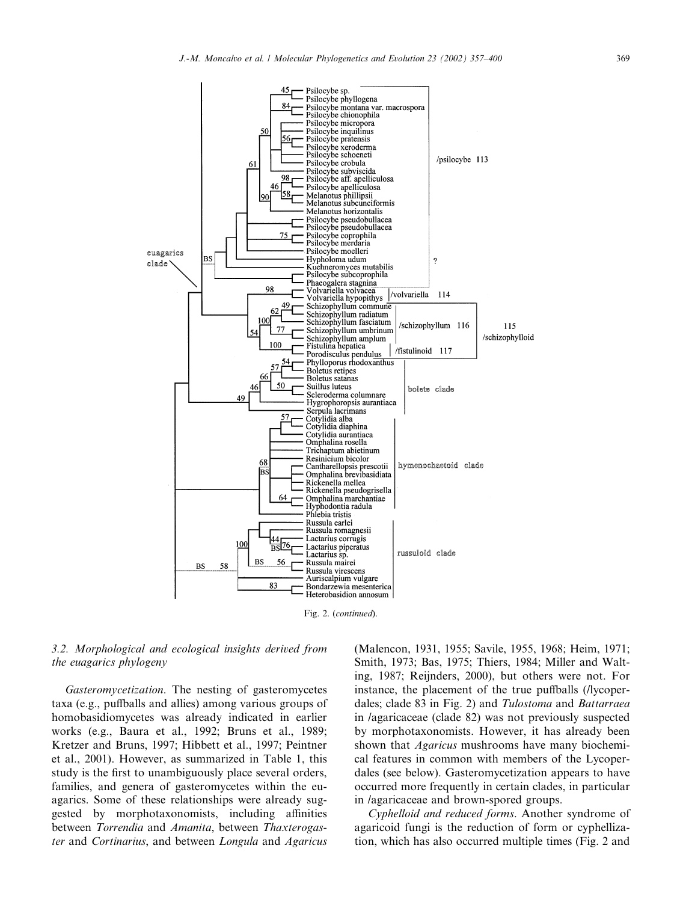

Fig. 2. (continued).

#### 3.2. Morphological and ecological insights derived from the euagarics phylogeny

Gasteromycetization. The nesting of gasteromycetes taxa (e.g., puffballs and allies) among various groups of homobasidiomycetes was already indicated in earlier works (e.g., Baura et al., 1992; Bruns et al., 1989; Kretzer and Bruns, 1997; Hibbett et al., 1997; Peintner et al., 2001). However, as summarized in Table 1, this study is the first to unambiguously place several orders, families, and genera of gasteromycetes within the euagarics. Some of these relationships were already suggested by morphotaxonomists, including affinities between Torrendia and Amanita, between Thaxterogaster and Cortinarius, and between Longula and Agaricus

(Malencon, 1931, 1955; Savile, 1955, 1968; Heim, 1971; Smith, 1973; Bas, 1975; Thiers, 1984; Miller and Walting, 1987; Reijnders, 2000), but others were not. For instance, the placement of the true puffballs (/lycoperdales; clade 83 in Fig. 2) and Tulostoma and Battarraea in /agaricaceae (clade 82) was not previously suspected by morphotaxonomists. However, it has already been shown that *Agaricus* mushrooms have many biochemical features in common with members of the Lycoperdales (see below). Gasteromycetization appears to have occurred more frequently in certain clades, in particular in /agaricaceae and brown-spored groups.

Cyphelloid and reduced forms. Another syndrome of agaricoid fungi is the reduction of form or cyphellization, which has also occurred multiple times (Fig. 2 and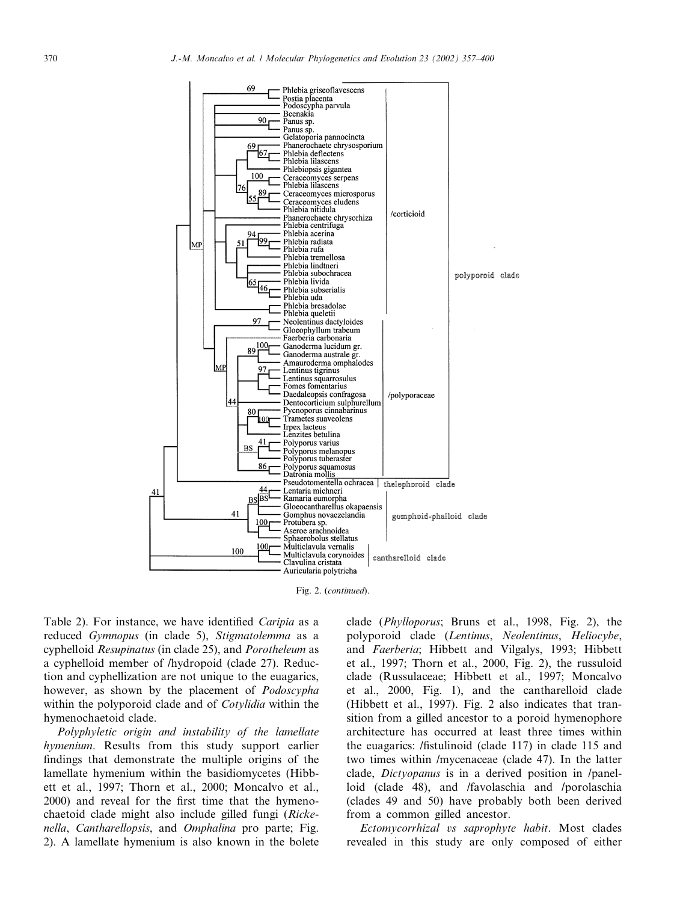

Fig. 2. (continued).

Table 2). For instance, we have identified Caripia as a reduced Gymnopus (in clade 5), Stigmatolemma as a cyphelloid Resupinatus (in clade 25), and Porotheleum as a cyphelloid member of /hydropoid (clade 27). Reduction and cyphellization are not unique to the euagarics, however, as shown by the placement of *Podoscypha* within the polyporoid clade and of Cotylidia within the hymenochaetoid clade.

Polyphyletic origin and instability of the lamellate hymenium. Results from this study support earlier findings that demonstrate the multiple origins of the lamellate hymenium within the basidiomycetes (Hibbett et al., 1997; Thorn et al., 2000; Moncalvo et al., 2000) and reveal for the first time that the hymenochaetoid clade might also include gilled fungi (Rickenella, Cantharellopsis, and Omphalina pro parte; Fig. 2). A lamellate hymenium is also known in the bolete clade (Phylloporus; Bruns et al., 1998, Fig. 2), the polyporoid clade (Lentinus, Neolentinus, Heliocybe, and Faerberia; Hibbett and Vilgalys, 1993; Hibbett et al., 1997; Thorn et al., 2000, Fig. 2), the russuloid clade (Russulaceae; Hibbett et al., 1997; Moncalvo et al., 2000, Fig. 1), and the cantharelloid clade (Hibbett et al., 1997). Fig. 2 also indicates that transition from a gilled ancestor to a poroid hymenophore architecture has occurred at least three times within the euagarics: /fistulinoid (clade 117) in clade 115 and two times within /mycenaceae (clade 47). In the latter clade, Dictyopanus is in a derived position in /panelloid (clade 48), and /favolaschia and /porolaschia (clades 49 and 50) have probably both been derived from a common gilled ancestor.

Ectomycorrhizal vs saprophyte habit. Most clades revealed in this study are only composed of either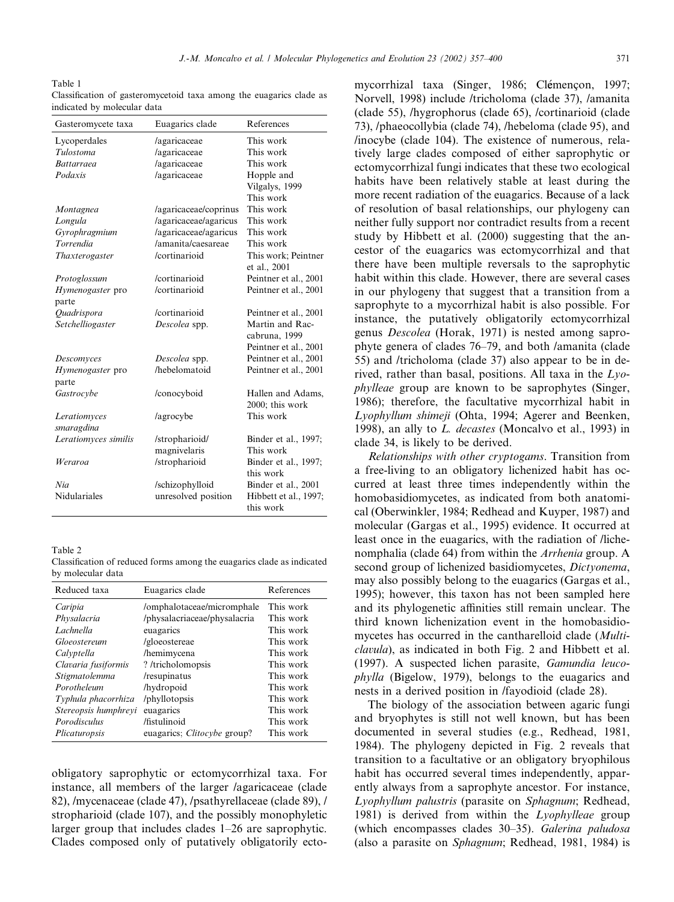Table 1 Classification of gasteromycetoid taxa among the euagarics clade as indicated by molecular data

| Gasteromycete taxa   | Euagarics clade       | References            |
|----------------------|-----------------------|-----------------------|
| Lycoperdales         | /agaricaceae          | This work             |
| <b>Tulostoma</b>     | /agaricaceae          | This work             |
| <b>Battarraea</b>    | /agaricaceae          | This work             |
| Podaxis              | /agaricaceae          | Hopple and            |
|                      |                       | Vilgalys, 1999        |
|                      |                       | This work             |
| Montagnea            | /agaricaceae/coprinus | This work             |
| Longula              | /agaricaceae/agaricus | This work             |
| Gyrophragmium        | /agaricaceae/agaricus | This work             |
| Torrendia            | /amanita/caesareae    | This work             |
| Thaxterogaster       | /cortinarioid         | This work; Peintner   |
|                      |                       | et al., 2001          |
| Protoglossum         | /cortinarioid         | Peintner et al., 2001 |
| Hymenogaster pro     | /cortinarioid         | Peintner et al., 2001 |
| parte                |                       |                       |
| Quadrispora          | /cortinarioid         | Peintner et al., 2001 |
| Setchelliogaster     | Descolea spp.         | Martin and Rac-       |
|                      |                       | cabruna, 1999         |
|                      |                       | Peintner et al., 2001 |
| Descomyces           | Descolea spp.         | Peintner et al., 2001 |
| Hymenogaster pro     | /hebelomatoid         | Peintner et al., 2001 |
| parte                |                       |                       |
| Gastrocybe           | /conocyboid           | Hallen and Adams,     |
|                      |                       | 2000; this work       |
| Leratiomyces         | /agrocybe             | This work             |
| smaragdina           |                       |                       |
| Leratiomyces similis | /stropharioid/        | Binder et al., 1997;  |
|                      | magnivelaris          | This work             |
| Weraroa              | /stropharioid         | Binder et al., 1997;  |
|                      |                       | this work             |
| Nia                  | /schizophylloid       | Binder et al., 2001   |
| Nidulariales         | unresolved position   | Hibbett et al., 1997; |
|                      |                       | this work             |

Table 2

Classification of reduced forms among the euagarics clade as indicated by molecular data

| Reduced taxa         | Euagarics clade                    | References |
|----------------------|------------------------------------|------------|
| Caripia              | /omphalotaceae/micromphale         | This work  |
| Physalacria          | /physalacriaceae/physalacria       | This work  |
| Lachnella            | euagarics                          | This work  |
| Gloeostereum         | /gloeostereae                      | This work  |
| Calyptella           | /hemimycena                        | This work  |
| Clavaria fusiformis  | ? /tricholomopsis                  | This work  |
| Stigmatolemma        | /resupinatus                       | This work  |
| Porotheleum          | /hydropoid                         | This work  |
| Typhula phacorrhiza  | /phyllotopsis                      | This work  |
| Stereopsis humphreyi | euagarics                          | This work  |
| Porodisculus         | /fistulinoid                       | This work  |
| Plicaturopsis        | euagarics: <i>Clitocybe</i> group? | This work  |

obligatory saprophytic or ectomycorrhizal taxa. For instance, all members of the larger /agaricaceae (clade 82), /mycenaceae (clade 47), /psathyrellaceae (clade 89), / stropharioid (clade 107), and the possibly monophyletic larger group that includes clades 1–26 are saprophytic. Clades composed only of putatively obligatorily ecto-

mycorrhizal taxa (Singer, 1986; Clémençon, 1997; Norvell, 1998) include /tricholoma (clade 37), /amanita (clade 55), /hygrophorus (clade 65), /cortinarioid (clade 73), /phaeocollybia (clade 74), /hebeloma (clade 95), and /inocybe (clade 104). The existence of numerous, relatively large clades composed of either saprophytic or ectomycorrhizal fungi indicates that these two ecological habits have been relatively stable at least during the more recent radiation of the euagarics. Because of a lack of resolution of basal relationships, our phylogeny can neither fully support nor contradict results from a recent study by Hibbett et al. (2000) suggesting that the ancestor of the euagarics was ectomycorrhizal and that there have been multiple reversals to the saprophytic habit within this clade. However, there are several cases in our phylogeny that suggest that a transition from a saprophyte to a mycorrhizal habit is also possible. For instance, the putatively obligatorily ectomycorrhizal genus Descolea (Horak, 1971) is nested among saprophyte genera of clades 76–79, and both /amanita (clade 55) and /tricholoma (clade 37) also appear to be in derived, rather than basal, positions. All taxa in the  $Lyc$ phylleae group are known to be saprophytes (Singer, 1986); therefore, the facultative mycorrhizal habit in Lyophyllum shimeji (Ohta, 1994; Agerer and Beenken, 1998), an ally to L. decastes (Moncalvo et al., 1993) in clade 34, is likely to be derived.

Relationships with other cryptogams. Transition from a free-living to an obligatory lichenized habit has occurred at least three times independently within the homobasidiomycetes, as indicated from both anatomical (Oberwinkler, 1984; Redhead and Kuyper, 1987) and molecular (Gargas et al., 1995) evidence. It occurred at least once in the euagarics, with the radiation of /lichenomphalia (clade 64) from within the *Arrhenia* group. A second group of lichenized basidiomycetes, *Dictyonema*, may also possibly belong to the euagarics (Gargas et al., 1995); however, this taxon has not been sampled here and its phylogenetic affinities still remain unclear. The third known lichenization event in the homobasidiomycetes has occurred in the cantharelloid clade (Multiclavula), as indicated in both Fig. 2 and Hibbett et al. (1997). A suspected lichen parasite, Gamundia leucophylla (Bigelow, 1979), belongs to the euagarics and nests in a derived position in /fayodioid (clade 28).

The biology of the association between agaric fungi and bryophytes is still not well known, but has been documented in several studies (e.g., Redhead, 1981, 1984). The phylogeny depicted in Fig. 2 reveals that transition to a facultative or an obligatory bryophilous habit has occurred several times independently, apparently always from a saprophyte ancestor. For instance, Lyophyllum palustris (parasite on Sphagnum; Redhead, 1981) is derived from within the Lyophylleae group (which encompasses clades 30–35). Galerina paludosa (also a parasite on Sphagnum; Redhead, 1981, 1984) is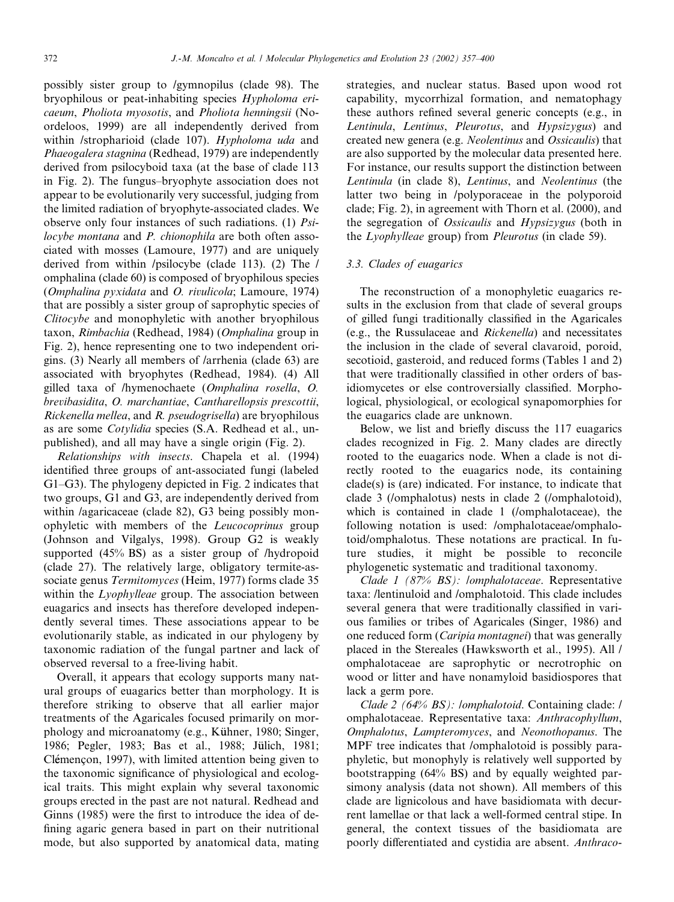possibly sister group to /gymnopilus (clade 98). The bryophilous or peat-inhabiting species Hypholoma ericaeum, Pholiota myosotis, and Pholiota henningsii (Noordeloos, 1999) are all independently derived from within /stropharioid (clade 107). Hypholoma uda and Phaeogalera stagnina (Redhead, 1979) are independently derived from psilocyboid taxa (at the base of clade 113 in Fig. 2). The fungus–bryophyte association does not appear to be evolutionarily very successful, judging from the limited radiation of bryophyte-associated clades. We observe only four instances of such radiations. (1) Psilocybe montana and P. chionophila are both often associated with mosses (Lamoure, 1977) and are uniquely derived from within /psilocybe (clade 113). (2) The / omphalina (clade 60) is composed of bryophilous species (Omphalina pyxidata and O. rivulicola; Lamoure, 1974) that are possibly a sister group of saprophytic species of Clitocybe and monophyletic with another bryophilous taxon, Rimbachia (Redhead, 1984) (Omphalina group in Fig. 2), hence representing one to two independent origins. (3) Nearly all members of /arrhenia (clade 63) are associated with bryophytes (Redhead, 1984). (4) All gilled taxa of /hymenochaete (Omphalina rosella, O. brevibasidita, O. marchantiae, Cantharellopsis prescottii, Rickenella mellea, and R. pseudogrisella) are bryophilous as are some Cotylidia species (S.A. Redhead et al., unpublished), and all may have a single origin (Fig. 2).

Relationships with insects. Chapela et al. (1994) identified three groups of ant-associated fungi (labeled G1–G3). The phylogeny depicted in Fig. 2 indicates that two groups, G1 and G3, are independently derived from within /agaricaceae (clade 82), G3 being possibly monophyletic with members of the Leucocoprinus group (Johnson and Vilgalys, 1998). Group G2 is weakly supported (45% BS) as a sister group of /hydropoid (clade 27). The relatively large, obligatory termite-associate genus Termitomyces (Heim, 1977) forms clade 35 within the *Lyophylleae* group. The association between euagarics and insects has therefore developed independently several times. These associations appear to be evolutionarily stable, as indicated in our phylogeny by taxonomic radiation of the fungal partner and lack of observed reversal to a free-living habit.

Overall, it appears that ecology supports many natural groups of euagarics better than morphology. It is therefore striking to observe that all earlier major treatments of the Agaricales focused primarily on morphology and microanatomy (e.g., Kühner, 1980; Singer, 1986; Pegler, 1983; Bas et al., 1988; Jülich, 1981; Clémencon, 1997), with limited attention being given to the taxonomic significance of physiological and ecological traits. This might explain why several taxonomic groups erected in the past are not natural. Redhead and Ginns (1985) were the first to introduce the idea of defining agaric genera based in part on their nutritional mode, but also supported by anatomical data, mating strategies, and nuclear status. Based upon wood rot capability, mycorrhizal formation, and nematophagy these authors refined several generic concepts (e.g., in Lentinula, Lentinus, Pleurotus, and Hypsizygus) and created new genera (e.g. Neolentinus and Ossicaulis) that are also supported by the molecular data presented here. For instance, our results support the distinction between Lentinula (in clade 8), Lentinus, and Neolentinus (the latter two being in /polyporaceae in the polyporoid clade; Fig. 2), in agreement with Thorn et al. (2000), and the segregation of Ossicaulis and Hypsizygus (both in the Lyophylleae group) from Pleurotus (in clade 59).

#### 3.3. Clades of euagarics

The reconstruction of a monophyletic euagarics results in the exclusion from that clade of several groups of gilled fungi traditionally classified in the Agaricales (e.g., the Russulaceae and Rickenella) and necessitates the inclusion in the clade of several clavaroid, poroid, secotioid, gasteroid, and reduced forms (Tables 1 and 2) that were traditionally classified in other orders of basidiomycetes or else controversially classified. Morphological, physiological, or ecological synapomorphies for the euagarics clade are unknown.

Below, we list and briefly discuss the 117 euagarics clades recognized in Fig. 2. Many clades are directly rooted to the euagarics node. When a clade is not directly rooted to the euagarics node, its containing clade(s) is (are) indicated. For instance, to indicate that clade 3 (/omphalotus) nests in clade 2 (/omphalotoid), which is contained in clade 1 (/omphalotaceae), the following notation is used: /omphalotaceae/omphalotoid/omphalotus. These notations are practical. In future studies, it might be possible to reconcile phylogenetic systematic and traditional taxonomy.

Clade 1 (87% BS): lomphalotaceae. Representative taxa: /lentinuloid and /omphalotoid. This clade includes several genera that were traditionally classified in various families or tribes of Agaricales (Singer, 1986) and one reduced form (Caripia montagnei) that was generally placed in the Stereales (Hawksworth et al., 1995). All / omphalotaceae are saprophytic or necrotrophic on wood or litter and have nonamyloid basidiospores that lack a germ pore.

Clade 2 (64% BS): /omphalotoid. Containing clade: / omphalotaceae. Representative taxa: Anthracophyllum, Omphalotus, Lampteromyces, and Neonothopanus. The MPF tree indicates that /omphalotoid is possibly paraphyletic, but monophyly is relatively well supported by bootstrapping (64% BS) and by equally weighted parsimony analysis (data not shown). All members of this clade are lignicolous and have basidiomata with decurrent lamellae or that lack a well-formed central stipe. In general, the context tissues of the basidiomata are poorly differentiated and cystidia are absent. Anthraco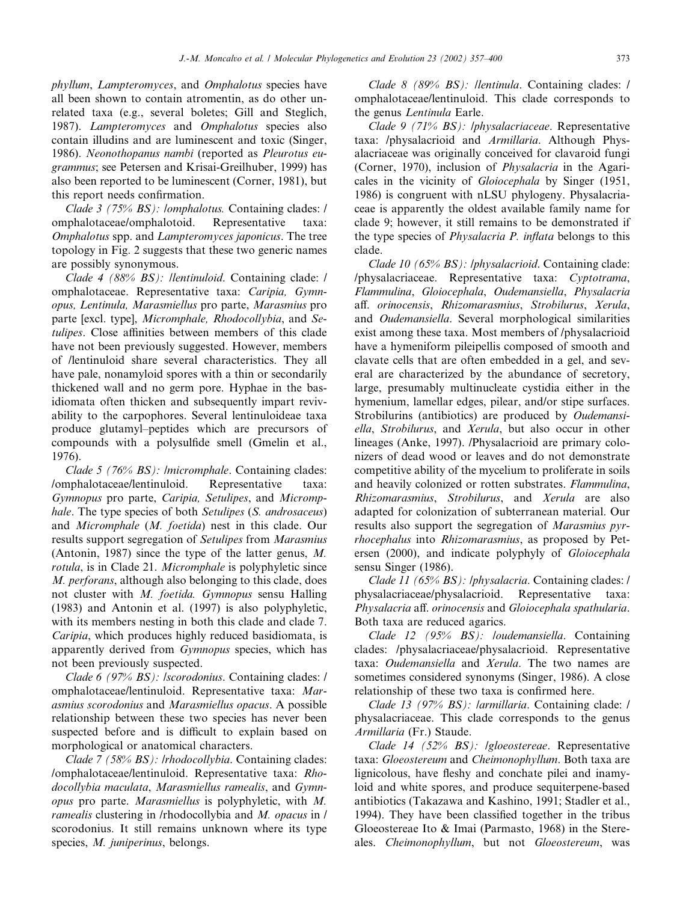phyllum, Lampteromyces, and Omphalotus species have all been shown to contain atromentin, as do other unrelated taxa (e.g., several boletes; Gill and Steglich, 1987). Lampteromyces and Omphalotus species also contain illudins and are luminescent and toxic (Singer, 1986). Neonothopanus nambi (reported as Pleurotus eugrammus; see Petersen and Krisai-Greilhuber, 1999) has also been reported to be luminescent (Corner, 1981), but this report needs confirmation.

Clade 3 (75% BS): /omphalotus. Containing clades: / omphalotaceae/omphalotoid. Representative taxa: Omphalotus spp. and Lampteromyces japonicus. The tree topology in Fig. 2 suggests that these two generic names are possibly synonymous.

Clade 4 (88% BS): /lentinuloid. Containing clade: / omphalotaceae. Representative taxa: Caripia, Gymnopus, Lentinula, Marasmiellus pro parte, Marasmius pro parte [excl. type], Micromphale, Rhodocollybia, and Setulipes. Close affinities between members of this clade have not been previously suggested. However, members of /lentinuloid share several characteristics. They all have pale, nonamyloid spores with a thin or secondarily thickened wall and no germ pore. Hyphae in the basidiomata often thicken and subsequently impart revivability to the carpophores. Several lentinuloideae taxa produce glutamyl–peptides which are precursors of compounds with a polysulfide smell (Gmelin et al., 1976).

Clade 5 (76% BS): /micromphale. Containing clades: /omphalotaceae/lentinuloid. Representative taxa: Gymnopus pro parte, Caripia, Setulipes, and Micromphale. The type species of both Setulipes (S. androsaceus) and Micromphale (M. foetida) nest in this clade. Our results support segregation of Setulipes from Marasmius (Antonin, 1987) since the type of the latter genus, M. rotula, is in Clade 21. Micromphale is polyphyletic since M. perforans, although also belonging to this clade, does not cluster with M. foetida. Gymnopus sensu Halling (1983) and Antonin et al. (1997) is also polyphyletic, with its members nesting in both this clade and clade 7. Caripia, which produces highly reduced basidiomata, is apparently derived from Gymnopus species, which has not been previously suspected.

Clade 6 (97% BS): /scorodonius. Containing clades: / omphalotaceae/lentinuloid. Representative taxa: Marasmius scorodonius and Marasmiellus opacus. A possible relationship between these two species has never been suspected before and is difficult to explain based on morphological or anatomical characters.

Clade 7 (58% BS): */rhodocollybia*. Containing clades: /omphalotaceae/lentinuloid. Representative taxa: Rhodocollybia maculata, Marasmiellus ramealis, and Gymnopus pro parte. Marasmiellus is polyphyletic, with M. ramealis clustering in /rhodocollybia and M. opacus in / scorodonius. It still remains unknown where its type species, *M. juniperinus*, belongs.

Clade 8 (89% BS): llentinula. Containing clades: l omphalotaceae/lentinuloid. This clade corresponds to the genus Lentinula Earle.

Clade 9 (71% BS): /physalacriaceae. Representative taxa: /physalacrioid and *Armillaria*. Although Physalacriaceae was originally conceived for clavaroid fungi (Corner, 1970), inclusion of Physalacria in the Agaricales in the vicinity of Gloiocephala by Singer (1951, 1986) is congruent with nLSU phylogeny. Physalacriaceae is apparently the oldest available family name for clade 9; however, it still remains to be demonstrated if the type species of *Physalacria P. inflata* belongs to this clade.

Clade 10 (65% BS): /physalacrioid. Containing clade: /physalacriaceae. Representative taxa: Cyptotrama, Flammulina, Gloiocephala, Oudemansiella, Physalacria aff. orinocensis, Rhizomarasmius, Strobilurus, Xerula, and Oudemansiella. Several morphological similarities exist among these taxa. Most members of /physalacrioid have a hymeniform pileipellis composed of smooth and clavate cells that are often embedded in a gel, and several are characterized by the abundance of secretory, large, presumably multinucleate cystidia either in the hymenium, lamellar edges, pilear, and/or stipe surfaces. Strobilurins (antibiotics) are produced by Oudemansiella, Strobilurus, and Xerula, but also occur in other lineages (Anke, 1997). /Physalacrioid are primary colonizers of dead wood or leaves and do not demonstrate competitive ability of the mycelium to proliferate in soils and heavily colonized or rotten substrates. Flammulina, Rhizomarasmius, Strobilurus, and Xerula are also adapted for colonization of subterranean material. Our results also support the segregation of Marasmius pyrrhocephalus into Rhizomarasmius, as proposed by Petersen (2000), and indicate polyphyly of *Gloiocephala* sensu Singer (1986).

Clade 11 (65% BS): /physalacria. Containing clades: / physalacriaceae/physalacrioid. Representative taxa: Physalacria aff. orinocensis and Gloiocephala spathularia. Both taxa are reduced agarics.

Clade 12 (95% BS): /oudemansiella. Containing clades: /physalacriaceae/physalacrioid. Representative taxa: Oudemansiella and Xerula. The two names are sometimes considered synonyms (Singer, 1986). A close relationship of these two taxa is confirmed here.

Clade 13 (97% BS): /armillaria. Containing clade: / physalacriaceae. This clade corresponds to the genus Armillaria (Fr.) Staude.

Clade 14 (52% BS): /gloeostereae. Representative taxa: Gloeostereum and Cheimonophyllum. Both taxa are lignicolous, have fleshy and conchate pilei and inamyloid and white spores, and produce sequiterpene-based antibiotics (Takazawa and Kashino, 1991; Stadler et al., 1994). They have been classified together in the tribus Gloeostereae Ito & Imai (Parmasto, 1968) in the Stereales. Cheimonophyllum, but not Gloeostereum, was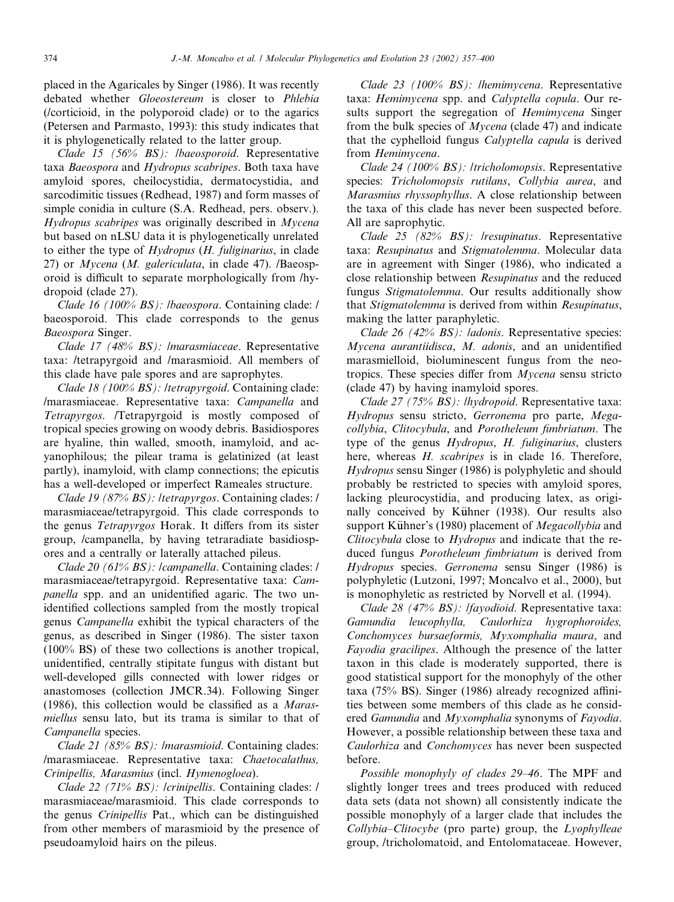placed in the Agaricales by Singer (1986). It was recently debated whether Gloeostereum is closer to Phlebia (/corticioid, in the polyporoid clade) or to the agarics (Petersen and Parmasto, 1993): this study indicates that it is phylogenetically related to the latter group.

Clade 15 (56% BS): *lbaeosporoid*. Representative taxa Baeospora and Hydropus scabripes. Both taxa have amyloid spores, cheilocystidia, dermatocystidia, and sarcodimitic tissues (Redhead, 1987) and form masses of simple conidia in culture (S.A. Redhead, pers. observ.). Hydropus scabripes was originally described in Mycena but based on nLSU data it is phylogenetically unrelated to either the type of Hydropus (H. fuliginarius, in clade 27) or Mycena (M. galericulata, in clade 47). /Baeosporoid is difficult to separate morphologically from /hydropoid (clade 27).

Clade 16 (100% BS): /baeospora. Containing clade: / baeosporoid. This clade corresponds to the genus Baeospora Singer.

Clade 17 (48% BS): *Imarasmiaceae*. Representative taxa: /tetrapyrgoid and /marasmioid. All members of this clade have pale spores and are saprophytes.

Clade 18 (100% BS): /tetrapyrgoid. Containing clade: /marasmiaceae. Representative taxa: Campanella and Tetrapyrgos. /Tetrapyrgoid is mostly composed of tropical species growing on woody debris. Basidiospores are hyaline, thin walled, smooth, inamyloid, and acyanophilous; the pilear trama is gelatinized (at least partly), inamyloid, with clamp connections; the epicutis has a well-developed or imperfect Rameales structure.

Clade 19 (87% BS): /tetrapyrgos. Containing clades: / marasmiaceae/tetrapyrgoid. This clade corresponds to the genus Tetrapyrgos Horak. It differs from its sister group, /campanella, by having tetraradiate basidiospores and a centrally or laterally attached pileus.

Clade 20 (61% BS): /campanella. Containing clades: / marasmiaceae/tetrapyrgoid. Representative taxa: Campanella spp. and an unidentified agaric. The two unidentified collections sampled from the mostly tropical genus Campanella exhibit the typical characters of the genus, as described in Singer (1986). The sister taxon (100% BS) of these two collections is another tropical, unidentified, centrally stipitate fungus with distant but well-developed gills connected with lower ridges or anastomoses (collection JMCR.34). Following Singer (1986), this collection would be classified as a Marasmiellus sensu lato, but its trama is similar to that of Campanella species.

Clade 21 (85% BS): /marasmioid. Containing clades: /marasmiaceae. Representative taxa: Chaetocalathus, Crinipellis, Marasmius (incl. Hymenogloea).

Clade 22 (71% BS): /crinipellis. Containing clades: / marasmiaceae/marasmioid. This clade corresponds to the genus Crinipellis Pat., which can be distinguished from other members of marasmioid by the presence of pseudoamyloid hairs on the pileus.

Clade 23 (100% BS): lhemimycena. Representative taxa: Hemimycena spp. and Calyptella copula. Our results support the segregation of *Hemimycena* Singer from the bulk species of  $Mycena$  (clade 47) and indicate that the cyphelloid fungus Calyptella capula is derived from Hemimycena.

Clade 24 (100% BS): /tricholomopsis. Representative species: Tricholomopsis rutilans, Collybia aurea, and Marasmius rhyssophyllus. A close relationship between the taxa of this clade has never been suspected before. All are saprophytic.

Clade 25 (82% BS): *lresupinatus*. Representative taxa: Resupinatus and Stigmatolemma. Molecular data are in agreement with Singer (1986), who indicated a close relationship between Resupinatus and the reduced fungus Stigmatolemma. Our results additionally show that Stigmatolemma is derived from within Resupinatus, making the latter paraphyletic.

Clade 26 (42% BS): *ladonis*. Representative species: Mycena aurantiidisca, M. adonis, and an unidentified marasmielloid, bioluminescent fungus from the neotropics. These species differ from Mycena sensu stricto (clade 47) by having inamyloid spores.

Clade 27 (75% BS): /hydropoid. Representative taxa: Hydropus sensu stricto, Gerronema pro parte, Megacollybia, Clitocybula, and Porotheleum fimbriatum. The type of the genus Hydropus, H. fuliginarius, clusters here, whereas *H. scabripes* is in clade 16. Therefore, Hydropus sensu Singer (1986) is polyphyletic and should probably be restricted to species with amyloid spores, lacking pleurocystidia, and producing latex, as originally conceived by Kühner (1938). Our results also support Kühner's (1980) placement of *Megacollybia* and Clitocybula close to Hydropus and indicate that the reduced fungus Porotheleum fimbriatum is derived from Hydropus species. Gerronema sensu Singer (1986) is polyphyletic (Lutzoni, 1997; Moncalvo et al., 2000), but is monophyletic as restricted by Norvell et al. (1994).

Clade 28 (47% BS): *Ifayodioid*. Representative taxa: Gamundia leucophylla, Caulorhiza hygrophoroides, Conchomyces bursaeformis, Myxomphalia maura, and Fayodia gracilipes. Although the presence of the latter taxon in this clade is moderately supported, there is good statistical support for the monophyly of the other taxa (75% BS). Singer (1986) already recognized affinities between some members of this clade as he considered Gamundia and Myxomphalia synonyms of Fayodia. However, a possible relationship between these taxa and Caulorhiza and Conchomyces has never been suspected before.

Possible monophyly of clades 29–46. The MPF and slightly longer trees and trees produced with reduced data sets (data not shown) all consistently indicate the possible monophyly of a larger clade that includes the Collybia–Clitocybe (pro parte) group, the Lyophylleae group, /tricholomatoid, and Entolomataceae. However,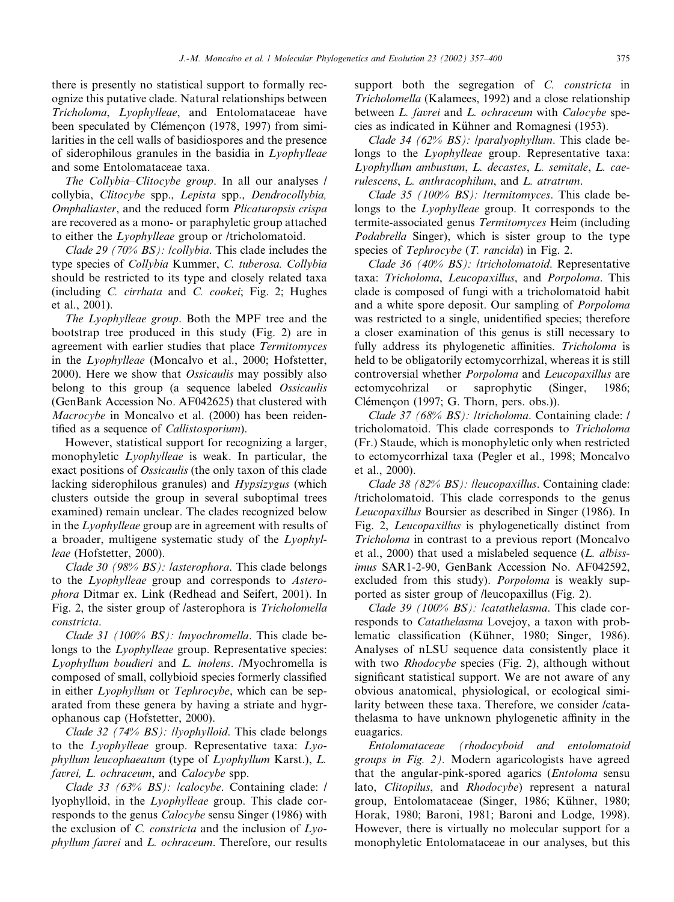there is presently no statistical support to formally recognize this putative clade. Natural relationships between Tricholoma, Lyophylleae, and Entolomataceae have been speculated by Clémencon (1978, 1997) from similarities in the cell walls of basidiospores and the presence of siderophilous granules in the basidia in Lyophylleae and some Entolomataceae taxa.

The Collybia–Clitocybe group. In all our analyses / collybia, Clitocybe spp., Lepista spp., Dendrocollybia, Omphaliaster, and the reduced form Plicaturopsis crispa are recovered as a mono- or paraphyletic group attached to either the Lyophylleae group or /tricholomatoid.

Clade 29 (70% BS): /collybia. This clade includes the type species of Collybia Kummer, C. tuberosa. Collybia should be restricted to its type and closely related taxa (including C. cirrhata and C. cookei; Fig. 2; Hughes et al., 2001).

The Lyophylleae group. Both the MPF tree and the bootstrap tree produced in this study (Fig. 2) are in agreement with earlier studies that place Termitomyces in the Lyophylleae (Moncalvo et al., 2000; Hofstetter, 2000). Here we show that *Ossicaulis* may possibly also belong to this group (a sequence labeled *Ossicaulis* (GenBank Accession No. AF042625) that clustered with Macrocybe in Moncalvo et al. (2000) has been reidentified as a sequence of Callistosporium).

However, statistical support for recognizing a larger, monophyletic Lyophylleae is weak. In particular, the exact positions of *Ossicaulis* (the only taxon of this clade lacking siderophilous granules) and Hypsizygus (which clusters outside the group in several suboptimal trees examined) remain unclear. The clades recognized below in the Lyophylleae group are in agreement with results of a broader, multigene systematic study of the Lyophylleae (Hofstetter, 2000).

Clade 30 (98% BS): lasterophora. This clade belongs to the Lyophylleae group and corresponds to Asterophora Ditmar ex. Link (Redhead and Seifert, 2001). In Fig. 2, the sister group of /asterophora is Tricholomella constricta.

Clade 31 (100% BS): /myochromella. This clade belongs to the *Lyophylleae* group. Representative species: Lyophyllum boudieri and L. inolens. /Myochromella is composed of small, collybioid species formerly classified in either Lyophyllum or Tephrocybe, which can be separated from these genera by having a striate and hygrophanous cap (Hofstetter, 2000).

Clade 32 (74% BS): llyophylloid. This clade belongs to the Lyophylleae group. Representative taxa: Lyophyllum leucophaeatum (type of Lyophyllum Karst.), L. favrei, L. ochraceum, and Calocybe spp.

Clade 33 (63% BS): /calocybe. Containing clade: / lyophylloid, in the Lyophylleae group. This clade corresponds to the genus *Calocybe* sensu Singer (1986) with the exclusion of  $C$ . *constricta* and the inclusion of  $Lyo$ phyllum favrei and L. ochraceum. Therefore, our results

support both the segregation of C. constricta in Tricholomella (Kalamees, 1992) and a close relationship between *L. favrei* and *L. ochraceum* with *Calocybe* species as indicated in Kühner and Romagnesi (1953).

Clade 34 (62% BS): *|paralyophyllum*. This clade belongs to the *Lyophylleae* group. Representative taxa: Lyophyllum ambustum, L. decastes, L. semitale, L. caerulescens, L. anthracophilum, and L. atratrum.

Clade 35 (100% BS): ltermitomyces. This clade belongs to the Lyophylleae group. It corresponds to the termite-associated genus Termitomyces Heim (including Podabrella Singer), which is sister group to the type species of Tephrocybe (T. rancida) in Fig. 2.

Clade 36 (40% BS): /tricholomatoid. Representative taxa: Tricholoma, Leucopaxillus, and Porpoloma. This clade is composed of fungi with a tricholomatoid habit and a white spore deposit. Our sampling of Porpoloma was restricted to a single, unidentified species; therefore a closer examination of this genus is still necessary to fully address its phylogenetic affinities. Tricholoma is held to be obligatorily ectomycorrhizal, whereas it is still controversial whether Porpoloma and Leucopaxillus are ectomycohrizal or saprophytic (Singer, 1986; Clémençon  $(1997; G. Thorn, pers. obs.).$ 

Clade 37 (68% BS): /tricholoma. Containing clade: / tricholomatoid. This clade corresponds to Tricholoma (Fr.) Staude, which is monophyletic only when restricted to ectomycorrhizal taxa (Pegler et al., 1998; Moncalvo et al., 2000).

Clade 38 (82% BS): /leucopaxillus. Containing clade: /tricholomatoid. This clade corresponds to the genus Leucopaxillus Boursier as described in Singer (1986). In Fig. 2, Leucopaxillus is phylogenetically distinct from Tricholoma in contrast to a previous report (Moncalvo et al., 2000) that used a mislabeled sequence  $(L.$  albissimus SAR1-2-90, GenBank Accession No. AF042592, excluded from this study). Porpoloma is weakly supported as sister group of /leucopaxillus (Fig. 2).

Clade 39 (100% BS): lcatathelasma. This clade corresponds to Catathelasma Lovejoy, a taxon with problematic classification (Kühner, 1980; Singer, 1986). Analyses of nLSU sequence data consistently place it with two *Rhodocybe* species (Fig. 2), although without significant statistical support. We are not aware of any obvious anatomical, physiological, or ecological similarity between these taxa. Therefore, we consider /catathelasma to have unknown phylogenetic affinity in the euagarics.

Entolomataceae (rhodocyboid and entolomatoid groups in Fig. 2). Modern agaricologists have agreed that the angular-pink-spored agarics (Entoloma sensu lato, Clitopilus, and Rhodocybe) represent a natural group, Entolomataceae (Singer, 1986; Kühner, 1980; Horak, 1980; Baroni, 1981; Baroni and Lodge, 1998). However, there is virtually no molecular support for a monophyletic Entolomataceae in our analyses, but this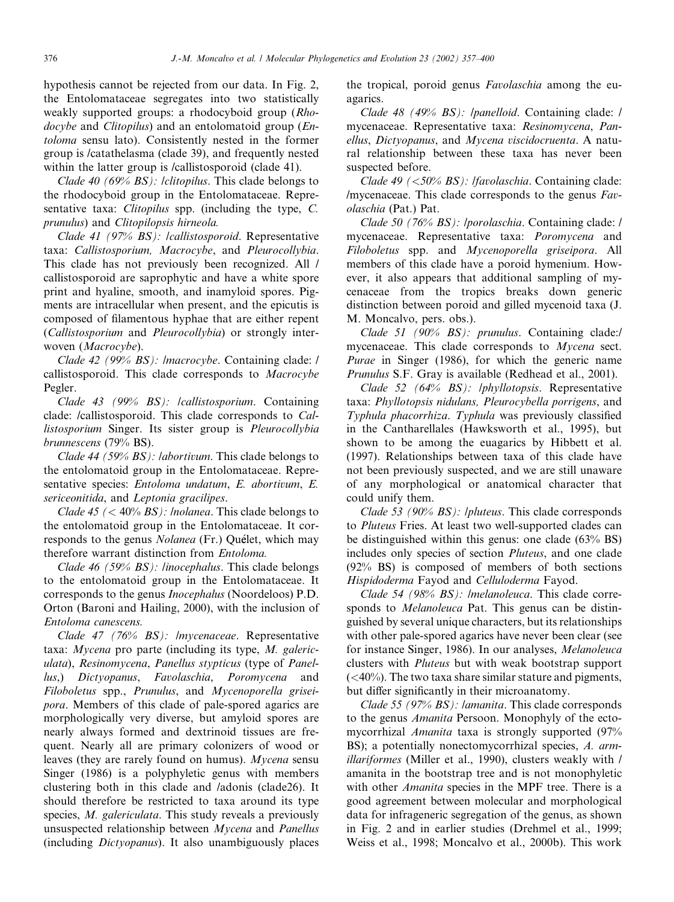hypothesis cannot be rejected from our data. In Fig. 2, the Entolomataceae segregates into two statistically weakly supported groups: a rhodocyboid group (Rhodocybe and Clitopilus) and an entolomatoid group (Entoloma sensu lato). Consistently nested in the former group is /catathelasma (clade 39), and frequently nested within the latter group is /callistosporoid (clade 41).

Clade 40 (69% BS): /clitopilus. This clade belongs to the rhodocyboid group in the Entolomataceae. Representative taxa: *Clitopilus* spp. (including the type, *C*. prunulus) and Clitopilopsis hirneola.

Clade 41 (97% BS): lcallistosporoid. Representative taxa: Callistosporium, Macrocybe, and Pleurocollybia. This clade has not previously been recognized. All / callistosporoid are saprophytic and have a white spore print and hyaline, smooth, and inamyloid spores. Pigments are intracellular when present, and the epicutis is composed of filamentous hyphae that are either repent (Callistosporium and Pleurocollybia) or strongly interwoven (Macrocybe).

Clade 42 (99% BS): /macrocybe. Containing clade: / callistosporoid. This clade corresponds to Macrocybe Pegler.

Clade 43 (99% BS): /callistosporium. Containing clade: /callistosporoid. This clade corresponds to Callistosporium Singer. Its sister group is Pleurocollybia brunnescens (79% BS).

Clade 44 (59% BS): labortivum. This clade belongs to the entolomatoid group in the Entolomataceae. Representative species: Entoloma undatum, E. abortivum, E. sericeonitida, and Leptonia gracilipes.

Clade 45  $\left($  < 40% BS $\right)$ : /nolanea. This clade belongs to the entolomatoid group in the Entolomataceae. It corresponds to the genus *Nolanea* (Fr.) Quélet, which may therefore warrant distinction from Entoloma.

Clade 46 (59% BS): linocephalus. This clade belongs to the entolomatoid group in the Entolomataceae. It corresponds to the genus Inocephalus (Noordeloos) P.D. Orton (Baroni and Hailing, 2000), with the inclusion of Entoloma canescens.

Clade 47 (76% BS): /mycenaceae. Representative taxa: Mycena pro parte (including its type, M. galericulata), Resinomycena, Panellus stypticus (type of Panellus,) Dictyopanus, Favolaschia, Poromycena and Filoboletus spp., Prunulus, and Mycenoporella griseipora. Members of this clade of pale-spored agarics are morphologically very diverse, but amyloid spores are nearly always formed and dextrinoid tissues are frequent. Nearly all are primary colonizers of wood or leaves (they are rarely found on humus). Mycena sensu Singer (1986) is a polyphyletic genus with members clustering both in this clade and /adonis (clade26). It should therefore be restricted to taxa around its type species, *M. galericulata*. This study reveals a previously unsuspected relationship between Mycena and Panellus (including Dictyopanus). It also unambiguously places

the tropical, poroid genus Favolaschia among the euagarics.

Clade 48 (49% BS): /panelloid. Containing clade: / mycenaceae. Representative taxa: Resinomycena, Panellus, Dictyopanus, and Mycena viscidocruenta. A natural relationship between these taxa has never been suspected before.

Clade 49 (<50% BS): *|favolaschia*. Containing clade: /mycenaceae. This clade corresponds to the genus Favolaschia (Pat.) Pat.

Clade 50 (76% BS): /porolaschia. Containing clade: / mycenaceae. Representative taxa: Poromycena and Filoboletus spp. and Mycenoporella griseipora. All members of this clade have a poroid hymenium. However, it also appears that additional sampling of mycenaceae from the tropics breaks down generic distinction between poroid and gilled mycenoid taxa (J. M. Moncalvo, pers. obs.).

Clade 51 (90% BS): prunulus. Containing clade:/ mycenaceae. This clade corresponds to Mycena sect. Purae in Singer (1986), for which the generic name Prunulus S.F. Gray is available (Redhead et al., 2001).

Clade 52 (64% BS): /phyllotopsis. Representative taxa: Phyllotopsis nidulans, Pleurocybella porrigens, and Typhula phacorrhiza. Typhula was previously classified in the Cantharellales (Hawksworth et al., 1995), but shown to be among the euagarics by Hibbett et al. (1997). Relationships between taxa of this clade have not been previously suspected, and we are still unaware of any morphological or anatomical character that could unify them.

Clade 53 (90% BS): /pluteus. This clade corresponds to Pluteus Fries. At least two well-supported clades can be distinguished within this genus: one clade (63% BS) includes only species of section Pluteus, and one clade (92% BS) is composed of members of both sections Hispidoderma Fayod and Celluloderma Fayod.

Clade 54 (98% BS): *Imelanoleuca*. This clade corresponds to Melanoleuca Pat. This genus can be distinguished by several unique characters, but its relationships with other pale-spored agarics have never been clear (see for instance Singer, 1986). In our analyses, Melanoleuca clusters with Pluteus but with weak bootstrap support  $( $40\%$ ). The two taxa share similar statue and pigments,$ but differ significantly in their microanatomy.

Clade 55 (97% BS): lamanita. This clade corresponds to the genus Amanita Persoon. Monophyly of the ectomycorrhizal Amanita taxa is strongly supported (97% BS); a potentially nonectomycorrhizal species, A. armillariformes (Miller et al., 1990), clusters weakly with / amanita in the bootstrap tree and is not monophyletic with other *Amanita* species in the MPF tree. There is a good agreement between molecular and morphological data for infrageneric segregation of the genus, as shown in Fig. 2 and in earlier studies (Drehmel et al., 1999; Weiss et al., 1998; Moncalvo et al., 2000b). This work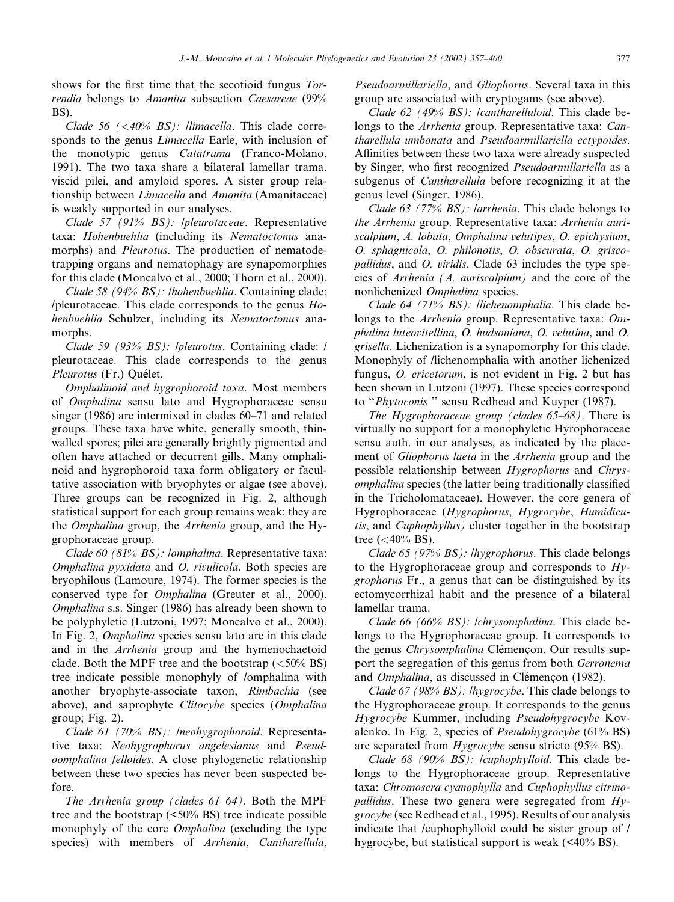shows for the first time that the secotioid fungus Torrendia belongs to Amanita subsection Caesareae (99% BS).

Clade 56  $( $40\%$  BS)$ : llimacella. This clade corresponds to the genus *Limacella* Earle, with inclusion of the monotypic genus Catatrama (Franco-Molano, 1991). The two taxa share a bilateral lamellar trama. viscid pilei, and amyloid spores. A sister group relationship between Limacella and Amanita (Amanitaceae) is weakly supported in our analyses.

Clade 57 (91% BS): /pleurotaceae. Representative taxa: Hohenbuehlia (including its Nematoctonus anamorphs) and *Pleurotus*. The production of nematodetrapping organs and nematophagy are synapomorphies for this clade (Moncalvo et al., 2000; Thorn et al., 2000).

Clade 58 (94% BS): /hohenbuehlia. Containing clade: /pleurotaceae. This clade corresponds to the genus Hohenbuehlia Schulzer, including its Nematoctonus anamorphs.

Clade 59 (93% BS): /pleurotus. Containing clade: / pleurotaceae. This clade corresponds to the genus Pleurotus (Fr.) Quélet.

Omphalinoid and hygrophoroid taxa. Most members of Omphalina sensu lato and Hygrophoraceae sensu singer (1986) are intermixed in clades 60–71 and related groups. These taxa have white, generally smooth, thinwalled spores; pilei are generally brightly pigmented and often have attached or decurrent gills. Many omphalinoid and hygrophoroid taxa form obligatory or facultative association with bryophytes or algae (see above). Three groups can be recognized in Fig. 2, although statistical support for each group remains weak: they are the Omphalina group, the Arrhenia group, and the Hygrophoraceae group.

Clade 60 (81% BS): /omphalina. Representative taxa: Omphalina pyxidata and O. rivulicola. Both species are bryophilous (Lamoure, 1974). The former species is the conserved type for *Omphalina* (Greuter et al., 2000). Omphalina s.s. Singer (1986) has already been shown to be polyphyletic (Lutzoni, 1997; Moncalvo et al., 2000). In Fig. 2, Omphalina species sensu lato are in this clade and in the Arrhenia group and the hymenochaetoid clade. Both the MPF tree and the bootstrap  $(<50\%$  BS) tree indicate possible monophyly of /omphalina with another bryophyte-associate taxon, Rimbachia (see above), and saprophyte Clitocybe species (Omphalina group; Fig. 2).

Clade 61 (70% BS): *Ineohygrophoroid*. Representative taxa: Neohygrophorus angelesianus and Pseudoomphalina felloides. A close phylogenetic relationship between these two species has never been suspected before.

The Arrhenia group (clades 61–64). Both the MPF tree and the bootstrap (<50% BS) tree indicate possible monophyly of the core *Omphalina* (excluding the type species) with members of Arrhenia, Cantharellula,

Pseudoarmillariella, and Gliophorus. Several taxa in this group are associated with cryptogams (see above).

Clade 62 (49% BS): /cantharelluloid. This clade belongs to the Arrhenia group. Representative taxa: Cantharellula umbonata and Pseudoarmillariella ectypoides. Affinities between these two taxa were already suspected by Singer, who first recognized *Pseudoarmillariella* as a subgenus of *Cantharellula* before recognizing it at the genus level (Singer, 1986).

Clade 63 (77% BS): larrhenia. This clade belongs to the Arrhenia group. Representative taxa: Arrhenia auriscalpium, A. lobata, Omphalina velutipes, O. epichysium, O. sphagnicola, O. philonotis, O. obscurata, O. griseopallidus, and O. viridis. Clade 63 includes the type species of Arrhenia (A. auriscalpium) and the core of the nonlichenized Omphalina species.

Clade 64 (71%  $BS$ ): llichenomphalia. This clade belongs to the *Arrhenia* group. Representative taxa: Omphalina luteovitellina, O. hudsoniana, O. velutina, and O. grisella. Lichenization is a synapomorphy for this clade. Monophyly of /lichenomphalia with another lichenized fungus, *O. ericetorum*, is not evident in Fig. 2 but has been shown in Lutzoni (1997). These species correspond to "Phytoconis" sensu Redhead and Kuyper (1987).

The Hygrophoraceae group (clades 65–68). There is virtually no support for a monophyletic Hyrophoraceae sensu auth. in our analyses, as indicated by the placement of Gliophorus laeta in the Arrhenia group and the possible relationship between Hygrophorus and Chrysomphalina species (the latter being traditionally classified in the Tricholomataceae). However, the core genera of Hygrophoraceae (Hygrophorus, Hygrocybe, Humidicutis, and Cuphophyllus) cluster together in the bootstrap tree  $(<,40\%$  BS).

Clade 65 (97% BS): /hygrophorus. This clade belongs to the Hygrophoraceae group and corresponds to  $Hy$ grophorus Fr., a genus that can be distinguished by its ectomycorrhizal habit and the presence of a bilateral lamellar trama.

Clade 66 (66% BS): lchrysomphalina. This clade belongs to the Hygrophoraceae group. It corresponds to the genus *Chrysomphalina* Clémencon. Our results support the segregation of this genus from both Gerronema and *Omphalina*, as discussed in Clémencon (1982).

Clade 67 (98% BS): /hygrocybe. This clade belongs to the Hygrophoraceae group. It corresponds to the genus Hygrocybe Kummer, including Pseudohygrocybe Kovalenko. In Fig. 2, species of *Pseudohygrocybe*  $(61\%$  BS) are separated from *Hygrocybe* sensu stricto (95% BS).

Clade 68 (90% BS): /cuphophylloid. This clade belongs to the Hygrophoraceae group. Representative taxa: Chromosera cyanophylla and Cuphophyllus citrino*pallidus*. These two genera were segregated from  $Hy$ grocybe (see Redhead et al., 1995). Results of our analysis indicate that /cuphophylloid could be sister group of / hygrocybe, but statistical support is weak (<40% BS).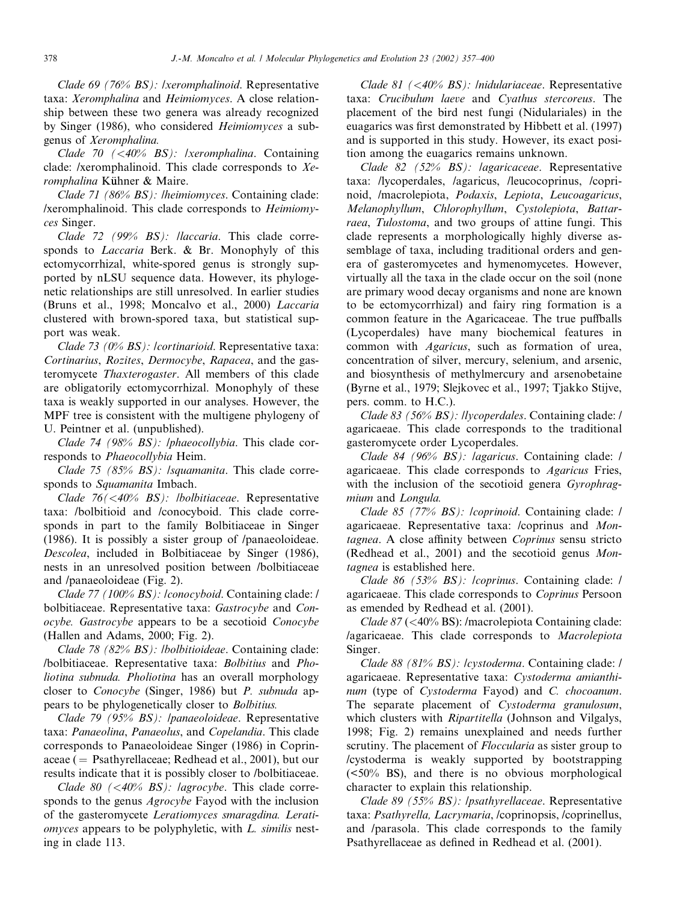Clade 69 (76% BS): /xeromphalinoid. Representative taxa: Xeromphalina and Heimiomyces. A close relationship between these two genera was already recognized by Singer (1986), who considered Heimiomyces a subgenus of Xeromphalina.

Clade 70 (<40% BS): /xeromphalina. Containing clade: /xeromphalinoid. This clade corresponds to Xeromphalina Kühner & Maire.

Clade 71 (86% BS): /heimiomyces. Containing clade: /xeromphalinoid. This clade corresponds to Heimiomyces Singer.

Clade 72 (99% BS): llaccaria. This clade corresponds to Laccaria Berk. & Br. Monophyly of this ectomycorrhizal, white-spored genus is strongly supported by nLSU sequence data. However, its phylogenetic relationships are still unresolved. In earlier studies (Bruns et al., 1998; Moncalvo et al., 2000) Laccaria clustered with brown-spored taxa, but statistical support was weak.

Clade 73 (0% BS): /cortinarioid. Representative taxa: Cortinarius, Rozites, Dermocybe, Rapacea, and the gasteromycete Thaxterogaster. All members of this clade are obligatorily ectomycorrhizal. Monophyly of these taxa is weakly supported in our analyses. However, the MPF tree is consistent with the multigene phylogeny of U. Peintner et al. (unpublished).

Clade 74 (98% BS): */phaeocollybia*. This clade corresponds to Phaeocollybia Heim.

Clade 75 (85% BS): /squamanita. This clade corresponds to Squamanita Imbach.

Clade 76(<40% BS): /bolbitiaceae. Representative taxa: /bolbitioid and /conocyboid. This clade corresponds in part to the family Bolbitiaceae in Singer (1986). It is possibly a sister group of /panaeoloideae. Descolea, included in Bolbitiaceae by Singer (1986), nests in an unresolved position between /bolbitiaceae and /panaeoloideae (Fig. 2).

Clade 77 (100% BS): /conocyboid. Containing clade: / bolbitiaceae. Representative taxa: Gastrocybe and Conocybe. Gastrocybe appears to be a secotioid Conocybe (Hallen and Adams, 2000; Fig. 2).

Clade 78 (82% BS): /bolbitioideae. Containing clade: /bolbitiaceae. Representative taxa: Bolbitius and Pholiotina subnuda. Pholiotina has an overall morphology closer to Conocybe (Singer, 1986) but P. subnuda appears to be phylogenetically closer to Bolbitius.

Clade 79 (95% BS): /panaeoloideae. Representative taxa: Panaeolina, Panaeolus, and Copelandia. This clade corresponds to Panaeoloideae Singer (1986) in Coprinaceae ( $=$  Psathyrellaceae; Redhead et al., 2001), but our results indicate that it is possibly closer to /bolbitiaceae.

Clade 80  $\left( \langle 40\% \; BS \rangle : \text{lagrocybe. This clade corre-} \right)$ sponds to the genus *Agrocybe* Fayod with the inclusion of the gasteromycete Leratiomyces smaragdina. Leratiomyces appears to be polyphyletic, with L. similis nesting in clade 113.

Clade 81 (<40% BS): *Inidulariaceae*. Representative taxa: Crucibulum laeve and Cyathus stercoreus. The placement of the bird nest fungi (Nidulariales) in the euagarics was first demonstrated by Hibbett et al. (1997) and is supported in this study. However, its exact position among the euagarics remains unknown.

Clade 82 (52% BS): lagaricaceae. Representative taxa: /lycoperdales, /agaricus, /leucocoprinus, /coprinoid, /macrolepiota, Podaxis, Lepiota, Leucoagaricus, Melanophyllum, Chlorophyllum, Cystolepiota, Battarraea, Tulostoma, and two groups of attine fungi. This clade represents a morphologically highly diverse assemblage of taxa, including traditional orders and genera of gasteromycetes and hymenomycetes. However, virtually all the taxa in the clade occur on the soil (none are primary wood decay organisms and none are known to be ectomycorrhizal) and fairy ring formation is a common feature in the Agaricaceae. The true puffballs (Lycoperdales) have many biochemical features in common with Agaricus, such as formation of urea, concentration of silver, mercury, selenium, and arsenic, and biosynthesis of methylmercury and arsenobetaine (Byrne et al., 1979; Slejkovec et al., 1997; Tjakko Stijve, pers. comm. to H.C.).

Clade 83 (56% BS): /lycoperdales. Containing clade: / agaricaeae. This clade corresponds to the traditional gasteromycete order Lycoperdales.

Clade 84 (96% BS): lagaricus. Containing clade: l agaricaeae. This clade corresponds to Agaricus Fries, with the inclusion of the secotioid genera Gyrophragmium and Longula.

Clade 85 (77% BS): /coprinoid. Containing clade: / agaricaeae. Representative taxa: /coprinus and Montagnea. A close affinity between Coprinus sensu stricto (Redhead et al., 2001) and the secotioid genus Montagnea is established here.

Clade 86 (53% BS): /coprinus. Containing clade: / agaricaeae. This clade corresponds to Coprinus Persoon as emended by Redhead et al. (2001).

Clade 87 (<40% BS): /macrolepiota Containing clade: /agaricaeae. This clade corresponds to Macrolepiota Singer.

Clade 88 (81% BS): /cystoderma. Containing clade: / agaricaeae. Representative taxa: Cystoderma amianthinum (type of *Cystoderma* Fayod) and *C. chocoanum*. The separate placement of Cystoderma granulosum, which clusters with *Ripartitella* (Johnson and Vilgalys, 1998; Fig. 2) remains unexplained and needs further scrutiny. The placement of *Floccularia* as sister group to /cystoderma is weakly supported by bootstrapping (<50% BS), and there is no obvious morphological character to explain this relationship.

Clade 89 (55% BS): /psathyrellaceae. Representative taxa: Psathyrella, Lacrymaria, /coprinopsis, /coprinellus, and /parasola. This clade corresponds to the family Psathyrellaceae as defined in Redhead et al. (2001).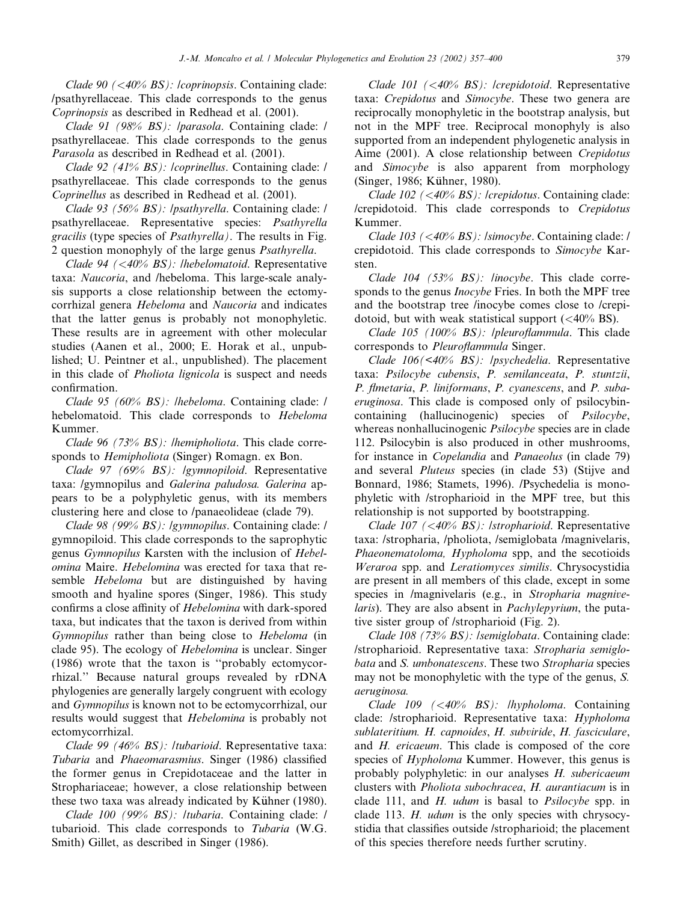Clade 90  $\left( \langle 40\% \; BS \rangle : \right.$  / *coprinopsis*. Containing clade: /psathyrellaceae. This clade corresponds to the genus Coprinopsis as described in Redhead et al. (2001).

Clade 91 (98% BS): /parasola. Containing clade: / psathyrellaceae. This clade corresponds to the genus Parasola as described in Redhead et al. (2001).

Clade 92 (41% BS): /coprinellus. Containing clade: / psathyrellaceae. This clade corresponds to the genus Coprinellus as described in Redhead et al. (2001).

Clade 93 (56% BS): /psathyrella. Containing clade: / psathyrellaceae. Representative species: Psathyrella gracilis (type species of Psathyrella). The results in Fig. 2 question monophyly of the large genus Psathyrella.

Clade 94  $(*40%* BS)$ : lhebelomatoid. Representative taxa: Naucoria, and /hebeloma. This large-scale analysis supports a close relationship between the ectomycorrhizal genera Hebeloma and Naucoria and indicates that the latter genus is probably not monophyletic. These results are in agreement with other molecular studies (Aanen et al., 2000; E. Horak et al., unpublished; U. Peintner et al., unpublished). The placement in this clade of *Pholiota lignicola* is suspect and needs confirmation.

Clade 95 (60% BS): /hebeloma. Containing clade: / hebelomatoid. This clade corresponds to Hebeloma Kummer.

Clade 96 (73%  $BS$ ): lhemipholiota. This clade corresponds to Hemipholiota (Singer) Romagn. ex Bon.

Clade 97 (69% BS): /gymnopiloid. Representative taxa: /gymnopilus and Galerina paludosa. Galerina appears to be a polyphyletic genus, with its members clustering here and close to /panaeolideae (clade 79).

Clade 98 (99% BS): /gymnopilus. Containing clade: / gymnopiloid. This clade corresponds to the saprophytic genus Gymnopilus Karsten with the inclusion of Hebelomina Maire. Hebelomina was erected for taxa that resemble *Hebeloma* but are distinguished by having smooth and hyaline spores (Singer, 1986). This study confirms a close affinity of Hebelomina with dark-spored taxa, but indicates that the taxon is derived from within Gymnopilus rather than being close to Hebeloma (in clade 95). The ecology of Hebelomina is unclear. Singer (1986) wrote that the taxon is ''probably ectomycorrhizal.'' Because natural groups revealed by rDNA phylogenies are generally largely congruent with ecology and Gymnopilus is known not to be ectomycorrhizal, our results would suggest that *Hebelomina* is probably not ectomycorrhizal.

Clade 99 (46% BS): /tubarioid. Representative taxa: Tubaria and Phaeomarasmius. Singer (1986) classified the former genus in Crepidotaceae and the latter in Strophariaceae; however, a close relationship between these two taxa was already indicated by Kühner (1980).

Clade 100 (99% BS): /tubaria. Containing clade: / tubarioid. This clade corresponds to Tubaria (W.G. Smith) Gillet, as described in Singer (1986).

Clade 101 (<40% BS): lcrepidotoid. Representative taxa: Crepidotus and Simocybe. These two genera are reciprocally monophyletic in the bootstrap analysis, but not in the MPF tree. Reciprocal monophyly is also supported from an independent phylogenetic analysis in Aime (2001). A close relationship between Crepidotus and Simocybe is also apparent from morphology (Singer, 1986; Kühner, 1980).

Clade 102 (<40% BS): /crepidotus. Containing clade: /crepidotoid. This clade corresponds to Crepidotus Kummer.

Clade 103 (<40% BS): /simocybe. Containing clade: / crepidotoid. This clade corresponds to Simocybe Karsten.

Clade 104 (53% BS): linocybe. This clade corresponds to the genus *Inocybe* Fries. In both the MPF tree and the bootstrap tree /inocybe comes close to /crepidotoid, but with weak statistical support  $( $40\%$  BS)$ .

Clade 105 (100% BS): /pleuroflammula. This clade corresponds to Pleuroflammula Singer.

Clade 106(<40% BS): /psychedelia. Representative taxa: Psilocybe cubensis, P. semilanceata, P. stuntzii, P. flmetaria, P. liniformans, P. cyanescens, and P. subaeruginosa. This clade is composed only of psilocybincontaining (hallucinogenic) species of Psilocybe, whereas nonhallucinogenic *Psilocybe* species are in clade 112. Psilocybin is also produced in other mushrooms, for instance in *Copelandia* and *Panaeolus* (in clade 79) and several Pluteus species (in clade 53) (Stijve and Bonnard, 1986; Stamets, 1996). /Psychedelia is monophyletic with /stropharioid in the MPF tree, but this relationship is not supported by bootstrapping.

Clade 107 (<40% BS): /stropharioid. Representative taxa: /stropharia, /pholiota, /semiglobata /magnivelaris, Phaeonematoloma, Hypholoma spp, and the secotioids Weraroa spp. and Leratiomyces similis. Chrysocystidia are present in all members of this clade, except in some species in /magnivelaris (e.g., in Stropharia magnive*laris*). They are also absent in *Pachylepyrium*, the putative sister group of /stropharioid (Fig. 2).

Clade 108 (73% BS): /semiglobata. Containing clade: /stropharioid. Representative taxa: Stropharia semiglobata and S. umbonatescens. These two Stropharia species may not be monophyletic with the type of the genus, S. aeruginosa.

Clade 109  $(\leq 40\%$  BS): lhypholoma. Containing clade: /stropharioid. Representative taxa: Hypholoma sublateritium. H. capnoides, H. subviride, H. fasciculare, and *H. ericaeum*. This clade is composed of the core species of *Hypholoma* Kummer. However, this genus is probably polyphyletic: in our analyses H. subericaeum clusters with Pholiota subochracea, H. aurantiacum is in clade 111, and  $H$ . *udum* is basal to  $P<sub>silocy</sub>$  be spp. in clade 113. H. udum is the only species with chrysocystidia that classifies outside /stropharioid; the placement of this species therefore needs further scrutiny.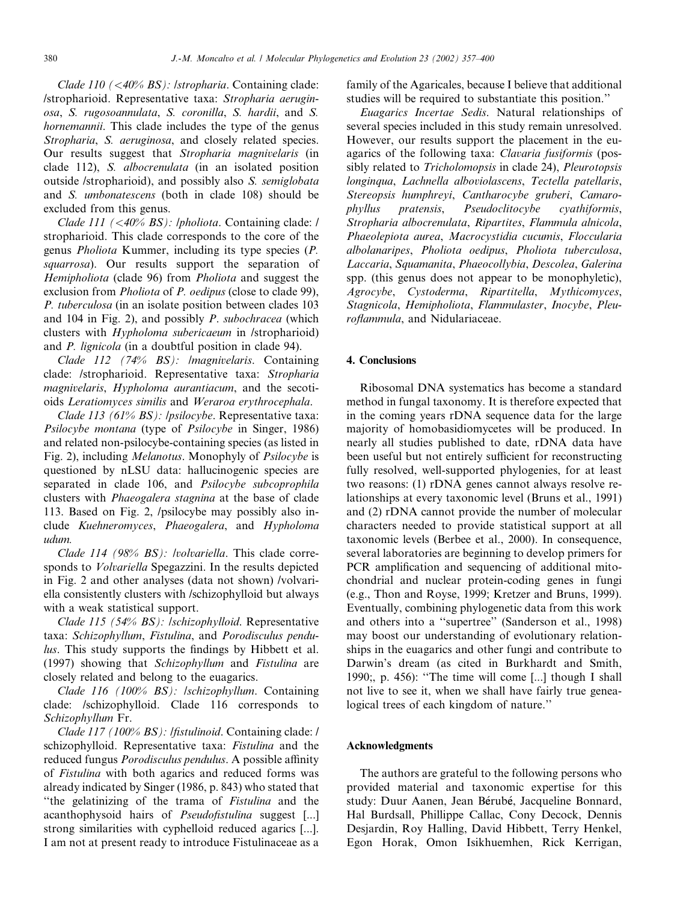Clade 110 (<40% BS): /stropharia. Containing clade: /stropharioid. Representative taxa: Stropharia aeruginosa, S. rugosoannulata, S. coronilla, S. hardii, and S. hornemannii. This clade includes the type of the genus Stropharia, S. aeruginosa, and closely related species. Our results suggest that Stropharia magnivelaris (in clade 112), S. albocrenulata (in an isolated position outside /stropharioid), and possibly also S. semiglobata and S. umbonatescens (both in clade 108) should be excluded from this genus.

Clade 111 (<40% BS): *|pholiota*. Containing clade: / stropharioid. This clade corresponds to the core of the genus Pholiota Kummer, including its type species (P. squarrosa). Our results support the separation of Hemipholiota (clade 96) from Pholiota and suggest the exclusion from *Pholiota* of *P. oedipus* (close to clade 99), P. tuberculosa (in an isolate position between clades 103 and 104 in Fig. 2), and possibly P. subochracea (which clusters with Hypholoma subericaeum in /stropharioid) and P. lignicola (in a doubtful position in clade 94).

Clade 112 (74% BS): /magnivelaris. Containing clade: /stropharioid. Representative taxa: Stropharia magnivelaris, Hypholoma aurantiacum, and the secotioids Leratiomyces similis and Weraroa erythrocephala.

Clade 113 (61% BS): /psilocybe. Representative taxa: Psilocybe montana (type of Psilocybe in Singer, 1986) and related non-psilocybe-containing species (as listed in Fig. 2), including Melanotus. Monophyly of Psilocybe is questioned by nLSU data: hallucinogenic species are separated in clade 106, and Psilocybe subcoprophila clusters with Phaeogalera stagnina at the base of clade 113. Based on Fig. 2, /psilocybe may possibly also include Kuehneromyces, Phaeogalera, and Hypholoma udum.

Clade 114 (98% BS): *lvolvariella*. This clade corresponds to Volvariella Spegazzini. In the results depicted in Fig. 2 and other analyses (data not shown) /volvariella consistently clusters with /schizophylloid but always with a weak statistical support.

Clade 115 (54% BS): /schizophylloid. Representative taxa: Schizophyllum, Fistulina, and Porodisculus pendulus. This study supports the findings by Hibbett et al. (1997) showing that Schizophyllum and Fistulina are closely related and belong to the euagarics.

Clade 116 (100% BS): /schizophyllum. Containing clade: /schizophylloid. Clade 116 corresponds to Schizophyllum Fr.

Clade 117 (100% BS): /fistulinoid. Containing clade: / schizophylloid. Representative taxa: Fistulina and the reduced fungus Porodisculus pendulus. A possible affinity of Fistulina with both agarics and reduced forms was already indicated by Singer (1986, p. 843) who stated that ''the gelatinizing of the trama of Fistulina and the acanthophysoid hairs of Pseudofistulina suggest [...] strong similarities with cyphelloid reduced agarics [...]. I am not at present ready to introduce Fistulinaceae as a

family of the Agaricales, because I believe that additional studies will be required to substantiate this position.''

Euagarics Incertae Sedis. Natural relationships of several species included in this study remain unresolved. However, our results support the placement in the euagarics of the following taxa: Clavaria fusiformis (possibly related to Tricholomopsis in clade 24), Pleurotopsis longinqua, Lachnella alboviolascens, Tectella patellaris, Stereopsis humphreyi, Cantharocybe gruberi, Camarophyllus pratensis, Pseudoclitocybe cyathiformis, Stropharia albocrenulata, Ripartites, Flammula alnicola, Phaeolepiota aurea, Macrocystidia cucumis, Floccularia albolanaripes, Pholiota oedipus, Pholiota tuberculosa, Laccaria, Squamanita, Phaeocollybia, Descolea, Galerina spp. (this genus does not appear to be monophyletic), Agrocybe, Cystoderma, Ripartitella, Mythicomyces, Stagnicola, Hemipholiota, Flammulaster, Inocybe, Pleuroflammula, and Nidulariaceae.

#### 4. Conclusions

Ribosomal DNA systematics has become a standard method in fungal taxonomy. It is therefore expected that in the coming years rDNA sequence data for the large majority of homobasidiomycetes will be produced. In nearly all studies published to date, rDNA data have been useful but not entirely sufficient for reconstructing fully resolved, well-supported phylogenies, for at least two reasons: (1) rDNA genes cannot always resolve relationships at every taxonomic level (Bruns et al., 1991) and (2) rDNA cannot provide the number of molecular characters needed to provide statistical support at all taxonomic levels (Berbee et al., 2000). In consequence, several laboratories are beginning to develop primers for PCR amplification and sequencing of additional mitochondrial and nuclear protein-coding genes in fungi (e.g., Thon and Royse, 1999; Kretzer and Bruns, 1999). Eventually, combining phylogenetic data from this work and others into a ''supertree'' (Sanderson et al., 1998) may boost our understanding of evolutionary relationships in the euagarics and other fungi and contribute to Darwin's dream (as cited in Burkhardt and Smith, 1990;, p. 456): ''The time will come [...] though I shall not live to see it, when we shall have fairly true genealogical trees of each kingdom of nature.''

#### Acknowledgments

The authors are grateful to the following persons who provided material and taxonomic expertise for this study: Duur Aanen, Jean Bérubé, Jacqueline Bonnard, Hal Burdsall, Phillippe Callac, Cony Decock, Dennis Desjardin, Roy Halling, David Hibbett, Terry Henkel, Egon Horak, Omon Isikhuemhen, Rick Kerrigan,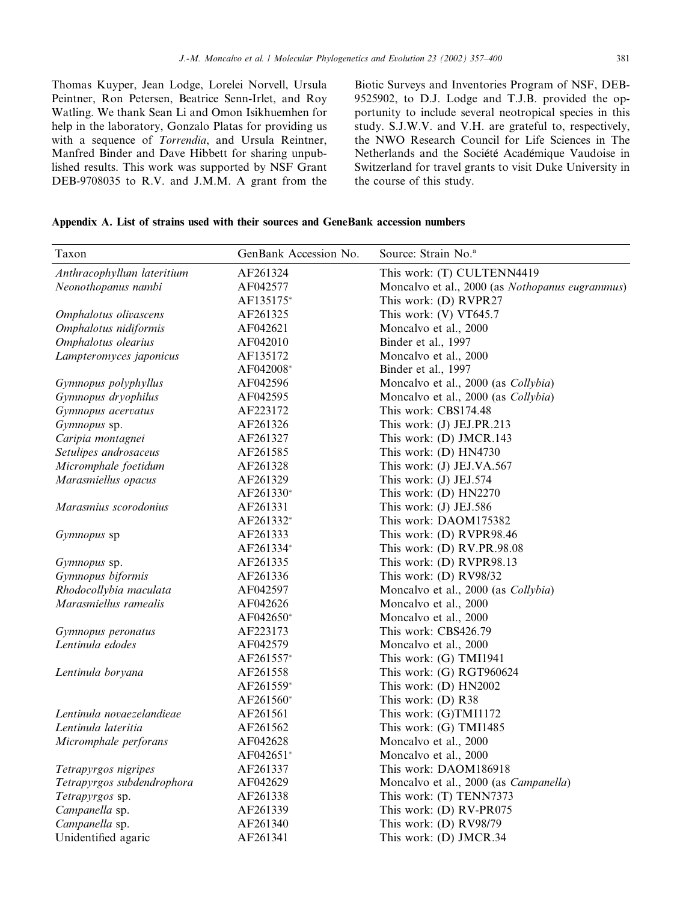Thomas Kuyper, Jean Lodge, Lorelei Norvell, Ursula Peintner, Ron Petersen, Beatrice Senn-Irlet, and Roy Watling. We thank Sean Li and Omon Isikhuemhen for help in the laboratory, Gonzalo Platas for providing us with a sequence of Torrendia, and Ursula Reintner, Manfred Binder and Dave Hibbett for sharing unpublished results. This work was supported by NSF Grant DEB-9708035 to R.V. and J.M.M. A grant from the Biotic Surveys and Inventories Program of NSF, DEB-9525902, to D.J. Lodge and T.J.B. provided the opportunity to include several neotropical species in this study. S.J.W.V. and V.H. are grateful to, respectively, the NWO Research Council for Life Sciences in The Netherlands and the Société Académique Vaudoise in Switzerland for travel grants to visit Duke University in the course of this study.

#### Appendix A. List of strains used with their sources and GeneBank accession numbers

| Taxon                      | GenBank Accession No. | Source: Strain No. <sup>a</sup>                 |
|----------------------------|-----------------------|-------------------------------------------------|
| Anthracophyllum lateritium | AF261324              | This work: (T) CULTENN4419                      |
| Neonothopanus nambi        | AF042577              | Moncalvo et al., 2000 (as Nothopanus eugrammus) |
|                            | AF135175*             | This work: (D) RVPR27                           |
| Omphalotus olivascens      | AF261325              | This work: (V) VT645.7                          |
| Omphalotus nidiformis      | AF042621              | Moncalvo et al., 2000                           |
| Omphalotus olearius        | AF042010              | Binder et al., 1997                             |
| Lampteromyces japonicus    | AF135172              | Moncalvo et al., 2000                           |
|                            | AF042008*             | Binder et al., 1997                             |
| Gymnopus polyphyllus       | AF042596              | Moncalvo et al., 2000 (as Collybia)             |
| Gymnopus dryophilus        | AF042595              | Moncalvo et al., 2000 (as Collybia)             |
| Gymnopus acervatus         | AF223172              | This work: CBS174.48                            |
| Gymnopus sp.               | AF261326              | This work: (J) JEJ.PR.213                       |
| Caripia montagnei          | AF261327              | This work: (D) JMCR.143                         |
| Setulipes androsaceus      | AF261585              | This work: (D) HN4730                           |
| Micromphale foetidum       | AF261328              | This work: (J) JEJ.VA.567                       |
| Marasmiellus opacus        | AF261329              | This work: (J) JEJ.574                          |
|                            | AF261330*             | This work: (D) HN2270                           |
| Marasmius scorodonius      | AF261331              | This work: (J) JEJ.586                          |
|                            | AF261332*             | This work: DAOM175382                           |
| Gymnopus sp                | AF261333              | This work: (D) RVPR98.46                        |
|                            | AF261334*             | This work: (D) RV.PR.98.08                      |
| Gymnopus sp.               | AF261335              | This work: (D) RVPR98.13                        |
| Gymnopus biformis          | AF261336              | This work: $(D)$ RV98/32                        |
| Rhodocollybia maculata     | AF042597              | Moncalvo et al., 2000 (as Collybia)             |
| Marasmiellus ramealis      | AF042626              | Moncalvo et al., 2000                           |
|                            | AF042650*             | Moncalvo et al., 2000                           |
| Gymnopus peronatus         | AF223173              | This work: CBS426.79                            |
| Lentinula edodes           | AF042579              | Moncalvo et al., 2000                           |
|                            | AF261557*             | This work: (G) TMI1941                          |
| Lentinula boryana          | AF261558              | This work: (G) RGT960624                        |
|                            | AF261559*             | This work: (D) HN2002                           |
|                            | AF261560*             | This work: (D) R38                              |
| Lentinula novaezelandieae  | AF261561              | This work: (G)TMI1172                           |
| Lentinula lateritia        | AF261562              | This work: (G) TMI1485                          |
| Micromphale perforans      | AF042628              | Moncalvo et al., 2000                           |
|                            | AF042651*             | Moncalvo et al., 2000                           |
| Tetrapyrgos nigripes       | AF261337              | This work: DAOM186918                           |
| Tetrapyrgos subdendrophora | AF042629              | Moncalvo et al., 2000 (as Campanella)           |
| Tetrapyrgos sp.            | AF261338              | This work: (T) TENN7373                         |
| Campanella sp.             | AF261339              | This work: (D) RV-PR075                         |
| Campanella sp.             | AF261340              | This work: (D) RV98/79                          |
| Unidentified agaric        | AF261341              | This work: (D) JMCR.34                          |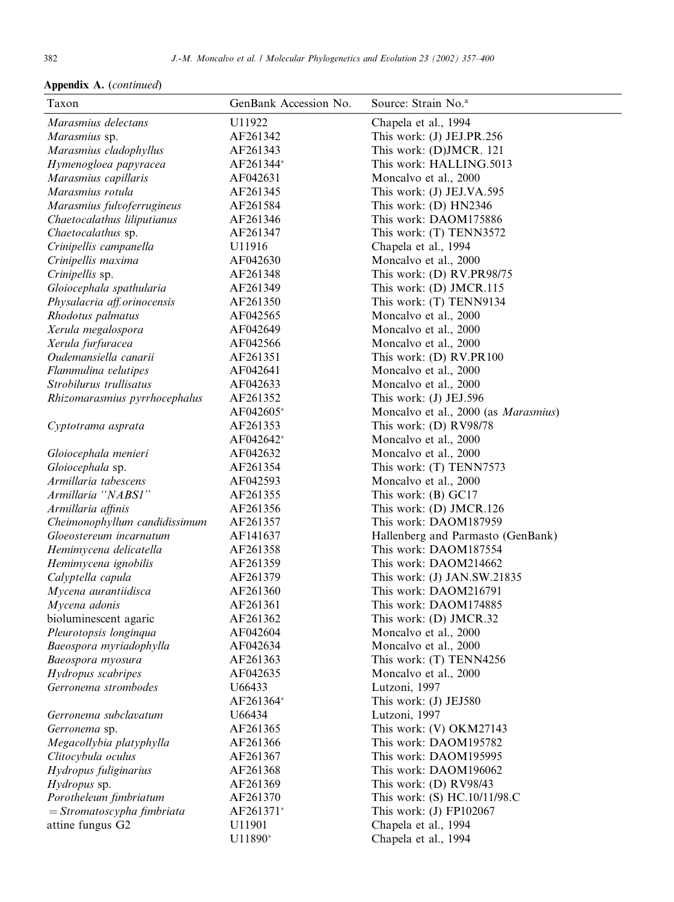| Taxon                         | GenBank Accession No. | Source: Strain No. <sup>a</sup>      |
|-------------------------------|-----------------------|--------------------------------------|
| Marasmius delectans           | U11922                | Chapela et al., 1994                 |
| Marasmius sp.                 | AF261342              | This work: (J) JEJ.PR.256            |
| Marasmius cladophyllus        | AF261343              | This work: (D)JMCR. 121              |
| Hymenogloea papyracea         | AF261344*             | This work: HALLING.5013              |
| Marasmius capillaris          | AF042631              | Moncalvo et al., 2000                |
| Marasmius rotula              | AF261345              | This work: (J) JEJ.VA.595            |
| Marasmius fulvoferrugineus    | AF261584              | This work: (D) HN2346                |
| Chaetocalathus liliputianus   | AF261346              | This work: DAOM175886                |
| Chaetocalathus sp.            | AF261347              | This work: (T) TENN3572              |
| Crinipellis campanella        | U11916                | Chapela et al., 1994                 |
| Crinipellis maxima            | AF042630              | Moncalvo et al., 2000                |
| Crinipellis sp.               | AF261348              | This work: (D) RV.PR98/75            |
| Gloiocephala spathularia      | AF261349              | This work: (D) JMCR.115              |
| Physalacria aff.orinocensis   | AF261350              | This work: (T) TENN9134              |
| Rhodotus palmatus             | AF042565              | Moncalvo et al., 2000                |
| Xerula megalospora            | AF042649              | Moncalvo et al., 2000                |
| Xerula furfuracea             | AF042566              | Moncalvo et al., 2000                |
| Oudemansiella canarii         | AF261351              | This work: (D) RV.PR100              |
| Flammulina velutipes          | AF042641              | Moncalvo et al., 2000                |
| Strobilurus trullisatus       | AF042633              | Moncalvo et al., 2000                |
| Rhizomarasmius pyrrhocephalus | AF261352              | This work: (J) JEJ.596               |
|                               | AF042605*             | Moncalvo et al., 2000 (as Marasmius) |
| Cyptotrama asprata            | AF261353              | This work: (D) RV98/78               |
|                               | AF042642*             | Moncalvo et al., 2000                |
| Gloiocephala menieri          | AF042632              | Moncalvo et al., 2000                |
| Gloiocephala sp.              | AF261354              | This work: (T) TENN7573              |
| Armillaria tabescens          | AF042593              | Moncalvo et al., 2000                |
| Armillaria "NABSI"            | AF261355              | This work: (B) GC17                  |
| Armillaria affinis            | AF261356              | This work: (D) JMCR.126              |
| Cheimonophyllum candidissimum | AF261357              | This work: DAOM187959                |
| Gloeostereum incarnatum       | AF141637              | Hallenberg and Parmasto (GenBank)    |
| Hemimycena delicatella        | AF261358              | This work: DAOM187554                |
| Hemimycena ignobilis          | AF261359              | This work: DAOM214662                |
| Calyptella capula             | AF261379              | This work: (J) JAN.SW.21835          |
| Mycena aurantiidisca          | AF261360              | This work: DAOM216791                |
| Mycena adonis                 | AF261361              | This work: DAOM174885                |
| bioluminescent agaric         | AF261362              | This work: (D) JMCR.32               |
| Pleurotopsis longinqua        | AF042604              | Moncalvo et al., 2000                |
| Baeospora myriadophylla       | AF042634              | Moncalvo et al., 2000                |
| Baeospora myosura             | AF261363              | This work: (T) TENN4256              |
| Hydropus scabripes            | AF042635              | Moncalvo et al., 2000                |
| Gerronema strombodes          | U66433                | Lutzoni, 1997                        |
|                               | AF261364*             | This work: (J) JEJ580                |
| Gerronema subclavatum         | U66434                | Lutzoni, 1997                        |
| Gerronema sp.                 | AF261365              | This work: (V) OKM27143              |
| Megacollybia platyphylla      | AF261366              | This work: DAOM195782                |
| Clitocybula oculus            | AF261367              | This work: DAOM195995                |
| Hydropus fuliginarius         | AF261368              | This work: DAOM196062                |
| Hydropus sp.                  | AF261369              | This work: $(D)$ RV98/43             |
| Porotheleum fimbriatum        | AF261370              | This work: (S) HC.10/11/98.C         |
| $=$ Stromatoscypha fimbriata  | AF261371*             | This work: $(J)$ FP102067            |
| attine fungus G2              | U11901                | Chapela et al., 1994                 |
|                               | U11890*               | Chapela et al., 1994                 |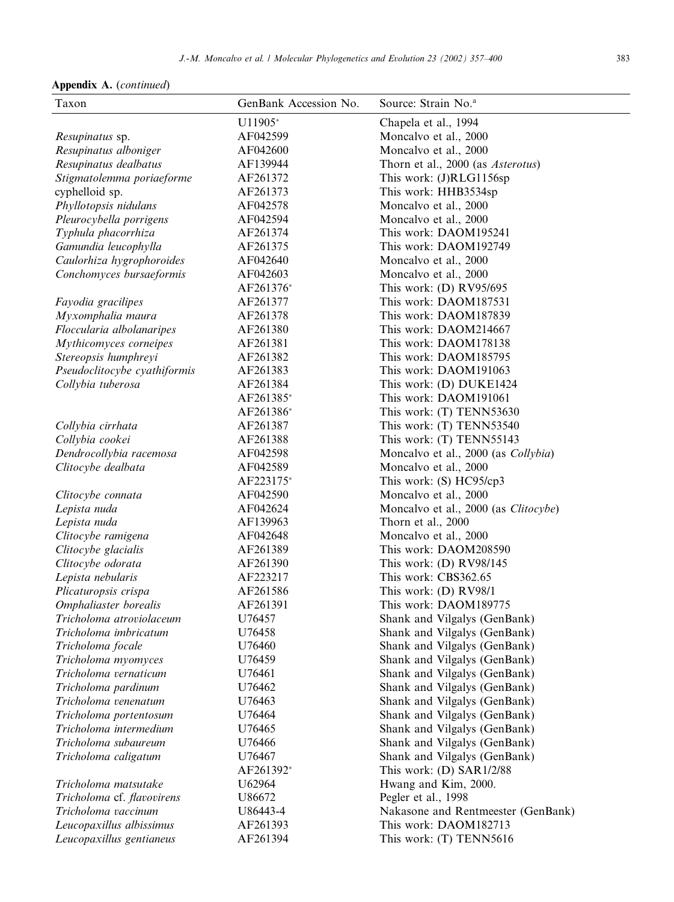| Taxon                                            | GenBank Accession No. | Source: Strain No. <sup>a</sup>                          |
|--------------------------------------------------|-----------------------|----------------------------------------------------------|
|                                                  | U11905*               | Chapela et al., 1994                                     |
| Resupinatus sp.                                  | AF042599              | Moncalvo et al., 2000                                    |
| Resupinatus alboniger                            | AF042600              | Moncalvo et al., 2000                                    |
| Resupinatus dealbatus                            | AF139944              | Thorn et al., 2000 (as Asterotus)                        |
| Stigmatolemma poriaeforme                        | AF261372              | This work: (J)RLG1156sp                                  |
| cyphelloid sp.                                   | AF261373              | This work: HHB3534sp                                     |
| Phyllotopsis nidulans                            | AF042578              | Moncalvo et al., 2000                                    |
| Pleurocybella porrigens                          | AF042594              | Moncalvo et al., 2000                                    |
| Typhula phacorrhiza                              | AF261374              | This work: DAOM195241                                    |
| Gamundia leucophylla                             | AF261375              | This work: DAOM192749                                    |
| Caulorhiza hygrophoroides                        | AF042640              | Moncalvo et al., 2000                                    |
| Conchomyces bursaeformis                         | AF042603              | Moncalvo et al., 2000                                    |
|                                                  | AF261376*             | This work: (D) RV95/695                                  |
| Fayodia gracilipes                               | AF261377              | This work: DAOM187531                                    |
| Myxomphalia maura                                | AF261378              | This work: DAOM187839                                    |
| Floccularia albolanaripes                        | AF261380              | This work: DAOM214667                                    |
| Mythicomyces corneipes                           | AF261381              | This work: DAOM178138                                    |
| Stereopsis humphreyi                             | AF261382              | This work: DAOM185795                                    |
| Pseudoclitocybe cyathiformis                     | AF261383              | This work: DAOM191063                                    |
| Collybia tuberosa                                | AF261384              | This work: (D) DUKE1424                                  |
|                                                  | AF261385*             | This work: DAOM191061                                    |
|                                                  | AF261386*             | This work: (T) TENN53630                                 |
| Collybia cirrhata                                | AF261387              | This work: (T) TENN53540                                 |
| Collybia cookei                                  | AF261388              | This work: (T) TENN55143                                 |
| Dendrocollybia racemosa                          | AF042598              | Moncalvo et al., 2000 (as Collybia)                      |
| Clitocybe dealbata                               | AF042589              | Moncalvo et al., 2000                                    |
|                                                  | AF223175*             | This work: (S) HC95/cp3                                  |
| Clitocybe connata                                | AF042590              | Moncalvo et al., 2000                                    |
| Lepista nuda                                     | AF042624              | Moncalvo et al., 2000 (as Clitocybe)                     |
| Lepista nuda                                     | AF139963              | Thorn et al., 2000                                       |
| Clitocybe ramigena                               | AF042648              | Moncalvo et al., 2000                                    |
| Clitocybe glacialis                              | AF261389              | This work: DAOM208590                                    |
| Clitocybe odorata                                | AF261390              | This work: (D) RV98/145                                  |
| Lepista nebularis                                | AF223217              | This work: CBS362.65                                     |
| Plicaturopsis crispa                             | AF261586              | This work: (D) RV98/1                                    |
| Omphaliaster borealis                            | AF261391              | This work: DAOM189775                                    |
| Tricholoma atroviolaceum                         | U76457                | Shank and Vilgalys (GenBank)                             |
| Tricholoma imbricatum                            | U76458                | Shank and Vilgalys (GenBank)                             |
| Tricholoma focale                                | U76460                | Shank and Vilgalys (GenBank)                             |
| Tricholoma myomyces                              | U76459                | Shank and Vilgalys (GenBank)                             |
| Tricholoma vernaticum                            | U76461                | Shank and Vilgalys (GenBank)                             |
| Tricholoma pardinum                              | U76462                | Shank and Vilgalys (GenBank)                             |
| Tricholoma venenatum                             | U76463                | Shank and Vilgalys (GenBank)                             |
| Tricholoma portentosum<br>Tricholoma intermedium | U76464                | Shank and Vilgalys (GenBank)                             |
|                                                  | U76465                | Shank and Vilgalys (GenBank)                             |
| Tricholoma subaureum                             | U76466<br>U76467      | Shank and Vilgalys (GenBank)                             |
| Tricholoma caligatum                             | AF261392*             | Shank and Vilgalys (GenBank)<br>This work: (D) SAR1/2/88 |
| Tricholoma matsutake                             | U62964                | Hwang and Kim, 2000.                                     |
| Tricholoma cf. flavovirens                       | U86672                | Pegler et al., 1998                                      |
| Tricholoma vaccinum                              | U86443-4              | Nakasone and Rentmeester (GenBank)                       |
| Leucopaxillus albissimus                         | AF261393              | This work: DAOM182713                                    |
| Leucopaxillus gentianeus                         | AF261394              | This work: (T) TENN5616                                  |
|                                                  |                       |                                                          |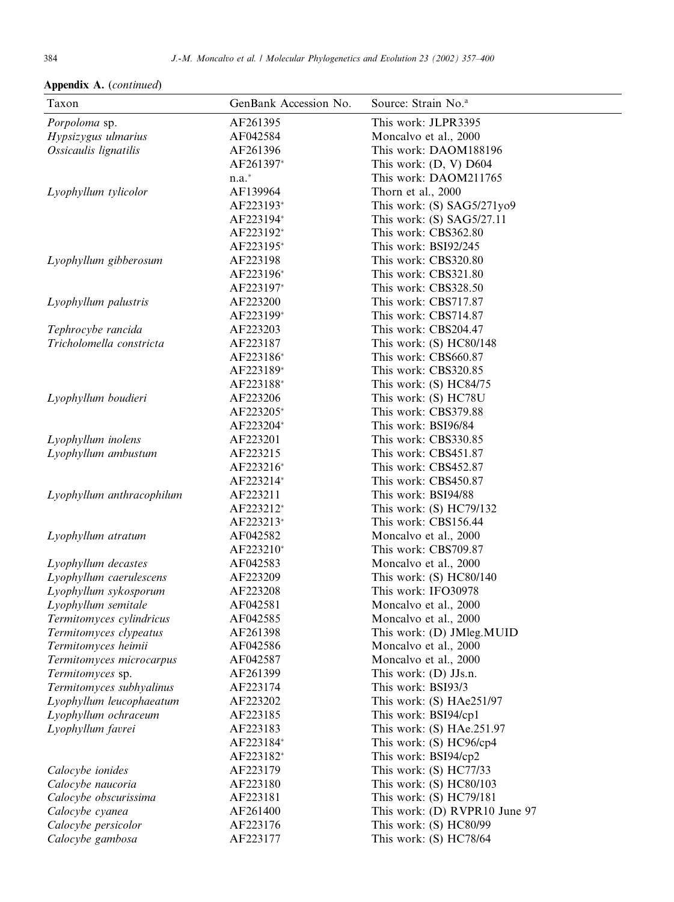|  |  | <b>Appendix A.</b> (continued) |  |
|--|--|--------------------------------|--|
|--|--|--------------------------------|--|

| This work: JLPR3395<br>Porpoloma sp.<br>AF261395<br>AF042584<br>Hypsizygus ulmarius<br>Moncalvo et al., 2000<br>Ossicaulis lignatilis<br>AF261396<br>This work: DAOM188196<br>AF261397*<br>This work: (D, V) D604<br>$n.a.*$<br>This work: DAOM211765<br>AF139964<br>Thorn et al., 2000<br>Lyophyllum tylicolor<br>AF223193*<br>This work: (S) SAG5/271yo9<br>AF223194*<br>This work: $(S)$ SAG5/27.11<br>AF223192*<br>This work: CBS362.80<br>AF223195*<br>This work: BSI92/245<br>AF223198<br>This work: CBS320.80<br>Lyophyllum gibberosum<br>AF223196*<br>This work: CBS321.80<br>AF223197*<br>This work: CBS328.50<br>AF223200<br>This work: CBS717.87<br>Lyophyllum palustris<br>AF223199*<br>This work: CBS714.87<br>AF223203<br>This work: CBS204.47<br>Tephrocybe rancida<br>AF223187<br>Tricholomella constricta<br>This work: $(S)$ HC80/148<br>AF223186*<br>This work: CBS660.87<br>AF223189*<br>This work: CBS320.85<br>AF223188*<br>This work: (S) HC84/75<br>AF223206<br>This work: (S) HC78U<br>Lyophyllum boudieri<br>AF223205*<br>This work: CBS379.88<br>AF223204*<br>This work: BSI96/84<br>AF223201<br>This work: CBS330.85<br>Lyophyllum inolens<br>Lyophyllum ambustum<br>AF223215<br>This work: CBS451.87<br>AF223216*<br>This work: CBS452.87<br>AF223214*<br>This work: CBS450.87<br>This work: BSI94/88<br>Lyophyllum anthracophilum<br>AF223211<br>AF223212*<br>This work: (S) HC79/132<br>AF223213*<br>This work: CBS156.44<br>Moncalvo et al., 2000<br>Lyophyllum atratum<br>AF042582<br>AF223210*<br>This work: CBS709.87<br>Moncalvo et al., 2000<br>Lyophyllum decastes<br>AF042583<br>AF223209<br>This work: (S) HC80/140<br>Lyophyllum caerulescens<br>AF223208<br>This work: IFO30978<br>Lyophyllum sykosporum<br>AF042581<br>Lyophyllum semitale<br>Moncalvo et al., 2000<br>AF042585<br>Moncalvo et al., 2000<br>Termitomyces cylindricus<br>AF261398<br>Termitomyces clypeatus<br>This work: (D) JMleg.MUID<br>AF042586<br>Moncalvo et al., 2000<br>Termitomyces heimii<br>Moncalvo et al., 2000<br>Termitomyces microcarpus<br>AF042587<br>Termitomyces sp.<br>This work: (D) JJs.n.<br>AF261399<br>Termitomyces subhyalinus<br>This work: BSI93/3<br>AF223174<br>Lyophyllum leucophaeatum<br>This work: (S) HAe251/97<br>AF223202<br>Lyophyllum ochraceum<br>AF223185<br>This work: BSI94/cp1<br>Lyophyllum favrei<br>AF223183<br>This work: (S) HAe.251.97<br>AF223184*<br>This work: (S) HC96/cp4<br>AF223182*<br>This work: BSI94/cp2<br>AF223179<br>This work: (S) HC77/33<br>Calocybe ionides<br>AF223180<br>This work: $(S)$ HC80/103<br>Calocybe naucoria<br>This work: (S) HC79/181<br>Calocybe obscurissima<br>AF223181 | Taxon           | GenBank Accession No. | Source: Strain No. <sup>a</sup> |
|---------------------------------------------------------------------------------------------------------------------------------------------------------------------------------------------------------------------------------------------------------------------------------------------------------------------------------------------------------------------------------------------------------------------------------------------------------------------------------------------------------------------------------------------------------------------------------------------------------------------------------------------------------------------------------------------------------------------------------------------------------------------------------------------------------------------------------------------------------------------------------------------------------------------------------------------------------------------------------------------------------------------------------------------------------------------------------------------------------------------------------------------------------------------------------------------------------------------------------------------------------------------------------------------------------------------------------------------------------------------------------------------------------------------------------------------------------------------------------------------------------------------------------------------------------------------------------------------------------------------------------------------------------------------------------------------------------------------------------------------------------------------------------------------------------------------------------------------------------------------------------------------------------------------------------------------------------------------------------------------------------------------------------------------------------------------------------------------------------------------------------------------------------------------------------------------------------------------------------------------------------------------------------------------------------------------------------------------------------------------------------------------------------------------------------------------------------------------------------------------------------------------------------------------------------------------------------------------------------------------------------------------------------------------------|-----------------|-----------------------|---------------------------------|
|                                                                                                                                                                                                                                                                                                                                                                                                                                                                                                                                                                                                                                                                                                                                                                                                                                                                                                                                                                                                                                                                                                                                                                                                                                                                                                                                                                                                                                                                                                                                                                                                                                                                                                                                                                                                                                                                                                                                                                                                                                                                                                                                                                                                                                                                                                                                                                                                                                                                                                                                                                                                                                                                           |                 |                       |                                 |
|                                                                                                                                                                                                                                                                                                                                                                                                                                                                                                                                                                                                                                                                                                                                                                                                                                                                                                                                                                                                                                                                                                                                                                                                                                                                                                                                                                                                                                                                                                                                                                                                                                                                                                                                                                                                                                                                                                                                                                                                                                                                                                                                                                                                                                                                                                                                                                                                                                                                                                                                                                                                                                                                           |                 |                       |                                 |
|                                                                                                                                                                                                                                                                                                                                                                                                                                                                                                                                                                                                                                                                                                                                                                                                                                                                                                                                                                                                                                                                                                                                                                                                                                                                                                                                                                                                                                                                                                                                                                                                                                                                                                                                                                                                                                                                                                                                                                                                                                                                                                                                                                                                                                                                                                                                                                                                                                                                                                                                                                                                                                                                           |                 |                       |                                 |
|                                                                                                                                                                                                                                                                                                                                                                                                                                                                                                                                                                                                                                                                                                                                                                                                                                                                                                                                                                                                                                                                                                                                                                                                                                                                                                                                                                                                                                                                                                                                                                                                                                                                                                                                                                                                                                                                                                                                                                                                                                                                                                                                                                                                                                                                                                                                                                                                                                                                                                                                                                                                                                                                           |                 |                       |                                 |
|                                                                                                                                                                                                                                                                                                                                                                                                                                                                                                                                                                                                                                                                                                                                                                                                                                                                                                                                                                                                                                                                                                                                                                                                                                                                                                                                                                                                                                                                                                                                                                                                                                                                                                                                                                                                                                                                                                                                                                                                                                                                                                                                                                                                                                                                                                                                                                                                                                                                                                                                                                                                                                                                           |                 |                       |                                 |
|                                                                                                                                                                                                                                                                                                                                                                                                                                                                                                                                                                                                                                                                                                                                                                                                                                                                                                                                                                                                                                                                                                                                                                                                                                                                                                                                                                                                                                                                                                                                                                                                                                                                                                                                                                                                                                                                                                                                                                                                                                                                                                                                                                                                                                                                                                                                                                                                                                                                                                                                                                                                                                                                           |                 |                       |                                 |
|                                                                                                                                                                                                                                                                                                                                                                                                                                                                                                                                                                                                                                                                                                                                                                                                                                                                                                                                                                                                                                                                                                                                                                                                                                                                                                                                                                                                                                                                                                                                                                                                                                                                                                                                                                                                                                                                                                                                                                                                                                                                                                                                                                                                                                                                                                                                                                                                                                                                                                                                                                                                                                                                           |                 |                       |                                 |
|                                                                                                                                                                                                                                                                                                                                                                                                                                                                                                                                                                                                                                                                                                                                                                                                                                                                                                                                                                                                                                                                                                                                                                                                                                                                                                                                                                                                                                                                                                                                                                                                                                                                                                                                                                                                                                                                                                                                                                                                                                                                                                                                                                                                                                                                                                                                                                                                                                                                                                                                                                                                                                                                           |                 |                       |                                 |
|                                                                                                                                                                                                                                                                                                                                                                                                                                                                                                                                                                                                                                                                                                                                                                                                                                                                                                                                                                                                                                                                                                                                                                                                                                                                                                                                                                                                                                                                                                                                                                                                                                                                                                                                                                                                                                                                                                                                                                                                                                                                                                                                                                                                                                                                                                                                                                                                                                                                                                                                                                                                                                                                           |                 |                       |                                 |
|                                                                                                                                                                                                                                                                                                                                                                                                                                                                                                                                                                                                                                                                                                                                                                                                                                                                                                                                                                                                                                                                                                                                                                                                                                                                                                                                                                                                                                                                                                                                                                                                                                                                                                                                                                                                                                                                                                                                                                                                                                                                                                                                                                                                                                                                                                                                                                                                                                                                                                                                                                                                                                                                           |                 |                       |                                 |
|                                                                                                                                                                                                                                                                                                                                                                                                                                                                                                                                                                                                                                                                                                                                                                                                                                                                                                                                                                                                                                                                                                                                                                                                                                                                                                                                                                                                                                                                                                                                                                                                                                                                                                                                                                                                                                                                                                                                                                                                                                                                                                                                                                                                                                                                                                                                                                                                                                                                                                                                                                                                                                                                           |                 |                       |                                 |
|                                                                                                                                                                                                                                                                                                                                                                                                                                                                                                                                                                                                                                                                                                                                                                                                                                                                                                                                                                                                                                                                                                                                                                                                                                                                                                                                                                                                                                                                                                                                                                                                                                                                                                                                                                                                                                                                                                                                                                                                                                                                                                                                                                                                                                                                                                                                                                                                                                                                                                                                                                                                                                                                           |                 |                       |                                 |
|                                                                                                                                                                                                                                                                                                                                                                                                                                                                                                                                                                                                                                                                                                                                                                                                                                                                                                                                                                                                                                                                                                                                                                                                                                                                                                                                                                                                                                                                                                                                                                                                                                                                                                                                                                                                                                                                                                                                                                                                                                                                                                                                                                                                                                                                                                                                                                                                                                                                                                                                                                                                                                                                           |                 |                       |                                 |
|                                                                                                                                                                                                                                                                                                                                                                                                                                                                                                                                                                                                                                                                                                                                                                                                                                                                                                                                                                                                                                                                                                                                                                                                                                                                                                                                                                                                                                                                                                                                                                                                                                                                                                                                                                                                                                                                                                                                                                                                                                                                                                                                                                                                                                                                                                                                                                                                                                                                                                                                                                                                                                                                           |                 |                       |                                 |
|                                                                                                                                                                                                                                                                                                                                                                                                                                                                                                                                                                                                                                                                                                                                                                                                                                                                                                                                                                                                                                                                                                                                                                                                                                                                                                                                                                                                                                                                                                                                                                                                                                                                                                                                                                                                                                                                                                                                                                                                                                                                                                                                                                                                                                                                                                                                                                                                                                                                                                                                                                                                                                                                           |                 |                       |                                 |
|                                                                                                                                                                                                                                                                                                                                                                                                                                                                                                                                                                                                                                                                                                                                                                                                                                                                                                                                                                                                                                                                                                                                                                                                                                                                                                                                                                                                                                                                                                                                                                                                                                                                                                                                                                                                                                                                                                                                                                                                                                                                                                                                                                                                                                                                                                                                                                                                                                                                                                                                                                                                                                                                           |                 |                       |                                 |
|                                                                                                                                                                                                                                                                                                                                                                                                                                                                                                                                                                                                                                                                                                                                                                                                                                                                                                                                                                                                                                                                                                                                                                                                                                                                                                                                                                                                                                                                                                                                                                                                                                                                                                                                                                                                                                                                                                                                                                                                                                                                                                                                                                                                                                                                                                                                                                                                                                                                                                                                                                                                                                                                           |                 |                       |                                 |
|                                                                                                                                                                                                                                                                                                                                                                                                                                                                                                                                                                                                                                                                                                                                                                                                                                                                                                                                                                                                                                                                                                                                                                                                                                                                                                                                                                                                                                                                                                                                                                                                                                                                                                                                                                                                                                                                                                                                                                                                                                                                                                                                                                                                                                                                                                                                                                                                                                                                                                                                                                                                                                                                           |                 |                       |                                 |
|                                                                                                                                                                                                                                                                                                                                                                                                                                                                                                                                                                                                                                                                                                                                                                                                                                                                                                                                                                                                                                                                                                                                                                                                                                                                                                                                                                                                                                                                                                                                                                                                                                                                                                                                                                                                                                                                                                                                                                                                                                                                                                                                                                                                                                                                                                                                                                                                                                                                                                                                                                                                                                                                           |                 |                       |                                 |
|                                                                                                                                                                                                                                                                                                                                                                                                                                                                                                                                                                                                                                                                                                                                                                                                                                                                                                                                                                                                                                                                                                                                                                                                                                                                                                                                                                                                                                                                                                                                                                                                                                                                                                                                                                                                                                                                                                                                                                                                                                                                                                                                                                                                                                                                                                                                                                                                                                                                                                                                                                                                                                                                           |                 |                       |                                 |
|                                                                                                                                                                                                                                                                                                                                                                                                                                                                                                                                                                                                                                                                                                                                                                                                                                                                                                                                                                                                                                                                                                                                                                                                                                                                                                                                                                                                                                                                                                                                                                                                                                                                                                                                                                                                                                                                                                                                                                                                                                                                                                                                                                                                                                                                                                                                                                                                                                                                                                                                                                                                                                                                           |                 |                       |                                 |
|                                                                                                                                                                                                                                                                                                                                                                                                                                                                                                                                                                                                                                                                                                                                                                                                                                                                                                                                                                                                                                                                                                                                                                                                                                                                                                                                                                                                                                                                                                                                                                                                                                                                                                                                                                                                                                                                                                                                                                                                                                                                                                                                                                                                                                                                                                                                                                                                                                                                                                                                                                                                                                                                           |                 |                       |                                 |
|                                                                                                                                                                                                                                                                                                                                                                                                                                                                                                                                                                                                                                                                                                                                                                                                                                                                                                                                                                                                                                                                                                                                                                                                                                                                                                                                                                                                                                                                                                                                                                                                                                                                                                                                                                                                                                                                                                                                                                                                                                                                                                                                                                                                                                                                                                                                                                                                                                                                                                                                                                                                                                                                           |                 |                       |                                 |
|                                                                                                                                                                                                                                                                                                                                                                                                                                                                                                                                                                                                                                                                                                                                                                                                                                                                                                                                                                                                                                                                                                                                                                                                                                                                                                                                                                                                                                                                                                                                                                                                                                                                                                                                                                                                                                                                                                                                                                                                                                                                                                                                                                                                                                                                                                                                                                                                                                                                                                                                                                                                                                                                           |                 |                       |                                 |
|                                                                                                                                                                                                                                                                                                                                                                                                                                                                                                                                                                                                                                                                                                                                                                                                                                                                                                                                                                                                                                                                                                                                                                                                                                                                                                                                                                                                                                                                                                                                                                                                                                                                                                                                                                                                                                                                                                                                                                                                                                                                                                                                                                                                                                                                                                                                                                                                                                                                                                                                                                                                                                                                           |                 |                       |                                 |
|                                                                                                                                                                                                                                                                                                                                                                                                                                                                                                                                                                                                                                                                                                                                                                                                                                                                                                                                                                                                                                                                                                                                                                                                                                                                                                                                                                                                                                                                                                                                                                                                                                                                                                                                                                                                                                                                                                                                                                                                                                                                                                                                                                                                                                                                                                                                                                                                                                                                                                                                                                                                                                                                           |                 |                       |                                 |
|                                                                                                                                                                                                                                                                                                                                                                                                                                                                                                                                                                                                                                                                                                                                                                                                                                                                                                                                                                                                                                                                                                                                                                                                                                                                                                                                                                                                                                                                                                                                                                                                                                                                                                                                                                                                                                                                                                                                                                                                                                                                                                                                                                                                                                                                                                                                                                                                                                                                                                                                                                                                                                                                           |                 |                       |                                 |
|                                                                                                                                                                                                                                                                                                                                                                                                                                                                                                                                                                                                                                                                                                                                                                                                                                                                                                                                                                                                                                                                                                                                                                                                                                                                                                                                                                                                                                                                                                                                                                                                                                                                                                                                                                                                                                                                                                                                                                                                                                                                                                                                                                                                                                                                                                                                                                                                                                                                                                                                                                                                                                                                           |                 |                       |                                 |
|                                                                                                                                                                                                                                                                                                                                                                                                                                                                                                                                                                                                                                                                                                                                                                                                                                                                                                                                                                                                                                                                                                                                                                                                                                                                                                                                                                                                                                                                                                                                                                                                                                                                                                                                                                                                                                                                                                                                                                                                                                                                                                                                                                                                                                                                                                                                                                                                                                                                                                                                                                                                                                                                           |                 |                       |                                 |
|                                                                                                                                                                                                                                                                                                                                                                                                                                                                                                                                                                                                                                                                                                                                                                                                                                                                                                                                                                                                                                                                                                                                                                                                                                                                                                                                                                                                                                                                                                                                                                                                                                                                                                                                                                                                                                                                                                                                                                                                                                                                                                                                                                                                                                                                                                                                                                                                                                                                                                                                                                                                                                                                           |                 |                       |                                 |
|                                                                                                                                                                                                                                                                                                                                                                                                                                                                                                                                                                                                                                                                                                                                                                                                                                                                                                                                                                                                                                                                                                                                                                                                                                                                                                                                                                                                                                                                                                                                                                                                                                                                                                                                                                                                                                                                                                                                                                                                                                                                                                                                                                                                                                                                                                                                                                                                                                                                                                                                                                                                                                                                           |                 |                       |                                 |
|                                                                                                                                                                                                                                                                                                                                                                                                                                                                                                                                                                                                                                                                                                                                                                                                                                                                                                                                                                                                                                                                                                                                                                                                                                                                                                                                                                                                                                                                                                                                                                                                                                                                                                                                                                                                                                                                                                                                                                                                                                                                                                                                                                                                                                                                                                                                                                                                                                                                                                                                                                                                                                                                           |                 |                       |                                 |
|                                                                                                                                                                                                                                                                                                                                                                                                                                                                                                                                                                                                                                                                                                                                                                                                                                                                                                                                                                                                                                                                                                                                                                                                                                                                                                                                                                                                                                                                                                                                                                                                                                                                                                                                                                                                                                                                                                                                                                                                                                                                                                                                                                                                                                                                                                                                                                                                                                                                                                                                                                                                                                                                           |                 |                       |                                 |
|                                                                                                                                                                                                                                                                                                                                                                                                                                                                                                                                                                                                                                                                                                                                                                                                                                                                                                                                                                                                                                                                                                                                                                                                                                                                                                                                                                                                                                                                                                                                                                                                                                                                                                                                                                                                                                                                                                                                                                                                                                                                                                                                                                                                                                                                                                                                                                                                                                                                                                                                                                                                                                                                           |                 |                       |                                 |
|                                                                                                                                                                                                                                                                                                                                                                                                                                                                                                                                                                                                                                                                                                                                                                                                                                                                                                                                                                                                                                                                                                                                                                                                                                                                                                                                                                                                                                                                                                                                                                                                                                                                                                                                                                                                                                                                                                                                                                                                                                                                                                                                                                                                                                                                                                                                                                                                                                                                                                                                                                                                                                                                           |                 |                       |                                 |
|                                                                                                                                                                                                                                                                                                                                                                                                                                                                                                                                                                                                                                                                                                                                                                                                                                                                                                                                                                                                                                                                                                                                                                                                                                                                                                                                                                                                                                                                                                                                                                                                                                                                                                                                                                                                                                                                                                                                                                                                                                                                                                                                                                                                                                                                                                                                                                                                                                                                                                                                                                                                                                                                           |                 |                       |                                 |
|                                                                                                                                                                                                                                                                                                                                                                                                                                                                                                                                                                                                                                                                                                                                                                                                                                                                                                                                                                                                                                                                                                                                                                                                                                                                                                                                                                                                                                                                                                                                                                                                                                                                                                                                                                                                                                                                                                                                                                                                                                                                                                                                                                                                                                                                                                                                                                                                                                                                                                                                                                                                                                                                           |                 |                       |                                 |
|                                                                                                                                                                                                                                                                                                                                                                                                                                                                                                                                                                                                                                                                                                                                                                                                                                                                                                                                                                                                                                                                                                                                                                                                                                                                                                                                                                                                                                                                                                                                                                                                                                                                                                                                                                                                                                                                                                                                                                                                                                                                                                                                                                                                                                                                                                                                                                                                                                                                                                                                                                                                                                                                           |                 |                       |                                 |
|                                                                                                                                                                                                                                                                                                                                                                                                                                                                                                                                                                                                                                                                                                                                                                                                                                                                                                                                                                                                                                                                                                                                                                                                                                                                                                                                                                                                                                                                                                                                                                                                                                                                                                                                                                                                                                                                                                                                                                                                                                                                                                                                                                                                                                                                                                                                                                                                                                                                                                                                                                                                                                                                           |                 |                       |                                 |
|                                                                                                                                                                                                                                                                                                                                                                                                                                                                                                                                                                                                                                                                                                                                                                                                                                                                                                                                                                                                                                                                                                                                                                                                                                                                                                                                                                                                                                                                                                                                                                                                                                                                                                                                                                                                                                                                                                                                                                                                                                                                                                                                                                                                                                                                                                                                                                                                                                                                                                                                                                                                                                                                           |                 |                       |                                 |
|                                                                                                                                                                                                                                                                                                                                                                                                                                                                                                                                                                                                                                                                                                                                                                                                                                                                                                                                                                                                                                                                                                                                                                                                                                                                                                                                                                                                                                                                                                                                                                                                                                                                                                                                                                                                                                                                                                                                                                                                                                                                                                                                                                                                                                                                                                                                                                                                                                                                                                                                                                                                                                                                           |                 |                       |                                 |
|                                                                                                                                                                                                                                                                                                                                                                                                                                                                                                                                                                                                                                                                                                                                                                                                                                                                                                                                                                                                                                                                                                                                                                                                                                                                                                                                                                                                                                                                                                                                                                                                                                                                                                                                                                                                                                                                                                                                                                                                                                                                                                                                                                                                                                                                                                                                                                                                                                                                                                                                                                                                                                                                           |                 |                       |                                 |
|                                                                                                                                                                                                                                                                                                                                                                                                                                                                                                                                                                                                                                                                                                                                                                                                                                                                                                                                                                                                                                                                                                                                                                                                                                                                                                                                                                                                                                                                                                                                                                                                                                                                                                                                                                                                                                                                                                                                                                                                                                                                                                                                                                                                                                                                                                                                                                                                                                                                                                                                                                                                                                                                           |                 |                       |                                 |
|                                                                                                                                                                                                                                                                                                                                                                                                                                                                                                                                                                                                                                                                                                                                                                                                                                                                                                                                                                                                                                                                                                                                                                                                                                                                                                                                                                                                                                                                                                                                                                                                                                                                                                                                                                                                                                                                                                                                                                                                                                                                                                                                                                                                                                                                                                                                                                                                                                                                                                                                                                                                                                                                           |                 |                       |                                 |
|                                                                                                                                                                                                                                                                                                                                                                                                                                                                                                                                                                                                                                                                                                                                                                                                                                                                                                                                                                                                                                                                                                                                                                                                                                                                                                                                                                                                                                                                                                                                                                                                                                                                                                                                                                                                                                                                                                                                                                                                                                                                                                                                                                                                                                                                                                                                                                                                                                                                                                                                                                                                                                                                           |                 |                       |                                 |
|                                                                                                                                                                                                                                                                                                                                                                                                                                                                                                                                                                                                                                                                                                                                                                                                                                                                                                                                                                                                                                                                                                                                                                                                                                                                                                                                                                                                                                                                                                                                                                                                                                                                                                                                                                                                                                                                                                                                                                                                                                                                                                                                                                                                                                                                                                                                                                                                                                                                                                                                                                                                                                                                           |                 |                       |                                 |
|                                                                                                                                                                                                                                                                                                                                                                                                                                                                                                                                                                                                                                                                                                                                                                                                                                                                                                                                                                                                                                                                                                                                                                                                                                                                                                                                                                                                                                                                                                                                                                                                                                                                                                                                                                                                                                                                                                                                                                                                                                                                                                                                                                                                                                                                                                                                                                                                                                                                                                                                                                                                                                                                           |                 |                       |                                 |
|                                                                                                                                                                                                                                                                                                                                                                                                                                                                                                                                                                                                                                                                                                                                                                                                                                                                                                                                                                                                                                                                                                                                                                                                                                                                                                                                                                                                                                                                                                                                                                                                                                                                                                                                                                                                                                                                                                                                                                                                                                                                                                                                                                                                                                                                                                                                                                                                                                                                                                                                                                                                                                                                           |                 |                       |                                 |
|                                                                                                                                                                                                                                                                                                                                                                                                                                                                                                                                                                                                                                                                                                                                                                                                                                                                                                                                                                                                                                                                                                                                                                                                                                                                                                                                                                                                                                                                                                                                                                                                                                                                                                                                                                                                                                                                                                                                                                                                                                                                                                                                                                                                                                                                                                                                                                                                                                                                                                                                                                                                                                                                           |                 |                       |                                 |
|                                                                                                                                                                                                                                                                                                                                                                                                                                                                                                                                                                                                                                                                                                                                                                                                                                                                                                                                                                                                                                                                                                                                                                                                                                                                                                                                                                                                                                                                                                                                                                                                                                                                                                                                                                                                                                                                                                                                                                                                                                                                                                                                                                                                                                                                                                                                                                                                                                                                                                                                                                                                                                                                           | Calocybe cyanea | AF261400              | This work: (D) RVPR10 June 97   |
| Calocybe persicolor<br>AF223176<br>This work: (S) HC80/99                                                                                                                                                                                                                                                                                                                                                                                                                                                                                                                                                                                                                                                                                                                                                                                                                                                                                                                                                                                                                                                                                                                                                                                                                                                                                                                                                                                                                                                                                                                                                                                                                                                                                                                                                                                                                                                                                                                                                                                                                                                                                                                                                                                                                                                                                                                                                                                                                                                                                                                                                                                                                 |                 |                       |                                 |
| Calocybe gambosa<br>AF223177<br>This work: (S) HC78/64                                                                                                                                                                                                                                                                                                                                                                                                                                                                                                                                                                                                                                                                                                                                                                                                                                                                                                                                                                                                                                                                                                                                                                                                                                                                                                                                                                                                                                                                                                                                                                                                                                                                                                                                                                                                                                                                                                                                                                                                                                                                                                                                                                                                                                                                                                                                                                                                                                                                                                                                                                                                                    |                 |                       |                                 |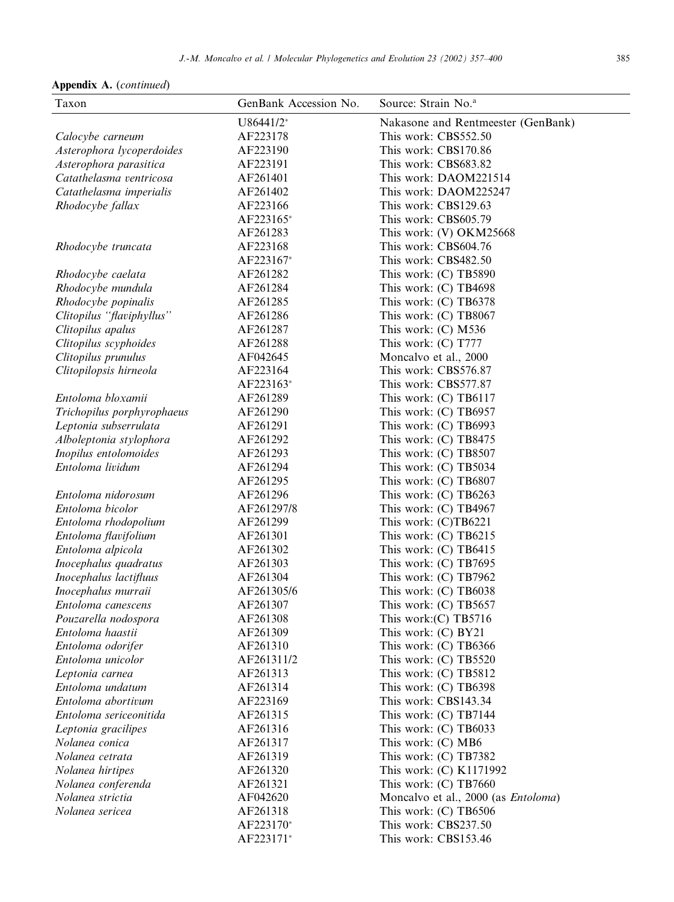| Taxon                                    | GenBank Accession No.  | Source: Strain No. <sup>a</sup>                |
|------------------------------------------|------------------------|------------------------------------------------|
|                                          | U86441/2*              | Nakasone and Rentmeester (GenBank)             |
| Calocybe carneum                         | AF223178               | This work: CBS552.50                           |
| Asterophora lycoperdoides                | AF223190               | This work: CBS170.86                           |
| Asterophora parasitica                   | AF223191               | This work: CBS683.82                           |
| Catathelasma ventricosa                  | AF261401               | This work: DAOM221514                          |
| Catathelasma imperialis                  | AF261402               | This work: DAOM225247                          |
| Rhodocybe fallax                         | AF223166               | This work: CBS129.63                           |
|                                          | AF223165*              | This work: CBS605.79                           |
|                                          | AF261283               | This work: (V) OKM25668                        |
| Rhodocybe truncata                       | AF223168               | This work: CBS604.76                           |
|                                          | AF223167*              | This work: CBS482.50                           |
| Rhodocybe caelata                        | AF261282               | This work: (C) TB5890                          |
| Rhodocybe mundula                        | AF261284               | This work: (C) TB4698                          |
| Rhodocybe popinalis                      | AF261285               | This work: (C) TB6378                          |
| Clitopilus "flaviphyllus"                | AF261286               | This work: (C) TB8067                          |
| Clitopilus apalus                        | AF261287               | This work: $(C)$ M536                          |
| Clitopilus scyphoides                    | AF261288               | This work: $(C)$ T777                          |
| Clitopilus prunulus                      | AF042645               | Moncalvo et al., 2000                          |
| Clitopilopsis hirneola                   | AF223164               | This work: CBS576.87                           |
|                                          | AF223163*              | This work: CBS577.87                           |
| Entoloma bloxamii                        | AF261289               | This work: (C) TB6117                          |
| Trichopilus porphyrophaeus               | AF261290               | This work: (C) TB6957                          |
| Leptonia subserrulata                    | AF261291               | This work: (C) TB6993                          |
| Alboleptonia stylophora                  | AF261292               | This work: (C) TB8475                          |
| Inopilus entolomoides                    | AF261293               | This work: (C) TB8507                          |
| Entoloma lividum                         | AF261294               | This work: (C) TB5034                          |
|                                          | AF261295               | This work: (C) TB6807                          |
| Entoloma nidorosum                       | AF261296               | This work: $(C)$ TB6263                        |
| Entoloma bicolor                         | AF261297/8             | This work: $(C)$ TB4967                        |
| Entoloma rhodopolium                     | AF261299               | This work: (C)TB6221                           |
| Entoloma flavifolium                     | AF261301               | This work: $(C)$ TB6215                        |
| Entoloma alpicola                        | AF261302               | This work: (C) TB6415                          |
| Inocephalus quadratus                    | AF261303               | This work: $(C)$ TB7695                        |
| Inocephalus lactifluus                   | AF261304               | This work: (C) TB7962                          |
| Inocephalus murraii                      | AF261305/6<br>AF261307 | This work: (C) TB6038                          |
| Entoloma canescens                       | AF261308               | This work: $(C)$ TB5657                        |
| Pouzarella nodospora<br>Entoloma haastii | AF261309               | This work: $(C)$ TB5716<br>This work: (C) BY21 |
| Entoloma odorifer                        | AF261310               | This work: (C) TB6366                          |
| Entoloma unicolor                        | AF261311/2             | This work: (C) TB5520                          |
| Leptonia carnea                          | AF261313               | This work: (C) TB5812                          |
| Entoloma undatum                         | AF261314               | This work: (C) TB6398                          |
| Entoloma abortivum                       | AF223169               | This work: CBS143.34                           |
| Entoloma sericeonitida                   | AF261315               | This work: (C) TB7144                          |
| Leptonia gracilipes                      | AF261316               | This work: (C) TB6033                          |
| Nolanea conica                           | AF261317               | This work: (C) MB6                             |
| Nolanea cetrata                          | AF261319               | This work: (C) TB7382                          |
| Nolanea hirtipes                         | AF261320               | This work: (C) K1171992                        |
| Nolanea conferenda                       | AF261321               | This work: (C) TB7660                          |
| Nolanea strictia                         | AF042620               | Moncalvo et al., 2000 (as <i>Entoloma</i> )    |
| Nolanea sericea                          | AF261318               | This work: (C) TB6506                          |
|                                          | AF223170*              | This work: CBS237.50                           |
|                                          | AF223171*              | This work: CBS153.46                           |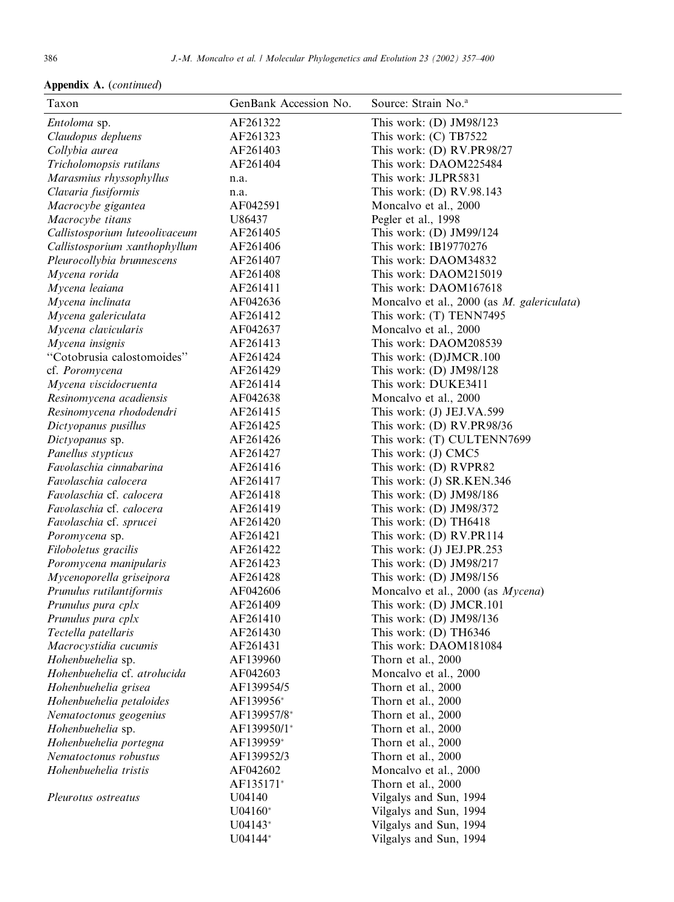| Taxon                          | GenBank Accession No. | Source: Strain No. <sup>a</sup>            |
|--------------------------------|-----------------------|--------------------------------------------|
| Entoloma sp.                   | AF261322              | This work: (D) JM98/123                    |
| Claudopus depluens             | AF261323              | This work: $(C)$ TB7522                    |
| Collybia aurea                 | AF261403              | This work: (D) RV.PR98/27                  |
| Tricholomopsis rutilans        | AF261404              | This work: DAOM225484                      |
| Marasmius rhyssophyllus        | n.a.                  | This work: JLPR5831                        |
| Clavaria fusiformis            | n.a.                  | This work: (D) RV.98.143                   |
| Macrocybe gigantea             | AF042591              | Moncalvo et al., 2000                      |
| Macrocybe titans               | U86437                | Pegler et al., 1998                        |
| Callistosporium luteoolivaceum | AF261405              | This work: (D) JM99/124                    |
| Callistosporium xanthophyllum  | AF261406              | This work: IB19770276                      |
| Pleurocollybia brunnescens     | AF261407              | This work: DAOM34832                       |
| Mycena rorida                  | AF261408              | This work: DAOM215019                      |
| Mycena leaiana                 | AF261411              | This work: DAOM167618                      |
| Mycena inclinata               | AF042636              | Moncalvo et al., 2000 (as M. galericulata) |
| Mycena galericulata            | AF261412              | This work: (T) TENN7495                    |
| Mycena clavicularis            | AF042637              | Moncalvo et al., 2000                      |
| Mycena insignis                | AF261413              | This work: DAOM208539                      |
| "Cotobrusia calostomoides"     | AF261424              | This work: (D)JMCR.100                     |
| cf. Poromycena                 | AF261429              | This work: $(D)$ JM98/128                  |
| Mycena viscidocruenta          | AF261414              | This work: DUKE3411                        |
| Resinomycena acadiensis        | AF042638              | Moncalvo et al., 2000                      |
| Resinomycena rhododendri       | AF261415              | This work: (J) JEJ.VA.599                  |
| Dictyopanus pusillus           | AF261425              | This work: (D) RV.PR98/36                  |
| Dictyopanus sp.                | AF261426              | This work: (T) CULTENN7699                 |
| Panellus stypticus             | AF261427              | This work: (J) CMC5                        |
| Favolaschia cinnabarina        | AF261416              | This work: (D) RVPR82                      |
| Favolaschia calocera           | AF261417              | This work: (J) SR.KEN.346                  |
| Favolaschia cf. calocera       | AF261418              | This work: (D) JM98/186                    |
| Favolaschia cf. calocera       | AF261419              | This work: (D) JM98/372                    |
| Favolaschia cf. sprucei        | AF261420              | This work: (D) TH6418                      |
| Poromycena sp.                 | AF261421              | This work: (D) RV.PR114                    |
| Filoboletus gracilis           | AF261422              | This work: (J) JEJ.PR.253                  |
| Poromycena manipularis         | AF261423              | This work: $(D)$ JM98/217                  |
| Mycenoporella griseipora       | AF261428              | This work: $(D)$ JM98/156                  |
| Prunulus rutilantiformis       | AF042606              | Moncalvo et al., 2000 (as Mycena)          |
| Prunulus pura cplx             | AF261409              | This work: (D) JMCR.101                    |
| Prunulus pura cplx             | AF261410              | This work: $(D)$ JM98/136                  |
| Tectella patellaris            | AF261430              | This work: $(D)$ TH6346                    |
| Macrocystidia cucumis          | AF261431              | This work: DAOM181084                      |
| Hohenbuehelia sp.              | AF139960              | Thorn et al., 2000                         |
| Hohenbuehelia cf. atrolucida   | AF042603              | Moncalvo et al., 2000                      |
| Hohenbuehelia grisea           | AF139954/5            | Thorn et al., 2000                         |
| Hohenbuehelia petaloides       | AF139956*             | Thorn et al., 2000                         |
| Nematoctonus geogenius         | AF139957/8*           | Thorn et al., 2000                         |
| Hohenbuehelia sp.              | AF139950/1*           | Thorn et al., 2000                         |
| Hohenbuehelia portegna         | AF139959*             | Thorn et al., 2000                         |
| Nematoctonus robustus          | AF139952/3            | Thorn et al., 2000                         |
| Hohenbuehelia tristis          | AF042602              | Moncalvo et al., 2000                      |
|                                | AF135171*             | Thorn et al., 2000                         |
| Pleurotus ostreatus            | U04140                | Vilgalys and Sun, 1994                     |
|                                | $U04160*$             | Vilgalys and Sun, 1994                     |
|                                | $U04143*$             | Vilgalys and Sun, 1994                     |
|                                | U04144*               | Vilgalys and Sun, 1994                     |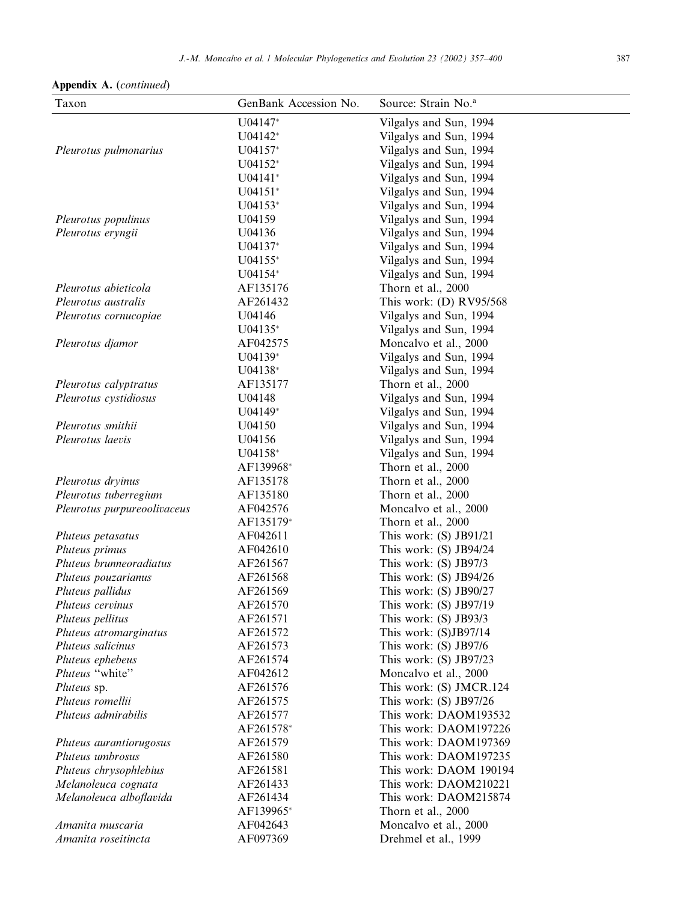Appendix A. (continued)

| Taxon                                       | GenBank Accession No. | Source: Strain No. <sup>a</sup>                   |
|---------------------------------------------|-----------------------|---------------------------------------------------|
|                                             | U04147*               | Vilgalys and Sun, 1994                            |
|                                             | U04142*               | Vilgalys and Sun, 1994                            |
| Pleurotus pulmonarius                       | $U04157*$             | Vilgalys and Sun, 1994                            |
|                                             | $U04152*$             | Vilgalys and Sun, 1994                            |
|                                             | $U04141*$             | Vilgalys and Sun, 1994                            |
|                                             | $U04151*$             | Vilgalys and Sun, 1994                            |
|                                             | $U04153*$             | Vilgalys and Sun, 1994                            |
| Pleurotus populinus                         | U04159                | Vilgalys and Sun, 1994                            |
| Pleurotus eryngii                           | U04136                | Vilgalys and Sun, 1994                            |
|                                             | U04137*               | Vilgalys and Sun, 1994                            |
|                                             | $U04155*$             | Vilgalys and Sun, 1994                            |
|                                             | $U04154*$             | Vilgalys and Sun, 1994                            |
| Pleurotus abieticola                        | AF135176              | Thorn et al., 2000                                |
| Pleurotus australis                         | AF261432              | This work: (D) RV95/568                           |
| Pleurotus cornucopiae                       | U04146                | Vilgalys and Sun, 1994                            |
|                                             | $U04135*$             | Vilgalys and Sun, 1994                            |
| Pleurotus djamor                            | AF042575              | Moncalvo et al., 2000                             |
|                                             | U04139*               | Vilgalys and Sun, 1994                            |
|                                             | U04138*               | Vilgalys and Sun, 1994                            |
| Pleurotus calyptratus                       | AF135177              | Thorn et al., 2000                                |
| Pleurotus cystidiosus                       | U04148                | Vilgalys and Sun, 1994                            |
|                                             | $U04149*$             | Vilgalys and Sun, 1994                            |
| Pleurotus smithii                           | U04150                | Vilgalys and Sun, 1994                            |
| Pleurotus laevis                            | U04156                | Vilgalys and Sun, 1994                            |
|                                             | U04158*               | Vilgalys and Sun, 1994                            |
|                                             | AF139968*             | Thorn et al., 2000                                |
| Pleurotus dryinus                           | AF135178              | Thorn et al., 2000                                |
| Pleurotus tuberregium                       | AF135180              | Thorn et al., 2000                                |
| Pleurotus purpureoolivaceus                 | AF042576              | Moncalvo et al., 2000                             |
|                                             | AF135179*             | Thorn et al., 2000                                |
| Pluteus petasatus                           | AF042611              | This work: (S) JB91/21                            |
| Pluteus primus                              | AF042610              | This work: (S) JB94/24                            |
| Pluteus brunneoradiatus                     | AF261567              | This work: (S) JB97/3                             |
| Pluteus pouzarianus                         | AF261568              | This work: $(S)$ JB94/26                          |
| Pluteus pallidus                            | AF261569              | This work: (S) JB90/27                            |
| Pluteus cervinus                            | AF261570<br>AF261571  | This work: $(S)$ JB97/19                          |
| Pluteus pellitus                            | AF261572              | This work: (S) JB93/3<br>This work: (S)JB97/14    |
| Pluteus atromarginatus<br>Pluteus salicinus | AF261573              |                                                   |
|                                             | AF261574              | This work: $(S)$ JB97/6<br>This work: (S) JB97/23 |
| Pluteus ephebeus<br>Pluteus "white"         | AF042612              | Moncalvo et al., 2000                             |
| Pluteus sp.                                 | AF261576              | This work: (S) JMCR.124                           |
| Pluteus romellii                            | AF261575              | This work: (S) JB97/26                            |
| Pluteus admirabilis                         | AF261577              | This work: DAOM193532                             |
|                                             | AF261578*             | This work: DAOM197226                             |
| Pluteus aurantiorugosus                     | AF261579              | This work: DAOM197369                             |
| Pluteus umbrosus                            | AF261580              | This work: DAOM197235                             |
| Pluteus chrysophlebius                      | AF261581              | This work: DAOM 190194                            |
| Melanoleuca cognata                         | AF261433              | This work: DAOM210221                             |
| Melanoleuca alboflavida                     | AF261434              | This work: DAOM215874                             |
|                                             | AF139965*             | Thorn et al., 2000                                |
| Amanita muscaria                            | AF042643              | Moncalvo et al., 2000                             |
| Amanita roseitincta                         | AF097369              | Drehmel et al., 1999                              |
|                                             |                       |                                                   |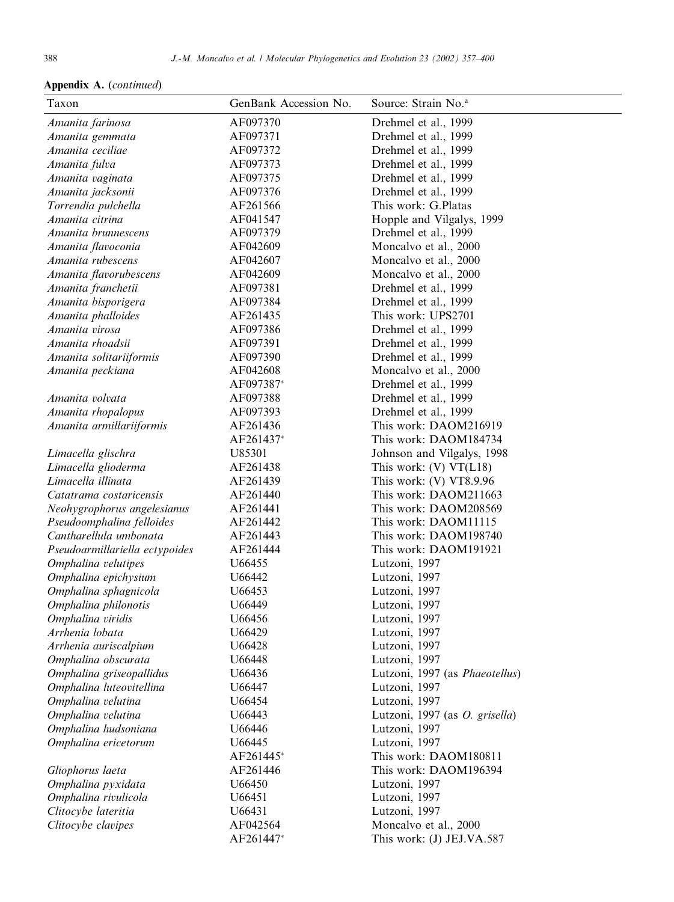| Taxon                                      | GenBank Accession No. | Source: Strain No. <sup>a</sup>        |
|--------------------------------------------|-----------------------|----------------------------------------|
| Amanita farinosa                           | AF097370              | Drehmel et al., 1999                   |
| Amanita gemmata                            | AF097371              | Drehmel et al., 1999                   |
| Amanita ceciliae                           | AF097372              | Drehmel et al., 1999                   |
| Amanita fulva                              | AF097373              | Drehmel et al., 1999                   |
| Amanita vaginata                           | AF097375              | Drehmel et al., 1999                   |
| Amanita jacksonii                          | AF097376              | Drehmel et al., 1999                   |
| Torrendia pulchella                        | AF261566              | This work: G.Platas                    |
| Amanita citrina                            | AF041547              | Hopple and Vilgalys, 1999              |
| Amanita brunnescens                        | AF097379              | Drehmel et al., 1999                   |
| Amanita flavoconia                         | AF042609              | Moncalvo et al., 2000                  |
| Amanita rubescens                          | AF042607              | Moncalvo et al., 2000                  |
| Amanita flavorubescens                     | AF042609              | Moncalvo et al., 2000                  |
| Amanita franchetii                         | AF097381              | Drehmel et al., 1999                   |
| Amanita bisporigera                        | AF097384              | Drehmel et al., 1999                   |
| Amanita phalloides                         | AF261435              | This work: UPS2701                     |
| Amanita virosa                             | AF097386              | Drehmel et al., 1999                   |
| Amanita rhoadsii                           | AF097391              | Drehmel et al., 1999                   |
| Amanita solitariiformis                    | AF097390              | Drehmel et al., 1999                   |
| Amanita peckiana                           | AF042608              | Moncalvo et al., 2000                  |
|                                            | AF097387*             | Drehmel et al., 1999                   |
| Amanita volvata                            | AF097388              | Drehmel et al., 1999                   |
| Amanita rhopalopus                         | AF097393              | Drehmel et al., 1999                   |
| Amanita armillariiformis                   | AF261436              | This work: DAOM216919                  |
|                                            | AF261437*             | This work: DAOM184734                  |
| Limacella glischra                         | U85301                | Johnson and Vilgalys, 1998             |
| Limacella glioderma                        | AF261438              | This work: $(V) V T(L18)$              |
| Limacella illinata                         | AF261439              | This work: $(V) V T 8.9.96$            |
| Catatrama costaricensis                    | AF261440              | This work: DAOM211663                  |
| Neohygrophorus angelesianus                | AF261441              | This work: DAOM208569                  |
| Pseudoomphalina felloides                  | AF261442              | This work: DAOM11115                   |
| Cantharellula umbonata                     | AF261443              | This work: DAOM198740                  |
| Pseudoarmillariella ectypoides             | AF261444              | This work: DAOM191921                  |
| Omphalina velutipes                        | U66455                | Lutzoni, 1997                          |
| Omphalina epichysium                       | U66442                | Lutzoni, 1997                          |
| Omphalina sphagnicola                      | U66453                | Lutzoni, 1997                          |
| Omphalina philonotis                       | U66449                | Lutzoni, 1997                          |
| Omphalina viridis                          | U66456                | Lutzoni, 1997                          |
| Arrhenia lobata                            | U66429                | Lutzoni, 1997                          |
| Arrhenia auriscalpium                      | U66428                | Lutzoni, 1997                          |
| Omphalina obscurata                        | U66448                | Lutzoni, 1997                          |
| Omphalina griseopallidus                   | U66436                | Lutzoni, 1997 (as Phaeotellus)         |
| Omphalina luteovitellina                   | U66447                | Lutzoni, 1997                          |
| Omphalina velutina                         | U66454                | Lutzoni, 1997                          |
| Omphalina velutina                         | U66443                | Lutzoni, 1997 (as O. grisella)         |
| Omphalina hudsoniana                       | U66446                | Lutzoni, 1997                          |
| Omphalina ericetorum                       | U66445                | Lutzoni, 1997<br>This work: DAOM180811 |
|                                            | AF261445*             |                                        |
| Gliophorus laeta                           | AF261446<br>U66450    | This work: DAOM196394                  |
| Omphalina pyxidata<br>Omphalina rivulicola | U66451                | Lutzoni, 1997<br>Lutzoni, 1997         |
| Clitocybe lateritia                        | U66431                | Lutzoni, 1997                          |
| Clitocybe clavipes                         | AF042564              | Moncalvo et al., 2000                  |
|                                            | AF261447*             | This work: (J) JEJ.VA.587              |
|                                            |                       |                                        |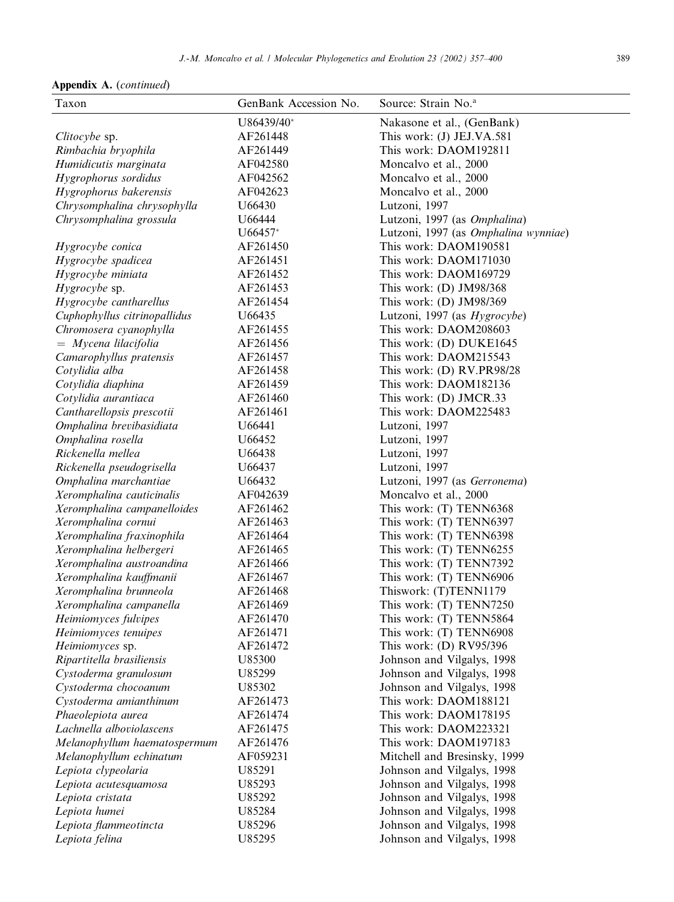| Taxon                                                | GenBank Accession No. | Source: Strain No. <sup>a</sup>                          |
|------------------------------------------------------|-----------------------|----------------------------------------------------------|
|                                                      | U86439/40*            | Nakasone et al., (GenBank)                               |
| Clitocybe sp.                                        | AF261448              | This work: (J) JEJ.VA.581                                |
| Rimbachia bryophila                                  | AF261449              | This work: DAOM192811                                    |
| Humidicutis marginata                                | AF042580              | Moncalvo et al., 2000                                    |
| Hygrophorus sordidus                                 | AF042562              | Moncalvo et al., 2000                                    |
| Hygrophorus bakerensis                               | AF042623              | Moncalvo et al., 2000                                    |
| Chrysomphalina chrysophylla                          | U66430                | Lutzoni, 1997                                            |
| Chrysomphalina grossula                              | U66444                | Lutzoni, 1997 (as Omphalina)                             |
|                                                      | $U66457*$             | Lutzoni, 1997 (as Omphalina wynniae)                     |
| Hygrocybe conica                                     | AF261450              | This work: DAOM190581                                    |
| Hygrocybe spadicea                                   | AF261451              | This work: DAOM171030                                    |
| Hygrocybe miniata                                    | AF261452              | This work: DAOM169729                                    |
| Hygrocybe sp.                                        | AF261453              | This work: $(D)$ JM98/368                                |
| Hygrocybe cantharellus                               | AF261454              | This work: (D) JM98/369                                  |
| Cuphophyllus citrinopallidus                         | U66435                | Lutzoni, 1997 (as Hygrocybe)                             |
| Chromosera cyanophylla                               | AF261455              | This work: DAOM208603                                    |
| $=$ Mycena lilacifolia                               | AF261456              | This work: (D) DUKE1645                                  |
| Camarophyllus pratensis                              | AF261457              | This work: DAOM215543                                    |
| Cotylidia alba                                       | AF261458              | This work: (D) RV.PR98/28                                |
| Cotylidia diaphina                                   | AF261459              | This work: DAOM182136                                    |
| Cotylidia aurantiaca                                 | AF261460              | This work: (D) JMCR.33                                   |
| Cantharellopsis prescotii                            | AF261461              | This work: DAOM225483                                    |
| Omphalina brevibasidiata                             | U66441                | Lutzoni, 1997                                            |
| Omphalina rosella                                    | U66452                | Lutzoni, 1997                                            |
| Rickenella mellea                                    | U66438                | Lutzoni, 1997                                            |
| Rickenella pseudogrisella                            | U66437                | Lutzoni, 1997                                            |
| Omphalina marchantiae                                | U66432                | Lutzoni, 1997 (as Gerronema)                             |
| Xeromphalina cauticinalis                            | AF042639              | Moncalvo et al., 2000                                    |
| Xeromphalina campanelloides                          | AF261462              | This work: (T) TENN6368                                  |
| Xeromphalina cornui                                  | AF261463              | This work: (T) TENN6397                                  |
|                                                      | AF261464              | This work: (T) TENN6398                                  |
| Xeromphalina fraxinophila                            | AF261465              | This work: (T) TENN6255                                  |
| Xeromphalina helbergeri<br>Xeromphalina austroandina | AF261466              | This work: (T) TENN7392                                  |
| Xeromphalina kauffmanii                              | AF261467              | This work: (T) TENN6906                                  |
| Xeromphalina brunneola                               | AF261468              | Thiswork: (T)TENN1179                                    |
|                                                      | AF261469              | This work: (T) TENN7250                                  |
| Xeromphalina campanella                              | AF261470              | This work: (T) TENN5864                                  |
| Heimiomyces fulvipes                                 | AF261471              | This work: (T) TENN6908                                  |
| Heimiomyces tenuipes<br>Heimiomyces sp.              | AF261472              | This work: (D) RV95/396                                  |
| Ripartitella brasiliensis                            | U85300                | Johnson and Vilgalys, 1998                               |
| Cystoderma granulosum                                | U85299                | Johnson and Vilgalys, 1998                               |
|                                                      | U85302                | Johnson and Vilgalys, 1998                               |
| Cystoderma chocoanum                                 | AF261473              | This work: DAOM188121                                    |
| Cystoderma amianthinum<br>Phaeolepiota aurea         | AF261474              | This work: DAOM178195                                    |
| Lachnella alboviolascens                             | AF261475              | This work: DAOM223321                                    |
|                                                      | AF261476              | This work: DAOM197183                                    |
| Melanophyllum haematospermum                         | AF059231              | Mitchell and Bresinsky, 1999                             |
| Melanophyllum echinatum                              |                       |                                                          |
| Lepiota clypeolaria                                  | U85291                | Johnson and Vilgalys, 1998                               |
| Lepiota acutesquamosa                                | U85293<br>U85292      | Johnson and Vilgalys, 1998                               |
| Lepiota cristata                                     | U85284                | Johnson and Vilgalys, 1998                               |
| Lepiota humei                                        | U85296                | Johnson and Vilgalys, 1998                               |
| Lepiota flammeotincta<br>Lepiota felina              | U85295                | Johnson and Vilgalys, 1998<br>Johnson and Vilgalys, 1998 |
|                                                      |                       |                                                          |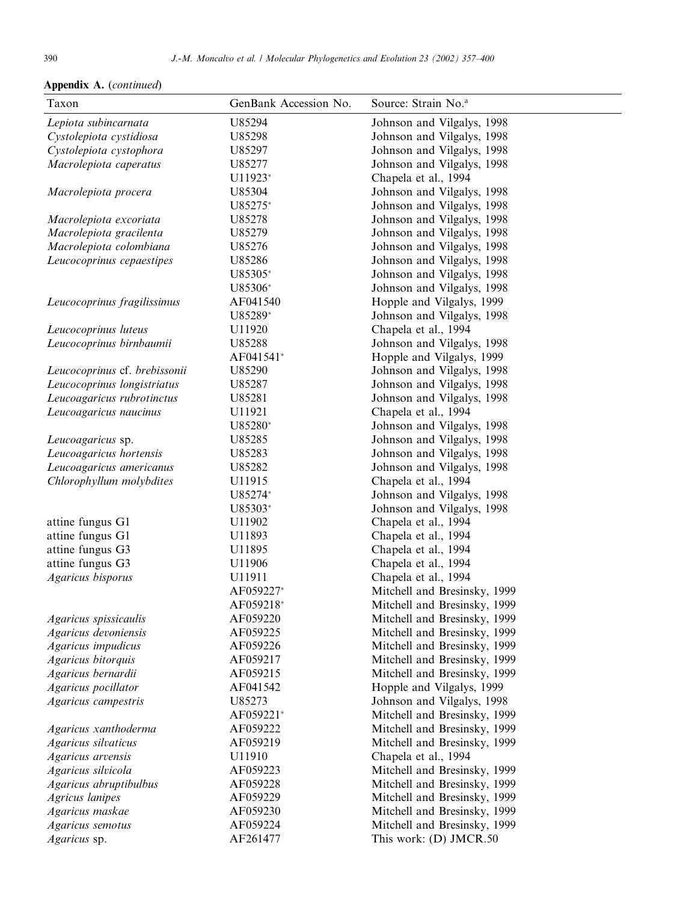| Taxon                         | GenBank Accession No. | Source: Strain No. <sup>a</sup> |
|-------------------------------|-----------------------|---------------------------------|
| Lepiota subincarnata          | U85294                | Johnson and Vilgalys, 1998      |
| Cystolepiota cystidiosa       | U85298                | Johnson and Vilgalys, 1998      |
| Cystolepiota cystophora       | U85297                | Johnson and Vilgalys, 1998      |
| Macrolepiota caperatus        | U85277                | Johnson and Vilgalys, 1998      |
|                               | U11923*               | Chapela et al., 1994            |
| Macrolepiota procera          | U85304                | Johnson and Vilgalys, 1998      |
|                               | U85275*               | Johnson and Vilgalys, 1998      |
| Macrolepiota excoriata        | U85278                | Johnson and Vilgalys, 1998      |
| Macrolepiota gracilenta       | U85279                | Johnson and Vilgalys, 1998      |
| Macrolepiota colombiana       | U85276                | Johnson and Vilgalys, 1998      |
| Leucocoprinus cepaestipes     | U85286                | Johnson and Vilgalys, 1998      |
|                               | U85305*               | Johnson and Vilgalys, 1998      |
|                               | U85306*               | Johnson and Vilgalys, 1998      |
| Leucocoprinus fragilissimus   | AF041540              | Hopple and Vilgalys, 1999       |
|                               | U85289*               | Johnson and Vilgalys, 1998      |
| Leucocoprinus luteus          | U11920                | Chapela et al., 1994            |
| Leucocoprinus birnbaumii      | U85288                | Johnson and Vilgalys, 1998      |
|                               | AF041541*             | Hopple and Vilgalys, 1999       |
| Leucocoprinus cf. brebissonii | U85290                | Johnson and Vilgalys, 1998      |
| Leucocoprinus longistriatus   | U85287                | Johnson and Vilgalys, 1998      |
| Leucoagaricus rubrotinctus    | U85281                | Johnson and Vilgalys, 1998      |
| Leucoagaricus naucinus        | U11921                | Chapela et al., 1994            |
|                               | U85280*               | Johnson and Vilgalys, 1998      |
| Leucoagaricus sp.             | U85285                | Johnson and Vilgalys, 1998      |
| Leucoagaricus hortensis       | U85283                | Johnson and Vilgalys, 1998      |
| Leucoagaricus americanus      | U85282                | Johnson and Vilgalys, 1998      |
| Chlorophyllum molybdites      | U11915                | Chapela et al., 1994            |
|                               | U85274*               | Johnson and Vilgalys, 1998      |
|                               | U85303*               | Johnson and Vilgalys, 1998      |
| attine fungus G1              | U11902                | Chapela et al., 1994            |
| attine fungus G1              | U11893                | Chapela et al., 1994            |
| attine fungus G3              | U11895                | Chapela et al., 1994            |
| attine fungus G3              | U11906                | Chapela et al., 1994            |
| Agaricus bisporus             | U11911                | Chapela et al., 1994            |
|                               | AF059227*             | Mitchell and Bresinsky, 1999    |
|                               | AF059218*             | Mitchell and Bresinsky, 1999    |
| Agaricus spissicaulis         | AF059220              | Mitchell and Bresinsky, 1999    |
| Agaricus devoniensis          | AF059225              | Mitchell and Bresinsky, 1999    |
| Agaricus impudicus            | AF059226              | Mitchell and Bresinsky, 1999    |
| Agaricus bitorquis            | AF059217              | Mitchell and Bresinsky, 1999    |
| Agaricus bernardii            | AF059215              | Mitchell and Bresinsky, 1999    |
| Agaricus pocillator           | AF041542              | Hopple and Vilgalys, 1999       |
| Agaricus campestris           | U85273                | Johnson and Vilgalys, 1998      |
|                               | AF059221*             | Mitchell and Bresinsky, 1999    |
| Agaricus xanthoderma          | AF059222              | Mitchell and Bresinsky, 1999    |
| Agaricus silvaticus           | AF059219              | Mitchell and Bresinsky, 1999    |
| Agaricus arvensis             | U11910                | Chapela et al., 1994            |
| Agaricus silvicola            | AF059223              | Mitchell and Bresinsky, 1999    |
| Agaricus abruptibulbus        | AF059228              | Mitchell and Bresinsky, 1999    |
| Agricus lanipes               | AF059229              | Mitchell and Bresinsky, 1999    |
| Agaricus maskae               | AF059230              | Mitchell and Bresinsky, 1999    |
| Agaricus semotus              | AF059224              | Mitchell and Bresinsky, 1999    |
| Agaricus sp.                  | AF261477              | This work: (D) JMCR.50          |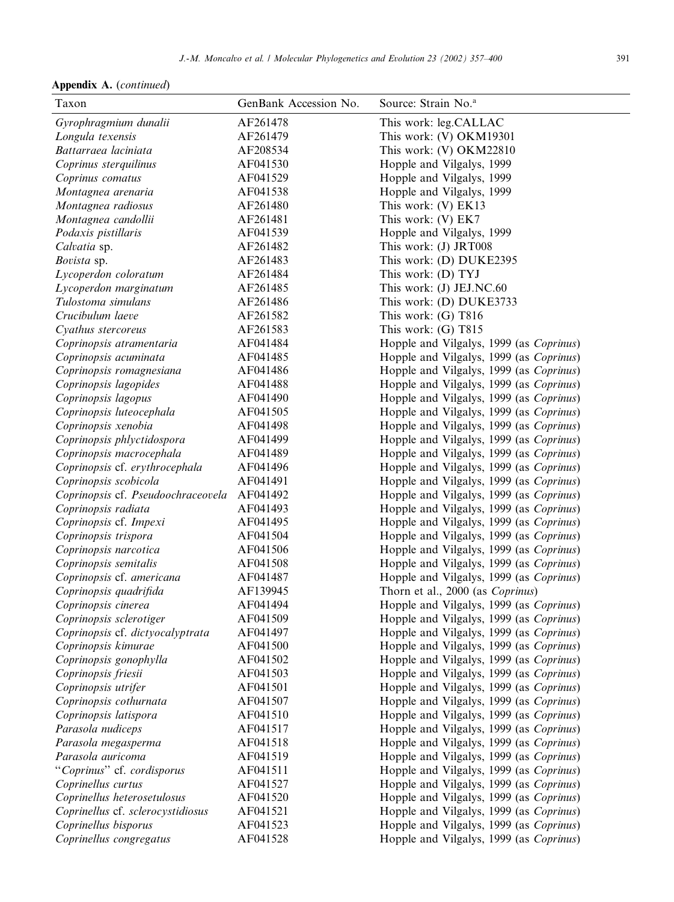Appendix A. (continued)

| Taxon                              | GenBank Accession No. | Source: Strain No. <sup>a</sup>         |
|------------------------------------|-----------------------|-----------------------------------------|
| Gyrophragmium dunalii              | AF261478              | This work: leg.CALLAC                   |
| Longula texensis                   | AF261479              | This work: (V) OKM19301                 |
| Battarraea laciniata               | AF208534              | This work: (V) OKM22810                 |
| Coprinus sterquilinus              | AF041530              | Hopple and Vilgalys, 1999               |
| Coprinus comatus                   | AF041529              | Hopple and Vilgalys, 1999               |
| Montagnea arenaria                 | AF041538              | Hopple and Vilgalys, 1999               |
| Montagnea radiosus                 | AF261480              | This work: (V) EK13                     |
| Montagnea candollii                | AF261481              | This work: (V) EK7                      |
| Podaxis pistillaris                | AF041539              | Hopple and Vilgalys, 1999               |
| Calvatia sp.                       | AF261482              | This work: (J) JRT008                   |
| Bovista sp.                        | AF261483              | This work: (D) DUKE2395                 |
| Lycoperdon coloratum               | AF261484              | This work: (D) TYJ                      |
| Lycoperdon marginatum              | AF261485              | This work: (J) JEJ.NC.60                |
| Tulostoma simulans                 | AF261486              | This work: (D) DUKE3733                 |
| Crucibulum laeve                   | AF261582              | This work: $(G)$ T816                   |
| Cyathus stercoreus                 | AF261583              | This work: $(G)$ T815                   |
| Coprinopsis atramentaria           | AF041484              | Hopple and Vilgalys, 1999 (as Coprinus) |
| Coprinopsis acuminata              | AF041485              | Hopple and Vilgalys, 1999 (as Coprinus) |
| Coprinopsis romagnesiana           | AF041486              | Hopple and Vilgalys, 1999 (as Coprinus) |
| Coprinopsis lagopides              | AF041488              | Hopple and Vilgalys, 1999 (as Coprinus) |
| Coprinopsis lagopus                | AF041490              | Hopple and Vilgalys, 1999 (as Coprinus) |
| Coprinopsis luteocephala           | AF041505              | Hopple and Vilgalys, 1999 (as Coprinus) |
| Coprinopsis xenobia                | AF041498              | Hopple and Vilgalys, 1999 (as Coprinus) |
| Coprinopsis phlyctidospora         | AF041499              | Hopple and Vilgalys, 1999 (as Coprinus) |
| Coprinopsis macrocephala           | AF041489              | Hopple and Vilgalys, 1999 (as Coprinus) |
| Coprinopsis cf. erythrocephala     | AF041496              | Hopple and Vilgalys, 1999 (as Coprinus) |
| Coprinopsis scobicola              | AF041491              | Hopple and Vilgalys, 1999 (as Coprinus) |
| Coprinopsis cf. Pseudoochraceovela | AF041492              | Hopple and Vilgalys, 1999 (as Coprinus) |
| Coprinopsis radiata                | AF041493              | Hopple and Vilgalys, 1999 (as Coprinus) |
| Coprinopsis cf. Impexi             | AF041495              | Hopple and Vilgalys, 1999 (as Coprinus) |
| Coprinopsis trispora               | AF041504              | Hopple and Vilgalys, 1999 (as Coprinus) |
| Coprinopsis narcotica              | AF041506              | Hopple and Vilgalys, 1999 (as Coprinus) |
| Coprinopsis semitalis              | AF041508              | Hopple and Vilgalys, 1999 (as Coprinus) |
| Coprinopsis cf. americana          | AF041487              | Hopple and Vilgalys, 1999 (as Coprinus) |
| Coprinopsis quadrifida             | AF139945              | Thorn et al., 2000 (as Coprinus)        |
| Coprinopsis cinerea                | AF041494              | Hopple and Vilgalys, 1999 (as Coprinus) |
| Coprinopsis sclerotiger            | AF041509              | Hopple and Vilgalys, 1999 (as Coprinus) |
| Coprinopsis cf. dictyocalyptrata   | AF041497              | Hopple and Vilgalys, 1999 (as Coprinus) |
| Coprinopsis kimurae                | AF041500              | Hopple and Vilgalys, 1999 (as Coprinus) |
| Coprinopsis gonophylla             | AF041502              | Hopple and Vilgalys, 1999 (as Coprinus) |
| Coprinopsis friesii                | AF041503              | Hopple and Vilgalys, 1999 (as Coprinus) |
| Coprinopsis utrifer                | AF041501              | Hopple and Vilgalys, 1999 (as Coprinus) |
| Coprinopsis cothurnata             | AF041507              | Hopple and Vilgalys, 1999 (as Coprinus) |
| Coprinopsis latispora              | AF041510              | Hopple and Vilgalys, 1999 (as Coprinus) |
| Parasola nudiceps                  | AF041517              | Hopple and Vilgalys, 1999 (as Coprinus) |
| Parasola megasperma                | AF041518              | Hopple and Vilgalys, 1999 (as Coprinus) |
| Parasola auricoma                  | AF041519              | Hopple and Vilgalys, 1999 (as Coprinus) |
| "Coprinus" cf. cordisporus         | AF041511              | Hopple and Vilgalys, 1999 (as Coprinus) |
| Coprinellus curtus                 | AF041527              | Hopple and Vilgalys, 1999 (as Coprinus) |
| Coprinellus heterosetulosus        | AF041520              | Hopple and Vilgalys, 1999 (as Coprinus) |
| Coprinellus cf. sclerocystidiosus  | AF041521              | Hopple and Vilgalys, 1999 (as Coprinus) |
| Coprinellus bisporus               | AF041523              | Hopple and Vilgalys, 1999 (as Coprinus) |
| Coprinellus congregatus            | AF041528              | Hopple and Vilgalys, 1999 (as Coprinus) |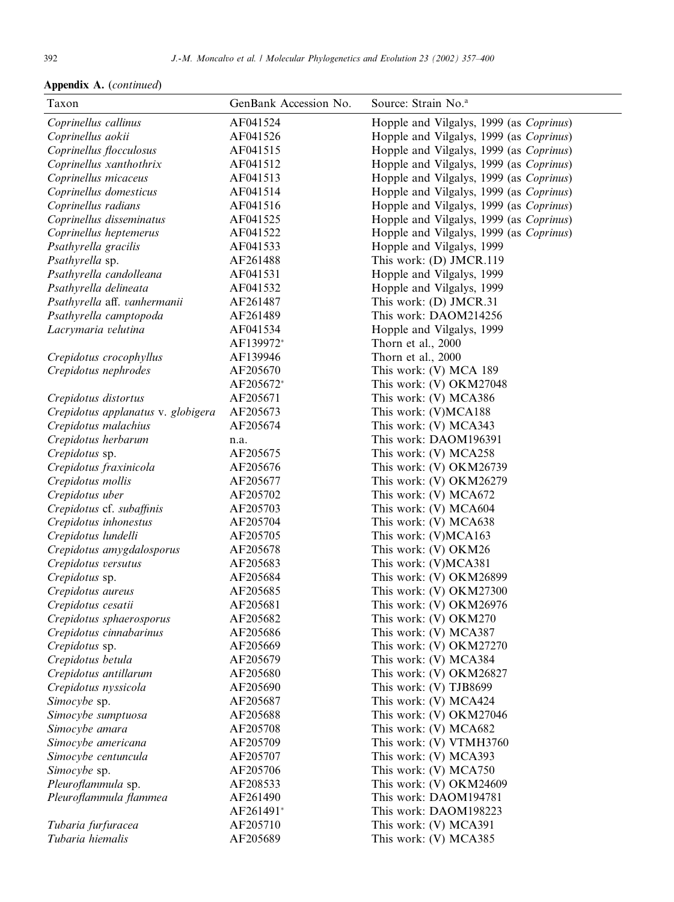| Taxon                              | GenBank Accession No. | Source: Strain No. <sup>a</sup>         |
|------------------------------------|-----------------------|-----------------------------------------|
| Coprinellus callinus               | AF041524              | Hopple and Vilgalys, 1999 (as Coprinus) |
| Coprinellus aokii                  | AF041526              | Hopple and Vilgalys, 1999 (as Coprinus) |
| Coprinellus flocculosus            | AF041515              | Hopple and Vilgalys, 1999 (as Coprinus) |
| Coprinellus xanthothrix            | AF041512              | Hopple and Vilgalys, 1999 (as Coprinus) |
| Coprinellus micaceus               | AF041513              | Hopple and Vilgalys, 1999 (as Coprinus) |
| Coprinellus domesticus             | AF041514              | Hopple and Vilgalys, 1999 (as Coprinus) |
| Coprinellus radians                | AF041516              | Hopple and Vilgalys, 1999 (as Coprinus) |
| Coprinellus disseminatus           | AF041525              | Hopple and Vilgalys, 1999 (as Coprinus) |
| Coprinellus heptemerus             | AF041522              | Hopple and Vilgalys, 1999 (as Coprinus) |
| Psathyrella gracilis               | AF041533              | Hopple and Vilgalys, 1999               |
| Psathyrella sp.                    | AF261488              | This work: (D) JMCR.119                 |
| Psathyrella candolleana            | AF041531              | Hopple and Vilgalys, 1999               |
| Psathyrella delineata              | AF041532              | Hopple and Vilgalys, 1999               |
| Psathyrella aff. vanhermanii       | AF261487              | This work: (D) JMCR.31                  |
| Psathyrella camptopoda             | AF261489              | This work: DAOM214256                   |
| Lacrymaria velutina                | AF041534              | Hopple and Vilgalys, 1999               |
|                                    | AF139972*             | Thorn et al., 2000                      |
| Crepidotus crocophyllus            | AF139946              | Thorn et al., 2000                      |
| Crepidotus nephrodes               | AF205670              | This work: (V) MCA 189                  |
|                                    | AF205672*             | This work: (V) OKM27048                 |
| Crepidotus distortus               | AF205671              | This work: (V) MCA386                   |
| Crepidotus applanatus v. globigera | AF205673              | This work: (V)MCA188                    |
| Crepidotus malachius               | AF205674              | This work: (V) MCA343                   |
| Crepidotus herbarum                | n.a.                  | This work: DAOM196391                   |
| Crepidotus sp.                     | AF205675              | This work: (V) MCA258                   |
| Crepidotus fraxinicola             | AF205676              | This work: (V) OKM26739                 |
| Crepidotus mollis                  | AF205677              | This work: (V) OKM26279                 |
| Crepidotus uber                    | AF205702              | This work: (V) MCA672                   |
| Crepidotus cf. subaffinis          | AF205703              | This work: (V) MCA604                   |
| Crepidotus inhonestus              | AF205704              | This work: (V) MCA638                   |
| Crepidotus lundelli                | AF205705              | This work: (V)MCA163                    |
| Crepidotus amygdalosporus          | AF205678              | This work: (V) OKM26                    |
| Crepidotus versutus                | AF205683              | This work: (V)MCA381                    |
| Crepidotus sp.                     | AF205684              | This work: (V) OKM26899                 |
| Crepidotus aureus                  | AF205685              | This work: (V) OKM27300                 |
| Crepidotus cesatii                 | AF205681              | This work: (V) OKM26976                 |
| Crepidotus sphaerosporus           | AF205682              | This work: (V) OKM270                   |
| Crepidotus cinnabarinus            | AF205686              | This work: (V) MCA387                   |
| Crepidotus sp.                     | AF205669              | This work: (V) OKM27270                 |
| Crepidotus betula                  | AF205679              | This work: (V) MCA384                   |
| Crepidotus antillarum              | AF205680              | This work: (V) OKM26827                 |
| Crepidotus nyssicola               | AF205690              | This work: (V) TJB8699                  |
| Simocybe sp.                       | AF205687              | This work: (V) MCA424                   |
| Simocybe sumptuosa                 | AF205688              | This work: (V) OKM27046                 |
| Simocybe amara                     | AF205708              | This work: (V) MCA682                   |
| Simocybe americana                 | AF205709              | This work: (V) VTMH3760                 |
| Simocybe centuncula                | AF205707              | This work: (V) MCA393                   |
| Simocybe sp.                       | AF205706              | This work: (V) MCA750                   |
| Pleuroflammula sp.                 | AF208533              | This work: (V) OKM24609                 |
| Pleuroflammula flammea             | AF261490              | This work: DAOM194781                   |
|                                    | AF261491*             | This work: DAOM198223                   |
| Tubaria furfuracea                 | AF205710              | This work: (V) MCA391                   |
| Tubaria hiemalis                   | AF205689              | This work: (V) MCA385                   |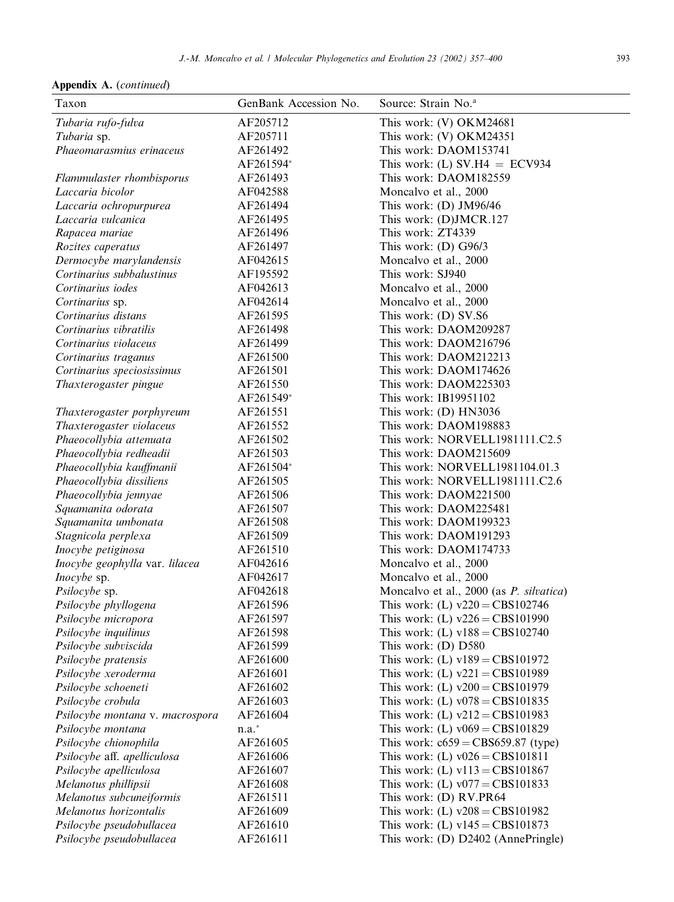| Taxon                           | GenBank Accession No. | Source: Strain No. <sup>a</sup>         |
|---------------------------------|-----------------------|-----------------------------------------|
| Tubaria rufo-fulva              | AF205712              | This work: (V) OKM24681                 |
| Tubaria sp.                     | AF205711              | This work: (V) OKM24351                 |
| Phaeomarasmius erinaceus        | AF261492              | This work: DAOM153741                   |
|                                 | AF261594*             | This work: (L) SV.H4 = ECV934           |
| Flammulaster rhombisporus       | AF261493              | This work: DAOM182559                   |
| Laccaria bicolor                | AF042588              | Moncalvo et al., 2000                   |
| Laccaria ochropurpurea          | AF261494              | This work: $(D)$ JM96/46                |
| Laccaria vulcanica              | AF261495              | This work: (D)JMCR.127                  |
| Rapacea mariae                  | AF261496              | This work: ZT4339                       |
| Rozites caperatus               | AF261497              | This work: $(D)$ G96/3                  |
| Dermocybe marylandensis         | AF042615              | Moncalvo et al., 2000                   |
| Cortinarius subbalustinus       | AF195592              | This work: SJ940                        |
| Cortinarius iodes               | AF042613              | Moncalvo et al., 2000                   |
| Cortinarius sp.                 | AF042614              | Moncalvo et al., 2000                   |
| Cortinarius distans             | AF261595              | This work: (D) SV.S6                    |
| Cortinarius vibratilis          | AF261498              | This work: DAOM209287                   |
| Cortinarius violaceus           | AF261499              | This work: DAOM216796                   |
| Cortinarius traganus            | AF261500              | This work: DAOM212213                   |
| Cortinarius speciosissimus      | AF261501              | This work: DAOM174626                   |
| Thaxterogaster pingue           | AF261550              | This work: DAOM225303                   |
|                                 | AF261549*             | This work: IB19951102                   |
| Thaxterogaster porphyreum       | AF261551              | This work: $(D)$ HN3036                 |
| Thaxterogaster violaceus        | AF261552              | This work: DAOM198883                   |
| Phaeocollybia attenuata         | AF261502              | This work: NORVELL1981111.C2.5          |
| Phaeocollybia redheadii         | AF261503              | This work: DAOM215609                   |
| Phaeocollybia kauffmanii        | AF261504*             | This work: NORVELL1981104.01.3          |
| Phaeocollybia dissiliens        | AF261505              | This work: NORVELL1981111.C2.6          |
| Phaeocollybia jennyae           | AF261506              | This work: DAOM221500                   |
| Squamanita odorata              | AF261507              | This work: DAOM225481                   |
| Squamanita umbonata             | AF261508              | This work: DAOM199323                   |
| Stagnicola perplexa             | AF261509              | This work: DAOM191293                   |
| Inocybe petiginosa              | AF261510              | This work: DAOM174733                   |
| Inocybe geophylla var. lilacea  | AF042616              | Moncalvo et al., 2000                   |
| Inocybe sp.                     | AF042617              | Moncalvo et al., 2000                   |
| Psilocybe sp.                   | AF042618              | Moncalvo et al., 2000 (as P. silvatica) |
| Psilocybe phyllogena            | AF261596              | This work: (L) $v220 = CBS102746$       |
| Psilocybe micropora             | AF261597              | This work: (L) $v226 = CBS101990$       |
| Psilocybe inquilinus            | AF261598              | This work: (L) $v188 = CBS102740$       |
| Psilocybe subviscida            | AF261599              | This work: (D) D580                     |
| Psilocybe pratensis             | AF261600              | This work: (L) $v189 = CBS101972$       |
| Psilocybe xeroderma             | AF261601              | This work: (L) $v221 = CBS101989$       |
| Psilocybe schoeneti             | AF261602              | This work: (L) $v200 = CBS101979$       |
| Psilocybe crobula               | AF261603              | This work: (L) $v078 = CBS101835$       |
| Psilocybe montana v. macrospora | AF261604              | This work: (L) $v212 = CBS101983$       |
| Psilocybe montana               | $n.a.*$               | This work: (L) $v069 = CBS101829$       |
| Psilocybe chionophila           | AF261605              | This work: $c659 = CBS659.87$ (type)    |
| Psilocybe aff. apelliculosa     | AF261606              | This work: (L) $v026 = CBS101811$       |
| Psilocybe apelliculosa          | AF261607              | This work: (L) $v113 = CBS101867$       |
| Melanotus phillipsii            | AF261608              | This work: (L) $v077 = CBS101833$       |
| Melanotus subcuneiformis        | AF261511              | This work: (D) RV.PR64                  |
| Melanotus horizontalis          | AF261609              | This work: (L) $v208 = CBS101982$       |
| Psilocybe pseudobullacea        | AF261610              | This work: (L) $v145 = CBS101873$       |
| Psilocybe pseudobullacea        | AF261611              | This work: (D) D2402 (AnnePringle)      |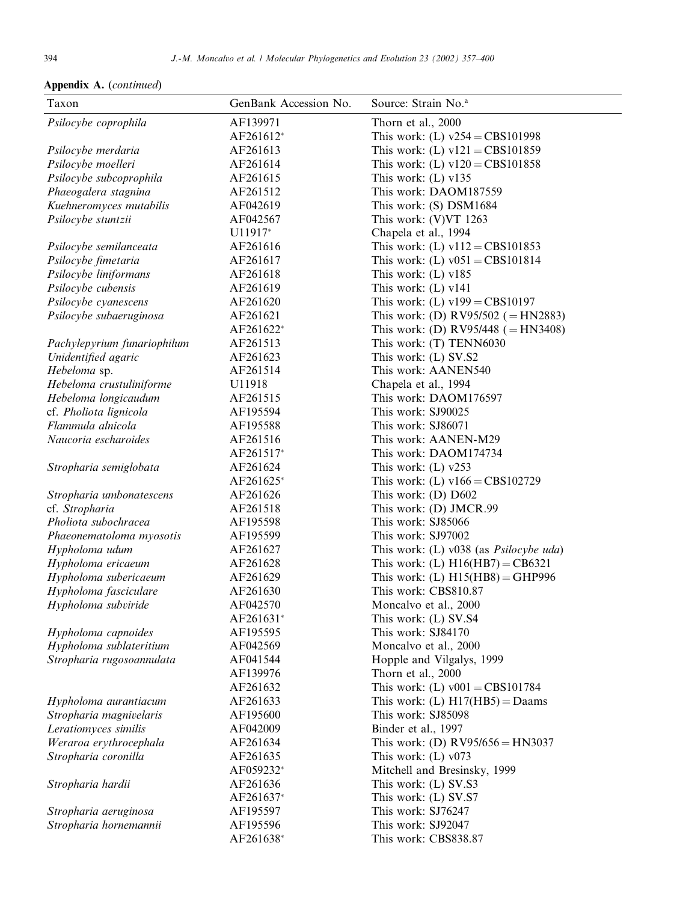| Taxon                       | GenBank Accession No. | Source: Strain No. <sup>a</sup>                |
|-----------------------------|-----------------------|------------------------------------------------|
| Psilocybe coprophila        | AF139971              | Thorn et al., 2000                             |
|                             | AF261612*             | This work: (L) $v254 = CBS101998$              |
| Psilocybe merdaria          | AF261613              | This work: (L) $v121 = CBS101859$              |
| Psilocybe moelleri          | AF261614              | This work: (L) $v120 = CBS101858$              |
| Psilocybe subcoprophila     | AF261615              | This work: $(L)$ v135                          |
| Phaeogalera stagnina        | AF261512              | This work: DAOM187559                          |
| Kuehneromyces mutabilis     | AF042619              | This work: (S) DSM1684                         |
| Psilocybe stuntzii          | AF042567              | This work: (V)VT 1263                          |
|                             | U11917*               | Chapela et al., 1994                           |
| Psilocybe semilanceata      | AF261616              | This work: (L) $v112 = CBS101853$              |
| Psilocybe fimetaria         | AF261617              | This work: (L) $v051 = CBS101814$              |
| Psilocybe liniformans       | AF261618              | This work: $(L)$ v185                          |
| Psilocybe cubensis          | AF261619              | This work: $(L)$ v141                          |
| Psilocybe cyanescens        | AF261620              | This work: (L) $v199 = CBS10197$               |
| Psilocybe subaeruginosa     | AF261621              | This work: (D) RV95/502 (= HN2883)             |
|                             | AF261622*             | This work: (D) RV95/448 ( $=$ HN3408)          |
| Pachylepyrium funariophilum | AF261513              | This work: (T) TENN6030                        |
| Unidentified agaric         | AF261623              | This work: (L) SV.S2                           |
| Hebeloma sp.                | AF261514              | This work: AANEN540                            |
| Hebeloma crustuliniforme    | U11918                | Chapela et al., 1994                           |
| Hebeloma longicaudum        | AF261515              | This work: DAOM176597                          |
| cf. Pholiota lignicola      | AF195594              | This work: SJ90025                             |
| Flammula alnicola           | AF195588              | This work: SJ86071                             |
| Naucoria escharoides        | AF261516              | This work: AANEN-M29                           |
|                             | AF261517*             | This work: DAOM174734                          |
| Stropharia semiglobata      | AF261624              | This work: $(L)$ v253                          |
|                             | AF261625*             | This work: (L) $v166 = CBS102729$              |
| Stropharia umbonatescens    | AF261626              | This work: (D) D602                            |
| cf. Stropharia              | AF261518              | This work: (D) JMCR.99                         |
| Pholiota subochracea        | AF195598              | This work: SJ85066                             |
| Phaeonematoloma myosotis    | AF195599              | This work: SJ97002                             |
| Hypholoma udum              | AF261627              | This work: (L) v038 (as <i>Psilocybe uda</i> ) |
| Hypholoma ericaeum          | AF261628              | This work: (L) $H16(HB7) = CB6321$             |
| Hypholoma subericaeum       | AF261629              | This work: (L) $H15(HB8) = GHP996$             |
| Hypholoma fasciculare       | AF261630              | This work: CBS810.87                           |
| Hypholoma subviride         | AF042570              | Moncalvo et al., 2000                          |
|                             | AF261631*             | This work: (L) SV.S4                           |
| Hypholoma capnoides         | AF195595              | This work: SJ84170                             |
| Hypholoma sublateritium     | AF042569              | Moncalvo et al., 2000                          |
| Stropharia rugosoannulata   | AF041544              | Hopple and Vilgalys, 1999                      |
|                             | AF139976              | Thorn et al., 2000                             |
|                             | AF261632              | This work: (L) $v001 = CBS101784$              |
| Hypholoma aurantiacum       | AF261633              | This work: (L) $H17(HB5) =$ Daams              |
| Stropharia magnivelaris     | AF195600              | This work: SJ85098                             |
| Leratiomyces similis        | AF042009              | Binder et al., 1997                            |
| Weraroa erythrocephala      | AF261634              | This work: (D) $RV95/656 = HN3037$             |
| Stropharia coronilla        | AF261635              | This work: $(L)$ v073                          |
|                             | AF059232*             | Mitchell and Bresinsky, 1999                   |
| Stropharia hardii           | AF261636              | This work: (L) SV.S3                           |
|                             | AF261637*             | This work: (L) SV.S7<br>This work: SJ76247     |
| Stropharia aeruginosa       | AF195597<br>AF195596  | This work: SJ92047                             |
| Stropharia hornemannii      | AF261638*             | This work: CBS838.87                           |
|                             |                       |                                                |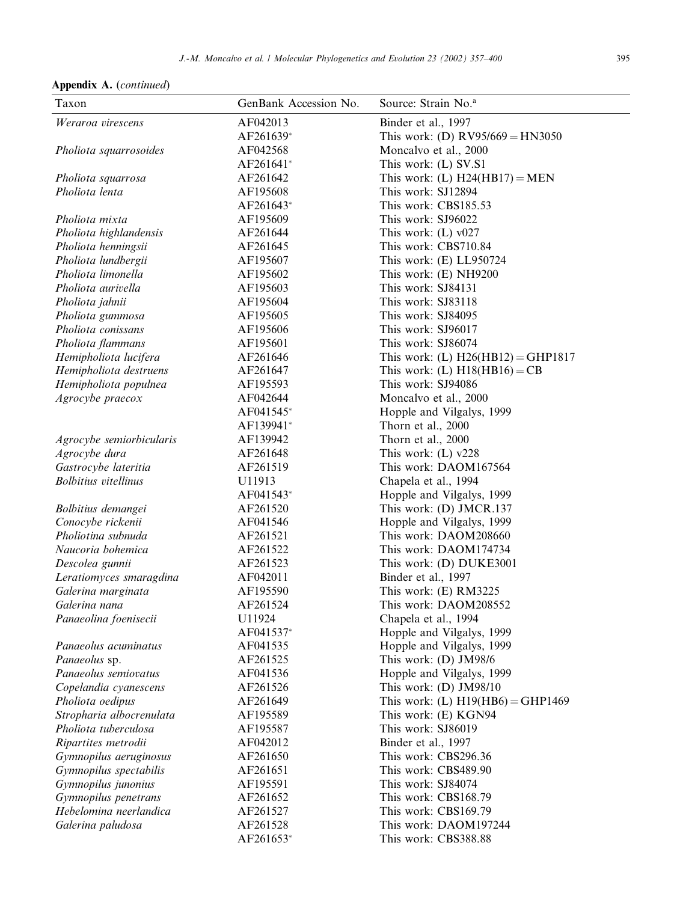| Appendix A. (continued) |  |
|-------------------------|--|
|-------------------------|--|

| Taxon                       | GenBank Accession No. | Source: Strain No. <sup>a</sup>      |
|-----------------------------|-----------------------|--------------------------------------|
| Weraroa virescens           | AF042013              | Binder et al., 1997                  |
|                             | AF261639*             | This work: (D) $RV95/669 = HN3050$   |
| Pholiota squarrosoides      | AF042568              | Moncalvo et al., 2000                |
|                             | AF261641*             | This work: (L) SV.S1                 |
| Pholiota squarrosa          | AF261642              | This work: (L) $H24(HB17) = MEN$     |
| Pholiota lenta              | AF195608              | This work: SJ12894                   |
|                             | AF261643*             | This work: CBS185.53                 |
| Pholiota mixta              | AF195609              | This work: SJ96022                   |
| Pholiota highlandensis      | AF261644              | This work: $(L)$ v027                |
| Pholiota henningsii         | AF261645              | This work: CBS710.84                 |
| Pholiota lundbergii         | AF195607              | This work: (E) LL950724              |
| Pholiota limonella          | AF195602              | This work: (E) NH9200                |
| Pholiota aurivella          | AF195603              | This work: SJ84131                   |
| Pholiota jahnii             | AF195604              | This work: SJ83118                   |
| Pholiota gummosa            | AF195605              | This work: SJ84095                   |
| Pholiota conissans          | AF195606              | This work: SJ96017                   |
| Pholiota flammans           | AF195601              | This work: SJ86074                   |
| Hemipholiota lucifera       | AF261646              | This work: (L) $H26(HB12) = GHP1817$ |
| Hemipholiota destruens      | AF261647              | This work: (L) $H18(HB16) = CB$      |
| Hemipholiota populnea       | AF195593              | This work: SJ94086                   |
| Agrocybe praecox            | AF042644              | Moncalvo et al., 2000                |
|                             | AF041545*             | Hopple and Vilgalys, 1999            |
|                             | AF139941*             | Thorn et al., 2000                   |
| Agrocybe semiorbicularis    | AF139942              | Thorn et al., 2000                   |
| Agrocybe dura               | AF261648              | This work: $(L)$ v228                |
| Gastrocybe lateritia        | AF261519              | This work: DAOM167564                |
| <b>Bolbitius</b> vitellinus | U11913                | Chapela et al., 1994                 |
|                             | AF041543*             | Hopple and Vilgalys, 1999            |
| Bolbitius demangei          | AF261520              | This work: (D) JMCR.137              |
| Conocybe rickenii           | AF041546              | Hopple and Vilgalys, 1999            |
| Pholiotina subnuda          | AF261521              | This work: DAOM208660                |
| Naucoria bohemica           | AF261522              | This work: DAOM174734                |
| Descolea gunnii             | AF261523              | This work: (D) DUKE3001              |
| Leratiomyces smaragdina     | AF042011              | Binder et al., 1997                  |
| Galerina marginata          | AF195590              | This work: (E) RM3225                |
| Galerina nana               | AF261524              | This work: DAOM208552                |
| Panaeolina foenisecii       | U11924                | Chapela et al., 1994                 |
|                             | AF041537*             | Hopple and Vilgalys, 1999            |
| Panaeolus acuminatus        | AF041535              | Hopple and Vilgalys, 1999            |
| Panaeolus sp.               | AF261525              | This work: (D) JM98/6                |
| Panaeolus semiovatus        | AF041536              | Hopple and Vilgalys, 1999            |
| Copelandia cyanescens       | AF261526              | This work: (D) JM98/10               |
| Pholiota oedipus            | AF261649              | This work: (L) $H19(HB6) = GHP1469$  |
| Stropharia albocrenulata    | AF195589              | This work: (E) KGN94                 |
| Pholiota tuberculosa        | AF195587              | This work: SJ86019                   |
| Ripartites metrodii         | AF042012              | Binder et al., 1997                  |
| Gymnopilus aeruginosus      | AF261650              | This work: CBS296.36                 |
| Gymnopilus spectabilis      | AF261651              | This work: CBS489.90                 |
| Gymnopilus junonius         | AF195591              | This work: SJ84074                   |
| Gymnopilus penetrans        | AF261652              | This work: CBS168.79                 |
| Hebelomina neerlandica      | AF261527              | This work: CBS169.79                 |
| Galerina paludosa           | AF261528              | This work: DAOM197244                |
|                             | AF261653*             | This work: CBS388.88                 |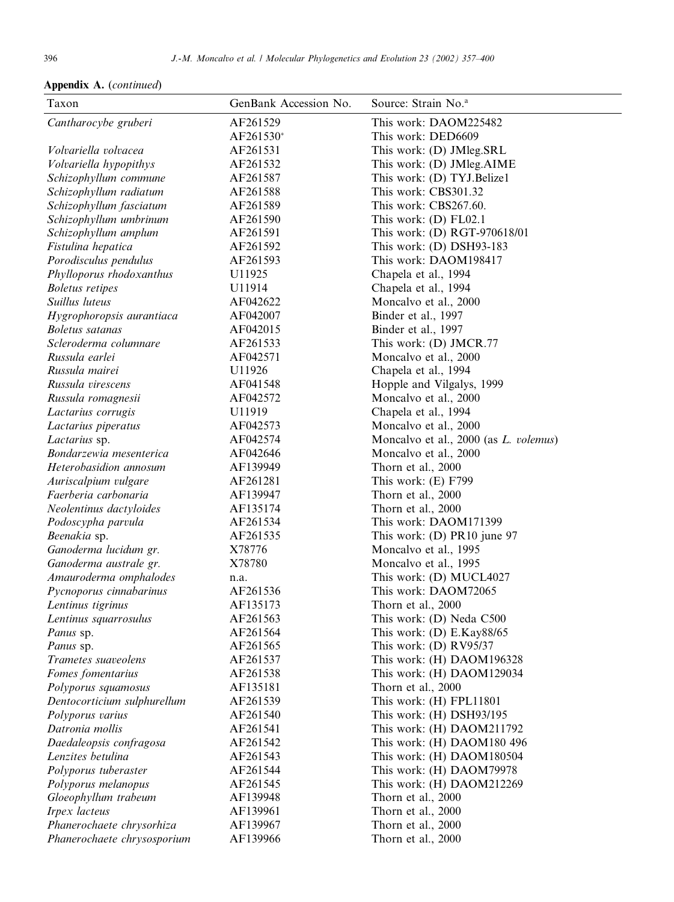| Taxon                       | GenBank Accession No. | Source: Strain No. <sup>a</sup>               |
|-----------------------------|-----------------------|-----------------------------------------------|
| Cantharocybe gruberi        | AF261529              | This work: DAOM225482                         |
|                             | AF261530*             | This work: DED6609                            |
| Volvariella volvacea        | AF261531              | This work: (D) JMleg.SRL                      |
| Volvariella hypopithys      | AF261532              | This work: (D) JMleg.AIME                     |
| Schizophyllum commune       | AF261587              | This work: (D) TYJ.Belize1                    |
| Schizophyllum radiatum      | AF261588              | This work: CBS301.32                          |
| Schizophyllum fasciatum     | AF261589              | This work: CBS267.60.                         |
| Schizophyllum umbrinum      | AF261590              | This work: $(D)$ FL02.1                       |
| Schizophyllum amplum        | AF261591              | This work: (D) RGT-970618/01                  |
| Fistulina hepatica          | AF261592              | This work: (D) DSH93-183                      |
| Porodisculus pendulus       | AF261593              | This work: DAOM198417                         |
| Phylloporus rhodoxanthus    | U11925                | Chapela et al., 1994                          |
| <b>Boletus</b> retipes      | U11914                | Chapela et al., 1994                          |
| Suillus luteus              | AF042622              | Moncalvo et al., 2000                         |
| Hygrophoropsis aurantiaca   | AF042007              | Binder et al., 1997                           |
| Boletus satanas             | AF042015              | Binder et al., 1997                           |
| Scleroderma columnare       | AF261533              | This work: (D) JMCR.77                        |
| Russula earlei              | AF042571              | Moncalvo et al., 2000                         |
| Russula mairei              | U11926                | Chapela et al., 1994                          |
| Russula virescens           | AF041548              | Hopple and Vilgalys, 1999                     |
| Russula romagnesii          | AF042572              | Moncalvo et al., 2000                         |
| Lactarius corrugis          | U11919                | Chapela et al., 1994                          |
| Lactarius piperatus         | AF042573              | Moncalvo et al., 2000                         |
| Lactarius sp.               | AF042574              | Moncalvo et al., 2000 (as <i>L. volemus</i> ) |
| Bondarzewia mesenterica     | AF042646              | Moncalvo et al., 2000                         |
| Heterobasidion annosum      | AF139949              | Thorn et al., 2000                            |
| Auriscalpium vulgare        | AF261281              | This work: $(E)$ F799                         |
| Faerberia carbonaria        | AF139947              | Thorn et al., 2000                            |
| Neolentinus dactyloides     | AF135174              | Thorn et al., 2000                            |
| Podoscypha parvula          | AF261534              | This work: DAOM171399                         |
| Beenakia sp.                | AF261535              | This work: (D) PR10 june 97                   |
| Ganoderma lucidum gr.       | X78776                | Moncalvo et al., 1995                         |
| Ganoderma australe gr.      | X78780                | Moncalvo et al., 1995                         |
| Amauroderma omphalodes      | n.a.                  | This work: (D) MUCL4027                       |
| Pycnoporus cinnabarinus     | AF261536              | This work: DAOM72065                          |
| Lentinus tigrinus           | AF135173              | Thorn et al., 2000                            |
| Lentinus squarrosulus       | AF261563              | This work: (D) Neda C500                      |
| Panus sp.                   | AF261564              | This work: (D) E.Kay88/65                     |
| Panus sp.                   | AF261565              | This work: $(D)$ RV95/37                      |
| Trametes suaveolens         | AF261537              | This work: (H) DAOM196328                     |
| Fomes fomentarius           | AF261538              | This work: (H) DAOM129034                     |
| Polyporus squamosus         | AF135181              | Thorn et al., 2000                            |
| Dentocorticium sulphurellum | AF261539              | This work: (H) FPL11801                       |
| Polyporus varius            | AF261540              | This work: (H) DSH93/195                      |
| Datronia mollis             | AF261541              | This work: (H) DAOM211792                     |
| Daedaleopsis confragosa     | AF261542              | This work: (H) DAOM180 496                    |
| Lenzites betulina           | AF261543              | This work: (H) DAOM180504                     |
| Polyporus tuberaster        | AF261544              | This work: (H) DAOM79978                      |
| Polyporus melanopus         | AF261545              | This work: (H) DAOM212269                     |
| Gloeophyllum trabeum        | AF139948              | Thorn et al., 2000                            |
| Irpex lacteus               | AF139961              | Thorn et al., 2000                            |
| Phanerochaete chrysorhiza   | AF139967              | Thorn et al., 2000                            |
| Phanerochaete chrysosporium | AF139966              | Thorn et al., 2000                            |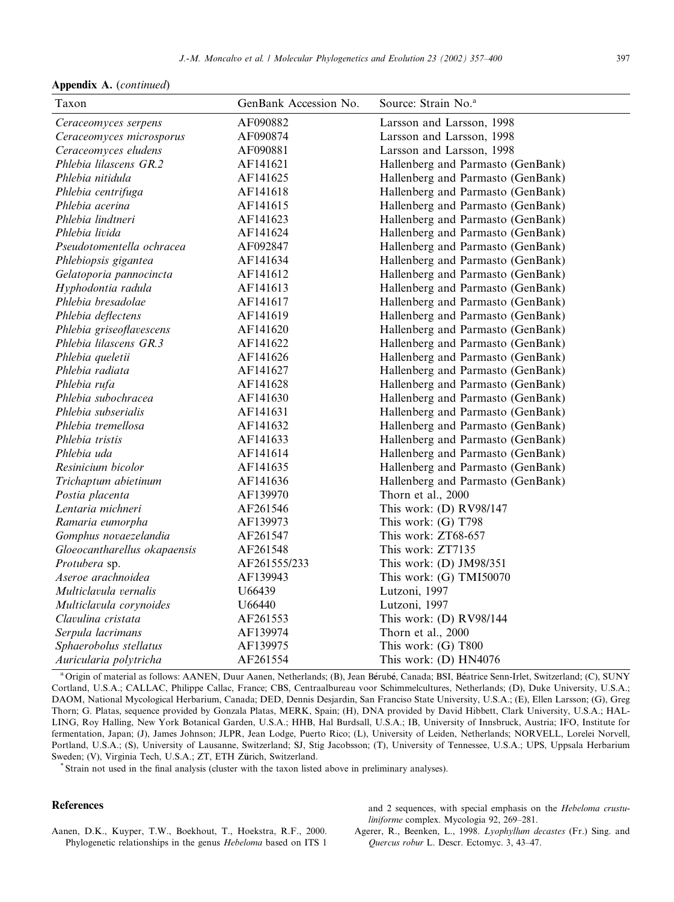Appendix A. (continued)

| Taxon                        | GenBank Accession No. | Source: Strain No. <sup>a</sup>   |
|------------------------------|-----------------------|-----------------------------------|
| Ceraceomyces serpens         | AF090882              | Larsson and Larsson, 1998         |
| Ceraceomyces microsporus     | AF090874              | Larsson and Larsson, 1998         |
| Ceraceomyces eludens         | AF090881              | Larsson and Larsson, 1998         |
| Phlebia lilascens GR.2       | AF141621              | Hallenberg and Parmasto (GenBank) |
| Phlebia nitidula             | AF141625              | Hallenberg and Parmasto (GenBank) |
| Phlebia centrifuga           | AF141618              | Hallenberg and Parmasto (GenBank) |
| Phlebia acerina              | AF141615              | Hallenberg and Parmasto (GenBank) |
| Phlebia lindtneri            | AF141623              | Hallenberg and Parmasto (GenBank) |
| Phlebia livida               | AF141624              | Hallenberg and Parmasto (GenBank) |
| Pseudotomentella ochracea    | AF092847              | Hallenberg and Parmasto (GenBank) |
| Phlebiopsis gigantea         | AF141634              | Hallenberg and Parmasto (GenBank) |
| Gelatoporia pannocincta      | AF141612              | Hallenberg and Parmasto (GenBank) |
| Hyphodontia radula           | AF141613              | Hallenberg and Parmasto (GenBank) |
| Phlebia bresadolae           | AF141617              | Hallenberg and Parmasto (GenBank) |
| Phlebia deflectens           | AF141619              | Hallenberg and Parmasto (GenBank) |
| Phlebia griseoflavescens     | AF141620              | Hallenberg and Parmasto (GenBank) |
| Phlebia lilascens GR.3       | AF141622              | Hallenberg and Parmasto (GenBank) |
| Phlebia queletii             | AF141626              | Hallenberg and Parmasto (GenBank) |
| Phlebia radiata              | AF141627              | Hallenberg and Parmasto (GenBank) |
| Phlebia rufa                 | AF141628              | Hallenberg and Parmasto (GenBank) |
| Phlebia subochracea          | AF141630              | Hallenberg and Parmasto (GenBank) |
| Phlebia subserialis          | AF141631              | Hallenberg and Parmasto (GenBank) |
| Phlebia tremellosa           | AF141632              | Hallenberg and Parmasto (GenBank) |
| Phlebia tristis              | AF141633              | Hallenberg and Parmasto (GenBank) |
| Phlebia uda                  | AF141614              | Hallenberg and Parmasto (GenBank) |
| Resinicium bicolor           | AF141635              | Hallenberg and Parmasto (GenBank) |
| Trichaptum abietinum         | AF141636              | Hallenberg and Parmasto (GenBank) |
| Postia placenta              | AF139970              | Thorn et al., 2000                |
| Lentaria michneri            | AF261546              | This work: (D) RV98/147           |
| Ramaria eumorpha             | AF139973              | This work: (G) T798               |
| Gomphus novaezelandia        | AF261547              | This work: ZT68-657               |
| Gloeocantharellus okapaensis | AF261548              | This work: ZT7135                 |
| Protubera sp.                | AF261555/233          | This work: $(D)$ JM98/351         |
| Aseroe arachnoidea           | AF139943              | This work: (G) TMI50070           |
| Multiclavula vernalis        | U66439                | Lutzoni, 1997                     |
| Multiclavula corynoides      | U66440                | Lutzoni, 1997                     |
| Clavulina cristata           | AF261553              | This work: (D) RV98/144           |
| Serpula lacrimans            | AF139974              | Thorn et al., 2000                |
| Sphaerobolus stellatus       | AF139975              | This work: (G) T800               |
| Auricularia polytricha       | AF261554              | This work: $(D) HN4076$           |

a Origin of material as follows: AANEN, Duur Aanen, Netherlands; (B), Jean Bérubé, Canada; BSI, Béatrice Senn-Irlet, Switzerland; (C), SUNY Cortland, U.S.A.; CALLAC, Philippe Callac, France; CBS, Centraalbureau voor Schimmelcultures, Netherlands; (D), Duke University, U.S.A.; DAOM, National Mycological Herbarium, Canada; DED, Dennis Desjardin, San Franciso State University, U.S.A.; (E), Ellen Larsson; (G), Greg Thorn; G. Platas, sequence provided by Gonzala Platas, MERK, Spain; (H), DNA provided by David Hibbett, Clark University, U.S.A.; HAL-LING, Roy Halling, New York Botanical Garden, U.S.A.; HHB, Hal Burdsall, U.S.A.; IB, University of Innsbruck, Austria; IFO, Institute for fermentation, Japan; (J), James Johnson; JLPR, Jean Lodge, Puerto Rico; (L), University of Leiden, Netherlands; NORVELL, Lorelei Norvell, Portland, U.S.A.; (S), University of Lausanne, Switzerland; SJ, Stig Jacobsson; (T), University of Tennessee, U.S.A.; UPS, Uppsala Herbarium Sweden; (V), Virginia Tech, U.S.A.; ZT, ETH Zürich, Switzerland.<br>\* Strain not used in the final analysis (cluster with the taxon listed above in preliminary analyses).

#### References

Aanen, D.K., Kuyper, T.W., Boekhout, T., Hoekstra, R.F., 2000. Phylogenetic relationships in the genus Hebeloma based on ITS 1

and 2 sequences, with special emphasis on the Hebeloma crustuliniforme complex. Mycologia 92, 269–281.

Agerer, R., Beenken, L., 1998. Lyophyllum decastes (Fr.) Sing. and Quercus robur L. Descr. Ectomyc. 3, 43–47.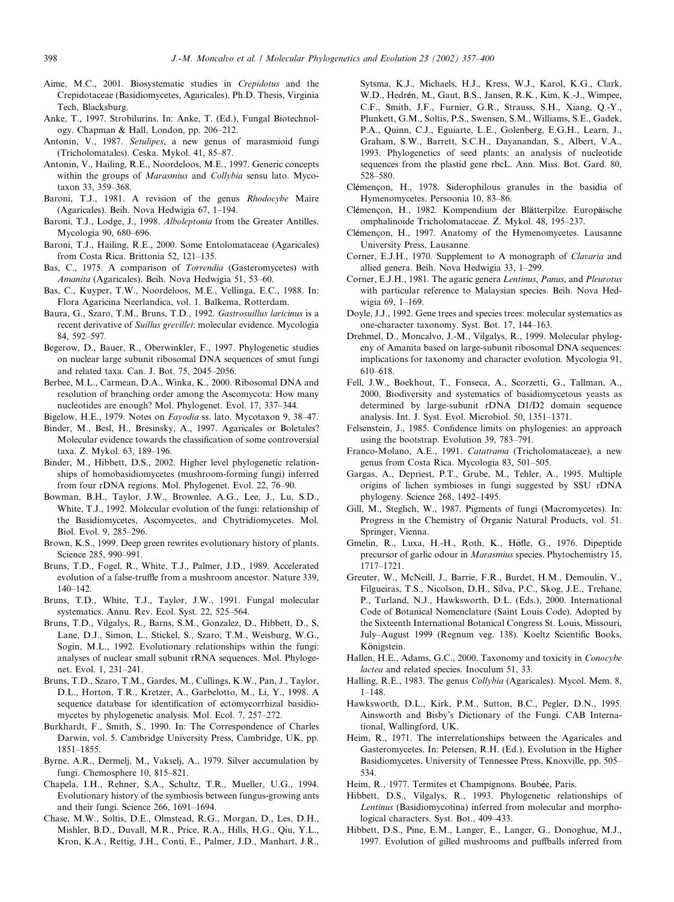- Aime, M.C., 2001. Biosystematic studies in Crepidotus and the Crepidotaceae (Basidiomycetes, Agaricales). Ph.D. Thesis, Virginia Tech, Blacksburg.
- Anke, T., 1997. Strobilurins. In: Anke, T. (Ed.), Fungal Biotechnology. Chapman & Hall, London, pp. 206–212.
- Antonin, V., 1987. Setulipes, a new genus of marasmioid fungi (Tricholomatales). Ceska. Mykol. 41, 85–87.
- Antonin, V., Hailing, R.E., Noordeloos, M.E., 1997. Generic concepts within the groups of Marasmius and Collybia sensu lato. Mycotaxon 33, 359–368.
- Baroni, T.J., 1981. A revision of the genus Rhodocybe Maire (Agaricales). Beih. Nova Hedwigia 67, 1–194.
- Baroni, T.J., Lodge, J., 1998. Alboleptonia from the Greater Antilles. Mycologia 90, 680–696.
- Baroni, T.J., Hailing, R.E., 2000. Some Entolomataceae (Agaricales) from Costa Rica. Brittonia 52, 121–135.
- Bas, C., 1975. A comparison of *Torrendia* (Gasteromycetes) with Amanita (Agaricales). Beih. Nova Hedwigia 51, 53–60.
- Bas, C., Kuyper, T.W., Noordeloos, M.E., Vellinga, E.C., 1988. In: Flora Agaricina Neerlandica, vol. 1. Balkema, Rotterdam.
- Baura, G., Szaro, T.M., Bruns, T.D., 1992. Gastrosuillus laricinus is a recent derivative of Suillus grevillei: molecular evidence. Mycologia 84, 592–597.
- Begerow, D., Bauer, R., Oberwinkler, F., 1997. Phylogenetic studies on nuclear large subunit ribosomal DNA sequences of smut fungi and related taxa. Can. J. Bot. 75, 2045–2056.
- Berbee, M.L., Carmean, D.A., Winka, K., 2000. Ribosomal DNA and resolution of branching order among the Ascomycota: How many nucleotides are enough? Mol. Phylogenet. Evol. 17, 337–344.
- Bigelow, H.E., 1979. Notes on Fayodia ss. lato. Mycotaxon 9, 38–47.
- Binder, M., Besl, H., Bresinsky, A., 1997. Agaricales or Boletales? Molecular evidence towards the classification of some controversial taxa. Z. Mykol. 63, 189–196.
- Binder, M., Hibbett, D.S., 2002. Higher level phylogenetic relationships of homobasidiomycetes (mushroom-forming fungi) inferred from four rDNA regions. Mol. Phylogenet. Evol. 22, 76–90.
- Bowman, B.H., Taylor, J.W., Brownlee, A.G., Lee, J., Lu, S.D., White, T.J., 1992. Molecular evolution of the fungi: relationship of the Basidiomycetes, Ascomycetes, and Chytridiomycetes. Mol. Biol. Evol. 9, 285–296.
- Brown, K.S., 1999. Deep green rewrites evolutionary history of plants. Science 285, 990–991.
- Bruns, T.D., Fogel, R., White, T.J., Palmer, J.D., 1989. Accelerated evolution of a false-truffle from a mushroom ancestor. Nature 339, 140–142.
- Bruns, T.D., White, T.J., Taylor, J.W., 1991. Fungal molecular systematics. Annu. Rev. Ecol. Syst. 22, 525–564.
- Bruns, T.D., Vilgalys, R., Barns, S.M., Gonzalez, D., Hibbett, D., S, Lane, D.J., Simon, L., Stickel, S., Szaro, T.M., Weisburg, W.G., Sogin, M.L., 1992. Evolutionary relationships within the fungi: analyses of nuclear small subunit rRNA sequences. Mol. Phylogenet. Evol. 1, 231–241.
- Bruns, T.D., Szaro, T.M., Gardes, M., Cullings, K.W., Pan, J., Taylor, D.L., Horton, T.R., Kretzer, A., Garbelotto, M., Li, Y., 1998. A sequence database for identification of ectomycorrhizal basidiomycetes by phylogenetic analysis. Mol. Ecol. 7, 257–272.
- Burkhardt, F., Smith, S., 1990. In: The Correspondence of Charles Darwin, vol. 5. Cambridge University Press, Cambridge, UK, pp. 1851–1855.
- Byrne, A.R., Dermelj, M., Vakselj, A., 1979. Silver accumulation by fungi. Chemosphere 10, 815–821.
- Chapela, I.H., Rehner, S.A., Schultz, T.R., Mueller, U.G., 1994. Evolutionary history of the symbiosis between fungus-growing ants and their fungi. Science 266, 1691–1694.
- Chase, M.W., Soltis, D.E., Olmstead, R.G., Morgan, D., Les, D.H., Mishler, B.D., Duvall, M.R., Price, R.A., Hills, H.G., Qiu, Y.L., Kron, K.A., Rettig, J.H., Conti, E., Palmer, J.D., Manhart, J.R.,

Sytsma, K.J., Michaels, H.J., Kress, W.J., Karol, K.G., Clark, W.D., Hedrén, M., Gaut, B.S., Jansen, R.K., Kim, K.-J., Wimpee, C.F., Smith, J.F., Furnier, G.R., Strauss, S.H., Xiang, Q.-Y., Plunkett, G.M., Soltis, P.S., Swensen, S.M., Williams, S.E., Gadek, P.A., Quinn, C.J., Eguiarte, L.E., Golenberg, E.G.H., Learn, J., Graham, S.W., Barrett, S.C.H., Dayanandan, S., Albert, V.A., 1993. Phylogenetics of seed plants: an analysis of nucleotide sequences from the plastid gene rbcL. Ann. Miss. Bot. Gard. 80, 528–580.

- Clémencon, H., 1978. Siderophilous granules in the basidia of Hymenomycetes. Persoonia 10, 83–86.
- Clémençon, H., 1982. Kompendium der Blätterpilze. Europäische omphalinoide Tricholomataceae. Z. Mykol. 48, 195–237.
- Clémençon, H., 1997. Anatomy of the Hymenomycetes. Lausanne University Press, Lausanne.
- Corner, E.J.H., 1970. Supplement to A monograph of Clavaria and allied genera. Beih. Nova Hedwigia 33, 1–299.
- Corner, E.J.H., 1981. The agaric genera Lentinus, Panus, and Pleurotus with particular reference to Malaysian species. Beih. Nova Hedwigia 69, 1–169.
- Doyle, J.J., 1992. Gene trees and species trees: molecular systematics as one-character taxonomy. Syst. Bot. 17, 144–163.
- Drehmel, D., Moncalvo, J.-M., Vilgalys, R., 1999. Molecular phylogeny of Amanita based on large-subunit ribosomal DNA sequences: implications for taxonomy and character evolution. Mycologia 91, 610–618.
- Fell, J.W., Boekhout, T., Fonseca, A., Scorzetti, G., Tallman, A., 2000. Biodiversity and systematics of basidiomycetous yeasts as determined by large-subunit rDNA D1/D2 domain sequence analysis. Int. J. Syst. Evol. Microbiol. 50, 1351–1371.
- Felsenstein, J., 1985. Confidence limits on phylogenies: an approach using the bootstrap. Evolution 39, 783–791.
- Franco-Molano, A.E., 1991. Catatrama (Tricholomataceae), a new genus from Costa Rica. Mycologia 83, 501–505.
- Gargas, A., Depriest, P.T., Grube, M., Tehler, A., 1995. Multiple origins of lichen symbioses in fungi suggested by SSU rDNA phylogeny. Science 268, 1492–1495.
- Gill, M., Steglich, W., 1987. Pigments of fungi (Macromycetes). In: Progress in the Chemistry of Organic Natural Products, vol. 51. Springer, Vienna.
- Gmelin, R., Luxa, H.-H., Roth, K., Höfle, G., 1976. Dipeptide precursor of garlic odour in Marasmius species. Phytochemistry 15, 1717–1721.
- Greuter, W., McNeill, J., Barrie, F.R., Burdet, H.M., Demoulin, V., Filgueiras, T.S., Nicolson, D.H., Silva, P.C., Skog, J.E., Trehane, P., Turland, N.J., Hawksworth, D.L. (Eds.), 2000. International Code of Botanical Nomenclature (Saint Louis Code). Adopted by the Sixteenth International Botanical Congress St. Louis, Missouri, July–August 1999 (Regnum veg. 138). Koeltz Scientific Books, Königstein.
- Hallen, H.E., Adams, G.C., 2000. Taxonomy and toxicity in Conocybe lactea and related species. Inoculum 51, 33.
- Halling, R.E., 1983. The genus Collybia (Agaricales). Mycol. Mem. 8, 1–148.
- Hawksworth, D.L., Kirk, P.M., Sutton, B.C., Pegler, D.N., 1995. Ainsworth and Bisby's Dictionary of the Fungi. CAB International, Wallingford, UK.
- Heim, R., 1971. The interrelationships between the Agaricales and Gasteromycetes. In: Petersen, R.H. (Ed.), Evolution in the Higher Basidiomycetes. University of Tennessee Press, Knoxville, pp. 505– 534.
- Heim, R., 1977. Termites et Champignons. Boubée, Paris.
- Hibbett, D.S., Vilgalys, R., 1993. Phylogenetic relationships of Lentinus (Basidiomycotina) inferred from molecular and morphological characters. Syst. Bot., 409–433.
- Hibbett, D.S., Pine, E.M., Langer, E., Langer, G., Donoghue, M.J., 1997. Evolution of gilled mushrooms and puffballs inferred from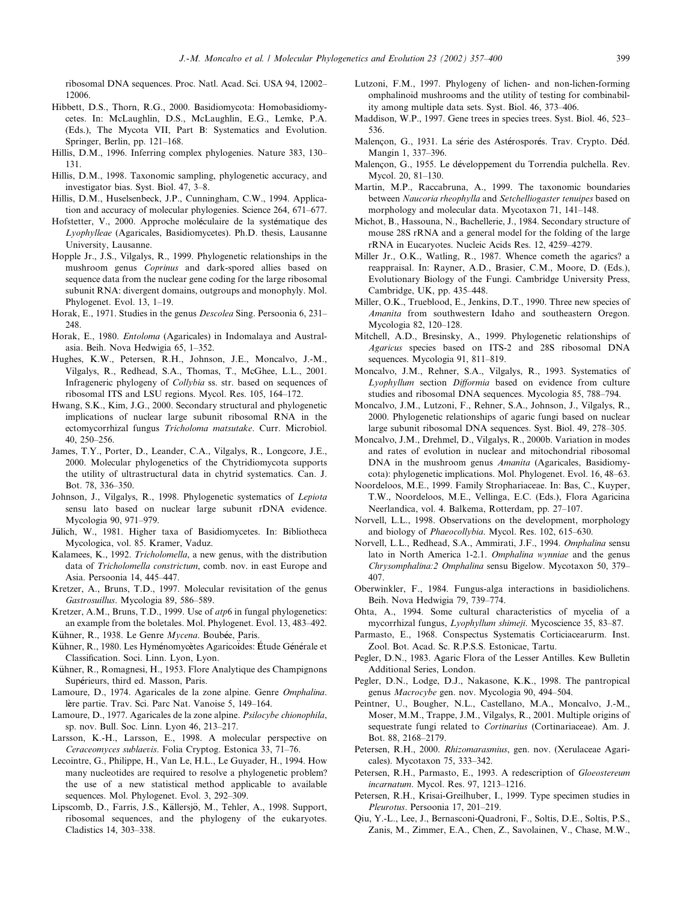ribosomal DNA sequences. Proc. Natl. Acad. Sci. USA 94, 12002– 12006.

- Hibbett, D.S., Thorn, R.G., 2000. Basidiomycota: Homobasidiomycetes. In: McLaughlin, D.S., McLaughlin, E.G., Lemke, P.A. (Eds.), The Mycota VII, Part B: Systematics and Evolution. Springer, Berlin, pp. 121–168.
- Hillis, D.M., 1996. Inferring complex phylogenies. Nature 383, 130– 131.
- Hillis, D.M., 1998. Taxonomic sampling, phylogenetic accuracy, and investigator bias. Syst. Biol. 47, 3–8.
- Hillis, D.M., Huselsenbeck, J.P., Cunningham, C.W., 1994. Application and accuracy of molecular phylogenies. Science 264, 671–677.
- Hofstetter, V., 2000. Approche moléculaire de la systématique des Lyophylleae (Agaricales, Basidiomycetes). Ph.D. thesis, Lausanne University, Lausanne.
- Hopple Jr., J.S., Vilgalys, R., 1999. Phylogenetic relationships in the mushroom genus Coprinus and dark-spored allies based on sequence data from the nuclear gene coding for the large ribosomal subunit RNA: divergent domains, outgroups and monophyly. Mol. Phylogenet. Evol. 13, 1–19.
- Horak, E., 1971. Studies in the genus *Descolea* Sing. Persoonia 6, 231– 248.
- Horak, E., 1980. Entoloma (Agaricales) in Indomalaya and Australasia. Beih. Nova Hedwigia 65, 1–352.
- Hughes, K.W., Petersen, R.H., Johnson, J.E., Moncalvo, J.-M., Vilgalys, R., Redhead, S.A., Thomas, T., McGhee, L.L., 2001. Infrageneric phylogeny of Collybia ss. str. based on sequences of ribosomal ITS and LSU regions. Mycol. Res. 105, 164–172.
- Hwang, S.K., Kim, J.G., 2000. Secondary structural and phylogenetic implications of nuclear large subunit ribosomal RNA in the ectomycorrhizal fungus Tricholoma matsutake. Curr. Microbiol. 40, 250–256.
- James, T.Y., Porter, D., Leander, C.A., Vilgalys, R., Longcore, J.E., 2000. Molecular phylogenetics of the Chytridiomycota supports the utility of ultrastructural data in chytrid systematics. Can. J. Bot. 78, 336–350.
- Johnson, J., Vilgalys, R., 1998. Phylogenetic systematics of Lepiota sensu lato based on nuclear large subunit rDNA evidence. Mycologia 90, 971–979.
- Jülich, W., 1981. Higher taxa of Basidiomycetes. In: Bibliotheca Mycologica, vol. 85. Kramer, Vaduz.
- Kalamees, K., 1992. Tricholomella, a new genus, with the distribution data of Tricholomella constrictum, comb. nov. in east Europe and Asia. Persoonia 14, 445–447.
- Kretzer, A., Bruns, T.D., 1997. Molecular revisitation of the genus Gastrosuillus. Mycologia 89, 586–589.
- Kretzer, A.M., Bruns, T.D., 1999. Use of atp6 in fungal phylogenetics: an example from the boletales. Mol. Phylogenet. Evol. 13, 483–492. Kühner, R., 1938. Le Genre Mycena. Boubée, Paris.
- Kühner, R., 1980. Les Hyménomycètes Agaricoïdes: Étude Générale et Classification. Soci. Linn. Lyon, Lyon.
- Kühner, R., Romagnesi, H., 1953. Flore Analytique des Champignons Supérieurs, third ed. Masson, Paris.
- Lamoure, D., 1974. Agaricales de la zone alpine. Genre Omphalina. lère partie. Trav. Sci. Parc Nat. Vanoise 5, 149-164.
- Lamoure, D., 1977. Agaricales de la zone alpine. Psilocybe chionophila, sp. nov. Bull. Soc. Linn. Lyon 46, 213–217.
- Larsson, K.-H., Larsson, E., 1998. A molecular perspective on Ceraceomyces sublaevis. Folia Cryptog. Estonica 33, 71–76.
- Lecointre, G., Philippe, H., Van Le, H.L., Le Guyader, H., 1994. How many nucleotides are required to resolve a phylogenetic problem? the use of a new statistical method applicable to available sequences. Mol. Phylogenet. Evol. 3, 292–309.
- Lipscomb, D., Farris, J.S., Källersjö, M., Tehler, A., 1998. Support, ribosomal sequences, and the phylogeny of the eukaryotes. Cladistics 14, 303–338.
- Lutzoni, F.M., 1997. Phylogeny of lichen- and non-lichen-forming omphalinoid mushrooms and the utility of testing for combinability among multiple data sets. Syst. Biol. 46, 373–406.
- Maddison, W.P., 1997. Gene trees in species trees. Syst. Biol. 46, 523– 536.
- Malencon, G., 1931. La série des Astérosporés. Trav. Crypto. Déd. Mangin 1, 337–396.
- Malençon, G., 1955. Le développement du Torrendia pulchella. Rev. Mycol. 20, 81–130.
- Martin, M.P., Raccabruna, A., 1999. The taxonomic boundaries between Naucoria rheophylla and Setchelliogaster tenuipes based on morphology and molecular data. Mycotaxon 71, 141–148.
- Michot, B., Hassouna, N., Bachellerie, J., 1984. Secondary structure of mouse 28S rRNA and a general model for the folding of the large rRNA in Eucaryotes. Nucleic Acids Res. 12, 4259–4279.
- Miller Jr., O.K., Watling, R., 1987. Whence cometh the agarics? a reappraisal. In: Rayner, A.D., Brasier, C.M., Moore, D. (Eds.), Evolutionary Biology of the Fungi. Cambridge University Press, Cambridge, UK, pp. 435–448.
- Miller, O.K., Trueblood, E., Jenkins, D.T., 1990. Three new species of Amanita from southwestern Idaho and southeastern Oregon. Mycologia 82, 120–128.
- Mitchell, A.D., Bresinsky, A., 1999. Phylogenetic relationships of Agaricus species based on ITS-2 and 28S ribosomal DNA sequences. Mycologia 91, 811–819.
- Moncalvo, J.M., Rehner, S.A., Vilgalys, R., 1993. Systematics of Lyophyllum section Difformia based on evidence from culture studies and ribosomal DNA sequences. Mycologia 85, 788–794.
- Moncalvo, J.M., Lutzoni, F., Rehner, S.A., Johnson, J., Vilgalys, R., 2000. Phylogenetic relationships of agaric fungi based on nuclear large subunit ribosomal DNA sequences. Syst. Biol. 49, 278–305.
- Moncalvo, J.M., Drehmel, D., Vilgalys, R., 2000b. Variation in modes and rates of evolution in nuclear and mitochondrial ribosomal DNA in the mushroom genus Amanita (Agaricales, Basidiomycota): phylogenetic implications. Mol. Phylogenet. Evol. 16, 48–63.
- Noordeloos, M.E., 1999. Family Strophariaceae. In: Bas, C., Kuyper, T.W., Noordeloos, M.E., Vellinga, E.C. (Eds.), Flora Agaricina Neerlandica, vol. 4. Balkema, Rotterdam, pp. 27–107.
- Norvell, L.L., 1998. Observations on the development, morphology and biology of Phaeocollybia. Mycol. Res. 102, 615–630.
- Norvell, L.L., Redhead, S.A., Ammirati, J.F., 1994. Omphalina sensu lato in North America 1-2.1. Omphalina wynniae and the genus Chrysomphalina:2 Omphalina sensu Bigelow. Mycotaxon 50, 379– 407.
- Oberwinkler, F., 1984. Fungus-alga interactions in basidiolichens. Beih. Nova Hedwigia 79, 739–774.
- Ohta, A., 1994. Some cultural characteristics of mycelia of a mycorrhizal fungus, Lyophyllum shimeji. Mycoscience 35, 83–87.
- Parmasto, E., 1968. Conspectus Systematis Corticiacearurm. Inst. Zool. Bot. Acad. Sc. R.P.S.S. Estonicae, Tartu.
- Pegler, D.N., 1983. Agaric Flora of the Lesser Antilles. Kew Bulletin Additional Series, London.
- Pegler, D.N., Lodge, D.J., Nakasone, K.K., 1998. The pantropical genus Macrocybe gen. nov. Mycologia 90, 494–504.
- Peintner, U., Bougher, N.L., Castellano, M.A., Moncalvo, J.-M., Moser, M.M., Trappe, J.M., Vilgalys, R., 2001. Multiple origins of sequestrate fungi related to Cortinarius (Cortinariaceae). Am. J. Bot. 88, 2168–2179.
- Petersen, R.H., 2000. Rhizomarasmius, gen. nov. (Xerulaceae Agaricales). Mycotaxon 75, 333–342.
- Petersen, R.H., Parmasto, E., 1993. A redescription of Gloeostereum incarnatum. Mycol. Res. 97, 1213–1216.
- Petersen, R.H., Krisai-Greilhuber, I., 1999. Type specimen studies in Pleurotus. Persoonia 17, 201–219.
- Qiu, Y.-L., Lee, J., Bernasconi-Quadroni, F., Soltis, D.E., Soltis, P.S., Zanis, M., Zimmer, E.A., Chen, Z., Savolainen, V., Chase, M.W.,